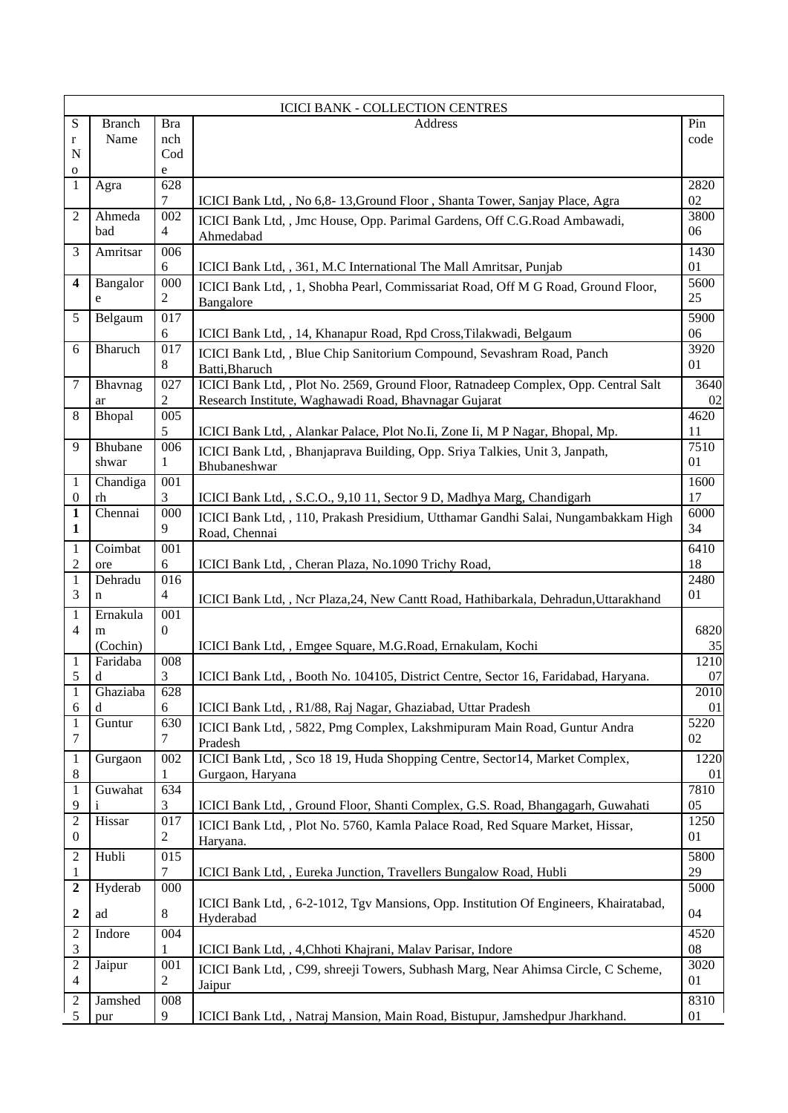|                              |                |                       | <b>ICICI BANK - COLLECTION CENTRES</b>                                                                |            |
|------------------------------|----------------|-----------------------|-------------------------------------------------------------------------------------------------------|------------|
| S                            | <b>Branch</b>  | <b>Bra</b>            | Address                                                                                               | Pin        |
| $\bf r$                      | Name           | nch                   |                                                                                                       | code       |
| N                            |                | Cod                   |                                                                                                       |            |
| $\mathbf{o}$<br>$\mathbf{1}$ | Agra           | e<br>628              |                                                                                                       | 2820       |
|                              |                | 7                     | ICICI Bank Ltd, , No 6,8-13, Ground Floor, Shanta Tower, Sanjay Place, Agra                           | 02         |
| $\overline{2}$               | Ahmeda         | 002                   | ICICI Bank Ltd, , Jmc House, Opp. Parimal Gardens, Off C.G.Road Ambawadi,                             | 3800       |
|                              | bad            | 4                     | Ahmedabad                                                                                             | 06         |
| 3                            | Amritsar       | 006                   |                                                                                                       | 1430       |
|                              |                | 6                     | ICICI Bank Ltd, , 361, M.C International The Mall Amritsar, Punjab                                    | 01         |
| 4                            | Bangalor       | 000                   | ICICI Bank Ltd, , 1, Shobha Pearl, Commissariat Road, Off M G Road, Ground Floor,                     | 5600       |
|                              | e              | 2                     | Bangalore                                                                                             | 25         |
| 5                            | Belgaum        | 017                   |                                                                                                       | 5900       |
|                              |                | 6<br>$\overline{017}$ | ICICI Bank Ltd, , 14, Khanapur Road, Rpd Cross, Tilakwadi, Belgaum                                    | 06         |
| 6                            | Bharuch        | 8                     | ICICI Bank Ltd, , Blue Chip Sanitorium Compound, Sevashram Road, Panch                                | 3920<br>01 |
| 7                            | Bhavnag        | 027                   | Batti, Bharuch<br>ICICI Bank Ltd, , Plot No. 2569, Ground Floor, Ratnadeep Complex, Opp. Central Salt | 3640       |
|                              | ar             | 2                     | Research Institute, Waghawadi Road, Bhavnagar Gujarat                                                 | 02         |
| 8                            | Bhopal         | 005                   |                                                                                                       | 4620       |
|                              |                | 5                     | ICICI Bank Ltd, , Alankar Palace, Plot No. Ii, Zone Ii, M P Nagar, Bhopal, Mp.                        | 11         |
| 9                            | Bhubane        | 006                   | ICICI Bank Ltd,, Bhanjaprava Building, Opp. Sriya Talkies, Unit 3, Janpath,                           | 7510       |
|                              | shwar          | 1                     | Bhubaneshwar                                                                                          | 01         |
| 1                            | Chandiga       | 001                   |                                                                                                       | 1600       |
| $\mathbf{0}$                 | rh             | 3                     | ICICI Bank Ltd, , S.C.O., 9,10 11, Sector 9 D, Madhya Marg, Chandigarh                                | 17         |
| $\mathbf{1}$<br>$\mathbf{1}$ | Chennai        | 000<br>9              | ICICI Bank Ltd, , 110, Prakash Presidium, Utthamar Gandhi Salai, Nungambakkam High                    | 6000<br>34 |
|                              |                |                       | Road, Chennai                                                                                         |            |
| 1<br>$\mathfrak 2$           | Coimbat<br>ore | 001<br>6              | ICICI Bank Ltd, , Cheran Plaza, No.1090 Trichy Road,                                                  | 6410<br>18 |
| 1                            | Dehradu        | 016                   |                                                                                                       | 2480       |
| 3                            | n              | $\overline{4}$        | ICICI Bank Ltd,, Ncr Plaza, 24, New Cantt Road, Hathibarkala, Dehradun, Uttarakhand                   | 01         |
| $\mathbf{1}$                 | Ernakula       | 001                   |                                                                                                       |            |
| 4                            | m              | $\mathbf{0}$          |                                                                                                       | 6820       |
|                              | (Cochin)       |                       | ICICI Bank Ltd, , Emgee Square, M.G.Road, Ernakulam, Kochi                                            | 35         |
| 1                            | Faridaba       | 008                   |                                                                                                       | 1210       |
| 5<br>$\,1$                   | d<br>Ghaziaba  | 3<br>628              | ICICI Bank Ltd, , Booth No. 104105, District Centre, Sector 16, Faridabad, Haryana.                   | 07<br>2010 |
| 6                            | d              | 6                     | ICICI Bank Ltd, , R1/88, Raj Nagar, Ghaziabad, Uttar Pradesh                                          | 01         |
| 1                            | Guntur         | 630                   | ICICI Bank Ltd, , 5822, Pmg Complex, Lakshmipuram Main Road, Guntur Andra                             | 5220       |
| 7                            |                | 7                     | Pradesh                                                                                               | 02         |
| 1                            | Gurgaon        | 002                   | ICICI Bank Ltd, , Sco 18 19, Huda Shopping Centre, Sector14, Market Complex,                          | 1220       |
| $\,8\,$                      |                | 1                     | Gurgaon, Haryana                                                                                      | 01         |
| 1                            | Guwahat        | 634                   |                                                                                                       | 7810       |
| 9                            |                | 3                     | ICICI Bank Ltd,, Ground Floor, Shanti Complex, G.S. Road, Bhangagarh, Guwahati                        | 05         |
| $\overline{2}$<br>0          | Hissar         | 017<br>$\overline{2}$ | ICICI Bank Ltd, , Plot No. 5760, Kamla Palace Road, Red Square Market, Hissar,                        | 1250<br>01 |
|                              |                |                       | Haryana.                                                                                              |            |
| $\overline{c}$<br>1          | Hubli          | 015<br>7              | ICICI Bank Ltd, , Eureka Junction, Travellers Bungalow Road, Hubli                                    | 5800<br>29 |
| 2                            | Hyderab        | 000                   |                                                                                                       | 5000       |
|                              |                |                       | ICICI Bank Ltd, , 6-2-1012, Tgv Mansions, Opp. Institution Of Engineers, Khairatabad,                 |            |
| 2                            | ad             | 8                     | Hyderabad                                                                                             | 04         |
| 2                            | Indore         | 004                   |                                                                                                       | 4520       |
| 3                            |                | 1                     | ICICI Bank Ltd, , 4, Chhoti Khajrani, Malav Parisar, Indore                                           | 08         |
| 2<br>$\overline{4}$          | Jaipur         | 001<br>2              | ICICI Bank Ltd, , C99, shreeji Towers, Subhash Marg, Near Ahimsa Circle, C Scheme,                    | 3020<br>01 |
| 2                            | Jamshed        | 008                   | Jaipur                                                                                                | 8310       |
| 5                            | pur            | 9                     | ICICI Bank Ltd, , Natraj Mansion, Main Road, Bistupur, Jamshedpur Jharkhand.                          | 01         |
|                              |                |                       |                                                                                                       |            |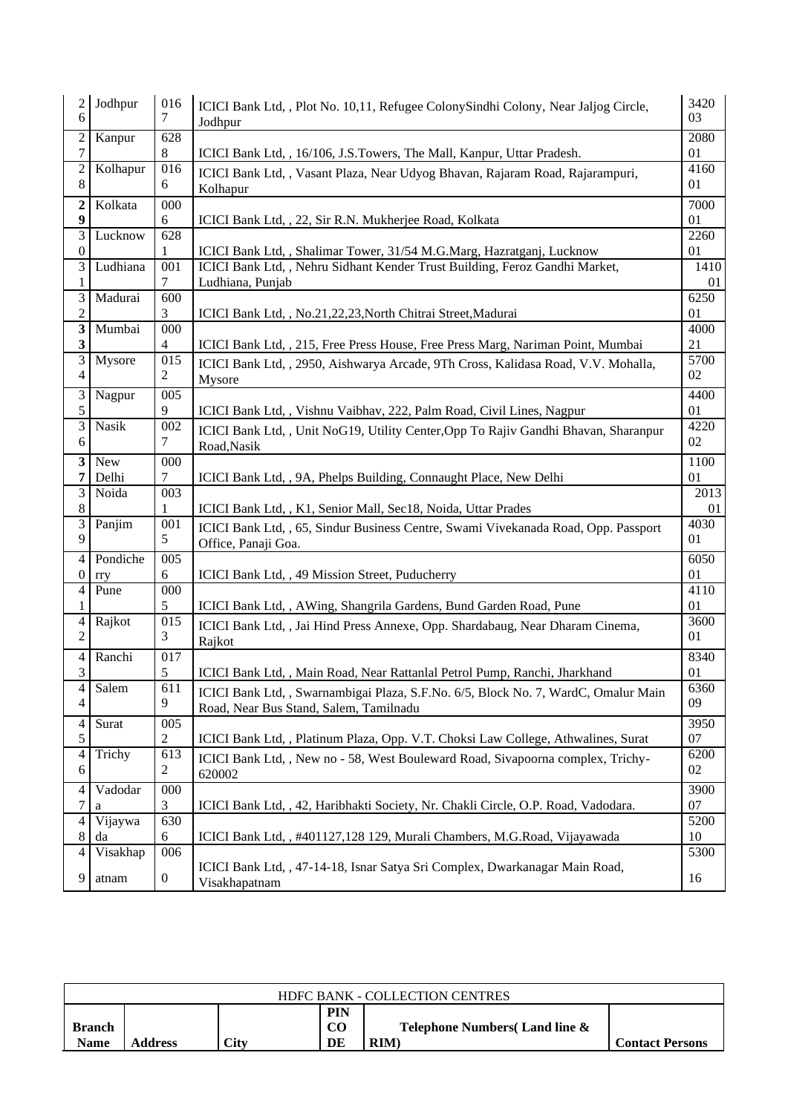| $\overline{c}$<br>6     | Jodhpur  | 016<br>7         | ICICI Bank Ltd, , Plot No. 10,11, Refugee ColonySindhi Colony, Near Jaljog Circle,<br>Jodhpur                                                        | 3420<br>03 |
|-------------------------|----------|------------------|------------------------------------------------------------------------------------------------------------------------------------------------------|------------|
| $\overline{c}$          | Kanpur   | $\overline{628}$ |                                                                                                                                                      | 2080       |
| $\tau$                  |          | 8                | ICICI Bank Ltd, , 16/106, J.S.Towers, The Mall, Kanpur, Uttar Pradesh.                                                                               | 01         |
| $\overline{c}$<br>8     | Kolhapur | 016<br>6         | ICICI Bank Ltd,, Vasant Plaza, Near Udyog Bhavan, Rajaram Road, Rajarampuri,<br>Kolhapur                                                             | 4160<br>01 |
| 2                       | Kolkata  | 000              |                                                                                                                                                      | 7000       |
| $\boldsymbol{9}$        |          | 6                | ICICI Bank Ltd, , 22, Sir R.N. Mukherjee Road, Kolkata                                                                                               | 01         |
| $\overline{3}$          | Lucknow  | 628              |                                                                                                                                                      | 2260       |
| $\boldsymbol{0}$<br>3   | Ludhiana | 001              | ICICI Bank Ltd, , Shalimar Tower, 31/54 M.G.Marg, Hazratganj, Lucknow<br>ICICI Bank Ltd, , Nehru Sidhant Kender Trust Building, Feroz Gandhi Market, | 01<br>1410 |
| 1                       |          | 7                | Ludhiana, Punjab                                                                                                                                     | 01         |
| 3                       | Madurai  | 600              |                                                                                                                                                      | 6250       |
| $\overline{c}$          |          | 3                | ICICI Bank Ltd, , No.21,22,23, North Chitrai Street, Madurai                                                                                         | 01         |
| $\overline{\mathbf{3}}$ | Mumbai   | 000              |                                                                                                                                                      | 4000       |
| 3                       |          | 4                | ICICI Bank Ltd, , 215, Free Press House, Free Press Marg, Nariman Point, Mumbai                                                                      | 21         |
| $\overline{3}$          | Mysore   | $\overline{015}$ | ICICI Bank Ltd, , 2950, Aishwarya Arcade, 9Th Cross, Kalidasa Road, V.V. Mohalla,                                                                    | 5700       |
| 4                       |          | $\overline{2}$   | Mysore                                                                                                                                               | 02         |
| 3                       | Nagpur   | 005              |                                                                                                                                                      | 4400       |
| 5                       |          | 9                | ICICI Bank Ltd,, Vishnu Vaibhav, 222, Palm Road, Civil Lines, Nagpur                                                                                 | 01         |
| $\overline{3}$          | Nasik    | 002              |                                                                                                                                                      | 4220       |
| 6                       |          | 7                | ICICI Bank Ltd,, Unit NoG19, Utility Center, Opp To Rajiv Gandhi Bhavan, Sharanpur                                                                   | 02         |
|                         |          |                  | Road, Nasik                                                                                                                                          |            |
| 3                       | New      | 000              |                                                                                                                                                      | 1100       |
| 7<br>$\overline{3}$     | Delhi    | 7                | ICICI Bank Ltd, , 9A, Phelps Building, Connaught Place, New Delhi                                                                                    | 01         |
| 8                       | Noida    | 003<br>1         |                                                                                                                                                      | 2013<br>01 |
|                         |          |                  | ICICI Bank Ltd, , K1, Senior Mall, Sec18, Noida, Uttar Prades                                                                                        |            |
|                         |          |                  |                                                                                                                                                      |            |
| 3                       | Panjim   | 001              | ICICI Bank Ltd, , 65, Sindur Business Centre, Swami Vivekanada Road, Opp. Passport                                                                   | 4030       |
| 9                       |          | 5                | Office, Panaji Goa.                                                                                                                                  | 01         |
| $\overline{4}$          | Pondiche | 005              |                                                                                                                                                      | 6050       |
| 0                       | rry      | 6                | ICICI Bank Ltd, , 49 Mission Street, Puducherry                                                                                                      | 01         |
| 4                       | Pune     | 000              |                                                                                                                                                      | 4110       |
| 1                       |          | 5                | ICICI Bank Ltd,, AWing, Shangrila Gardens, Bund Garden Road, Pune                                                                                    | 01         |
| 4                       | Rajkot   | 015              | ICICI Bank Ltd, , Jai Hind Press Annexe, Opp. Shardabaug, Near Dharam Cinema,                                                                        | 3600       |
| $\overline{c}$          |          | 3                | Rajkot                                                                                                                                               | 01         |
| 4                       | Ranchi   | $\overline{017}$ |                                                                                                                                                      | 8340       |
| 3                       |          | 5                | ICICI Bank Ltd, , Main Road, Near Rattanlal Petrol Pump, Ranchi, Jharkhand                                                                           | 01         |
| $\overline{4}$          | Salem    | $\overline{611}$ | ICICI Bank Ltd, , Swarnambigai Plaza, S.F.No. 6/5, Block No. 7, WardC, Omalur Main                                                                   | 6360       |
| 4                       |          | 9                | Road, Near Bus Stand, Salem, Tamilnadu                                                                                                               | 09         |
| 4                       | Surat    | 005              |                                                                                                                                                      | 3950       |
| 5                       |          | 2                | ICICI Bank Ltd, , Platinum Plaza, Opp. V.T. Choksi Law College, Athwalines, Surat                                                                    | 07         |
| 4                       | Trichy   | 613              | ICICI Bank Ltd, , New no - 58, West Bouleward Road, Sivapoorna complex, Trichy-                                                                      | 6200       |
| 6                       |          | 2                | 620002                                                                                                                                               | 02         |
| 4                       | Vadodar  | 000              |                                                                                                                                                      | 3900       |
| 7                       | a        | 3                | ICICI Bank Ltd, , 42, Haribhakti Society, Nr. Chakli Circle, O.P. Road, Vadodara.                                                                    | 07         |
| 4                       | Vijaywa  | 630              |                                                                                                                                                      | 5200       |
| 8                       | da       | 6                | ICICI Bank Ltd, , #401127,128 129, Murali Chambers, M.G.Road, Vijayawada                                                                             | 10         |
| 4                       | Visakhap | 006              | ICICI Bank Ltd, , 47-14-18, Isnar Satya Sri Complex, Dwarkanagar Main Road,                                                                          | 5300       |

| <b>HDFC BANK - COLLECTION CENTRES</b> |         |      |                                     |                                                        |                        |  |  |
|---------------------------------------|---------|------|-------------------------------------|--------------------------------------------------------|------------------------|--|--|
| <b>Branch</b><br>Name                 | Address | Citv | <b>PIN</b><br>CO <sub>0</sub><br>DE | <b>Telephone Numbers Land line &amp;</b><br><b>RIM</b> | <b>Contact Persons</b> |  |  |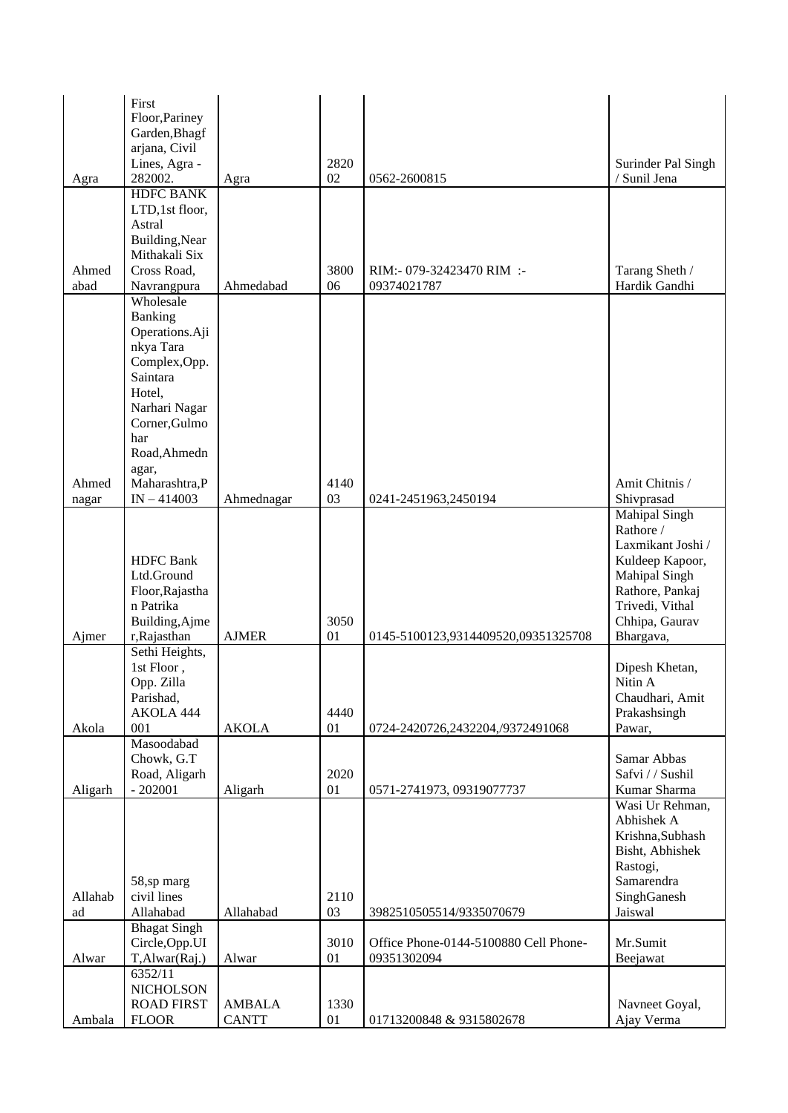|         | First<br>Floor, Pariney          |               |      |                                       |                                     |
|---------|----------------------------------|---------------|------|---------------------------------------|-------------------------------------|
|         | Garden, Bhagf                    |               |      |                                       |                                     |
|         | arjana, Civil<br>Lines, Agra -   |               | 2820 |                                       | Surinder Pal Singh                  |
| Agra    | 282002.                          | Agra          | 02   | 0562-2600815                          | / Sunil Jena                        |
|         | <b>HDFC BANK</b>                 |               |      |                                       |                                     |
|         | LTD,1st floor,                   |               |      |                                       |                                     |
|         | Astral<br>Building, Near         |               |      |                                       |                                     |
|         | Mithakali Six                    |               |      |                                       |                                     |
| Ahmed   | Cross Road,                      |               | 3800 | RIM:- 079-32423470 RIM :-             | Tarang Sheth /                      |
| abad    | Navrangpura                      | Ahmedabad     | 06   | 09374021787                           | Hardik Gandhi                       |
|         | Wholesale                        |               |      |                                       |                                     |
|         | Banking<br>Operations.Aji        |               |      |                                       |                                     |
|         | nkya Tara                        |               |      |                                       |                                     |
|         | Complex, Opp.                    |               |      |                                       |                                     |
|         | Saintara<br>Hotel,               |               |      |                                       |                                     |
|         | Narhari Nagar                    |               |      |                                       |                                     |
|         | Corner, Gulmo                    |               |      |                                       |                                     |
|         | har                              |               |      |                                       |                                     |
|         | Road, Ahmedn                     |               |      |                                       |                                     |
| Ahmed   | agar,<br>Maharashtra, P          |               | 4140 |                                       | Amit Chitnis /                      |
| nagar   | $IN - 414003$                    | Ahmednagar    | 03   | 0241-2451963,2450194                  | Shivprasad                          |
|         |                                  |               |      |                                       | <b>Mahipal Singh</b>                |
|         |                                  |               |      |                                       | Rathore /<br>Laxmikant Joshi /      |
|         | <b>HDFC</b> Bank                 |               |      |                                       | Kuldeep Kapoor,                     |
|         | Ltd.Ground                       |               |      |                                       | <b>Mahipal Singh</b>                |
|         | Floor, Rajastha                  |               |      |                                       | Rathore, Pankaj                     |
|         | n Patrika<br>Building, Ajme      |               | 3050 |                                       | Trivedi, Vithal<br>Chhipa, Gaurav   |
| Ajmer   | r, Rajasthan                     | <b>AJMER</b>  | 01   | 0145-5100123,9314409520,09351325708   | Bhargava,                           |
|         | Sethi Heights,                   |               |      |                                       |                                     |
|         | 1st Floor,                       |               |      |                                       | Dipesh Khetan,                      |
|         | Opp. Zilla<br>Parishad,          |               |      |                                       | Nitin A<br>Chaudhari, Amit          |
|         | AKOLA 444                        |               | 4440 |                                       | Prakashsingh                        |
| Akola   | 001                              | <b>AKOLA</b>  | 01   | 0724-2420726,2432204,/9372491068      | Pawar,                              |
|         | Masoodabad<br>Chowk, G.T         |               |      |                                       | Samar Abbas                         |
|         | Road, Aligarh                    |               | 2020 |                                       | Safvi / / Sushil                    |
| Aligarh | $-202001$                        | Aligarh       | 01   | 0571-2741973, 09319077737             | Kumar Sharma                        |
|         |                                  |               |      |                                       | Wasi Ur Rehman,                     |
|         |                                  |               |      |                                       | Abhishek A                          |
|         |                                  |               |      |                                       | Krishna, Subhash<br>Bisht, Abhishek |
|         |                                  |               |      |                                       | Rastogi,                            |
|         | 58,sp marg                       |               |      |                                       | Samarendra                          |
| Allahab | civil lines                      |               | 2110 |                                       | SinghGanesh                         |
| ad      | Allahabad<br><b>Bhagat Singh</b> | Allahabad     | 03   | 3982510505514/9335070679              | Jaiswal                             |
|         | Circle, Opp.UI                   |               | 3010 | Office Phone-0144-5100880 Cell Phone- | Mr.Sumit                            |
| Alwar   | T,Alwar(Raj.)                    | Alwar         | 01   | 09351302094                           | Beejawat                            |
|         | 6352/11<br><b>NICHOLSON</b>      |               |      |                                       |                                     |
|         | <b>ROAD FIRST</b>                | <b>AMBALA</b> | 1330 |                                       | Navneet Goyal,                      |
| Ambala  | <b>FLOOR</b>                     | <b>CANTT</b>  | 01   | 01713200848 & 9315802678              | Ajay Verma                          |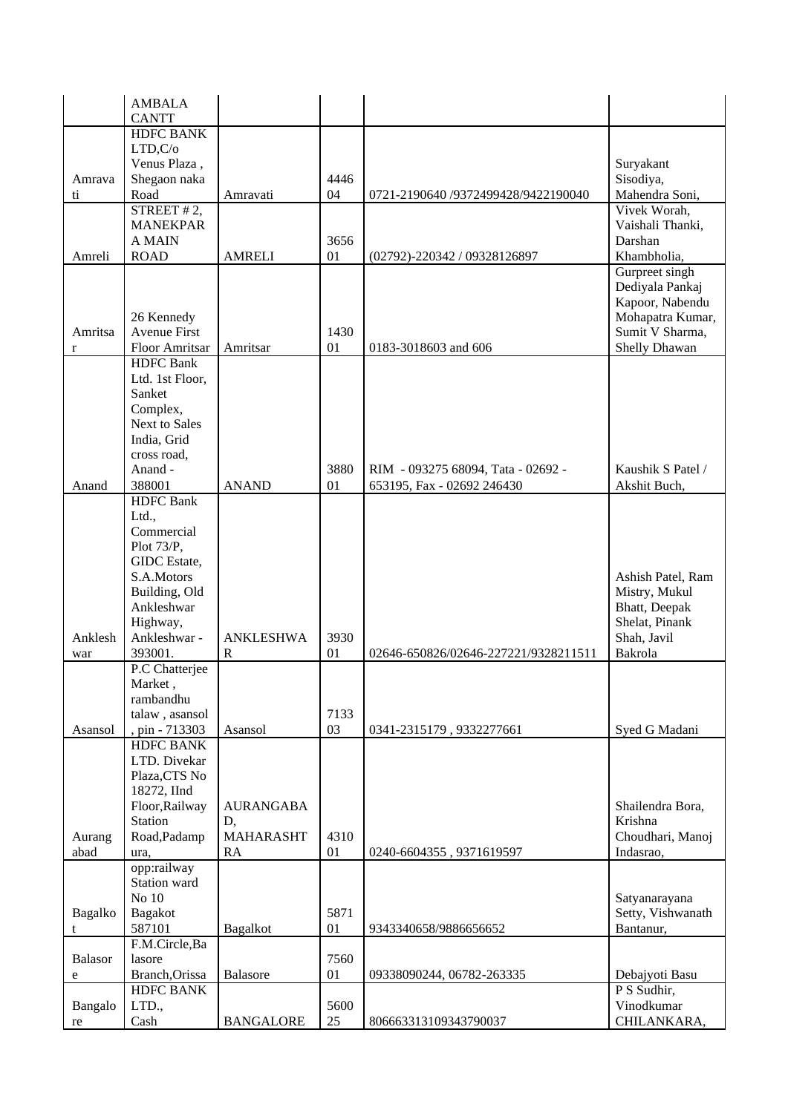|                | AMBALA                    |                  |      |                                      |                   |
|----------------|---------------------------|------------------|------|--------------------------------------|-------------------|
|                | <b>CANTT</b>              |                  |      |                                      |                   |
|                | <b>HDFC BANK</b>          |                  |      |                                      |                   |
|                | LTD,C/o                   |                  |      |                                      |                   |
|                | Venus Plaza,              |                  |      |                                      | Suryakant         |
| Amrava         | Shegaon naka              |                  | 4446 |                                      | Sisodiya,         |
| ti             | Road                      | Amravati         | 04   | 0721-2190640 /9372499428/9422190040  | Mahendra Soni,    |
|                | STREET $#2,$              |                  |      |                                      | Vivek Worah,      |
|                | <b>MANEKPAR</b>           |                  |      |                                      | Vaishali Thanki,  |
|                | <b>A MAIN</b>             |                  | 3656 |                                      | Darshan           |
| Amreli         | <b>ROAD</b>               | <b>AMRELI</b>    | 01   | (02792)-220342 / 09328126897         | Khambholia,       |
|                |                           |                  |      |                                      | Gurpreet singh    |
|                |                           |                  |      |                                      | Dediyala Pankaj   |
|                |                           |                  |      |                                      | Kapoor, Nabendu   |
|                | 26 Kennedy                |                  |      |                                      | Mohapatra Kumar,  |
| Amritsa        | <b>Avenue First</b>       |                  | 1430 |                                      | Sumit V Sharma,   |
| r              | Floor Amritsar            | Amritsar         | 01   | 0183-3018603 and 606                 | Shelly Dhawan     |
|                | <b>HDFC</b> Bank          |                  |      |                                      |                   |
|                | Ltd. 1st Floor,           |                  |      |                                      |                   |
|                | Sanket                    |                  |      |                                      |                   |
|                | Complex,                  |                  |      |                                      |                   |
|                | Next to Sales             |                  |      |                                      |                   |
|                | India, Grid               |                  |      |                                      |                   |
|                | cross road,               |                  |      |                                      |                   |
|                | Anand -                   |                  | 3880 | RIM - 093275 68094, Tata - 02692 -   | Kaushik S Patel / |
| Anand          | 388001                    | <b>ANAND</b>     | 01   | 653195, Fax - 02692 246430           | Akshit Buch,      |
|                | <b>HDFC</b> Bank<br>Ltd., |                  |      |                                      |                   |
|                | Commercial                |                  |      |                                      |                   |
|                | Plot 73/P,                |                  |      |                                      |                   |
|                | GIDC Estate,              |                  |      |                                      |                   |
|                | S.A.Motors                |                  |      |                                      | Ashish Patel, Ram |
|                | Building, Old             |                  |      |                                      | Mistry, Mukul     |
|                | Ankleshwar                |                  |      |                                      | Bhatt, Deepak     |
|                | Highway,                  |                  |      |                                      | Shelat, Pinank    |
| Anklesh        | Ankleshwar -              | <b>ANKLESHWA</b> | 3930 |                                      | Shah, Javil       |
| war            | 393001.                   | ${\bf R}$        | 01   | 02646-650826/02646-227221/9328211511 | Bakrola           |
|                | P.C Chatterjee            |                  |      |                                      |                   |
|                | Market.                   |                  |      |                                      |                   |
|                | rambandhu                 |                  |      |                                      |                   |
|                | talaw, asansol            |                  | 7133 |                                      |                   |
| Asansol        | , pin - 713303            | Asansol          | 03   | 0341-2315179, 9332277661             | Syed G Madani     |
|                | <b>HDFC BANK</b>          |                  |      |                                      |                   |
|                | LTD. Divekar              |                  |      |                                      |                   |
|                | Plaza, CTS No             |                  |      |                                      |                   |
|                | 18272, IInd               |                  |      |                                      |                   |
|                | Floor, Railway            | <b>AURANGABA</b> |      |                                      | Shailendra Bora,  |
|                | Station                   | D,               |      |                                      | Krishna           |
| Aurang         | Road, Padamp              | <b>MAHARASHT</b> | 4310 |                                      | Choudhari, Manoj  |
| abad           | ura,                      | RA               | 01   | 0240-6604355, 9371619597             | Indasrao,         |
|                | opp:railway               |                  |      |                                      |                   |
|                | Station ward              |                  |      |                                      |                   |
|                | No 10                     |                  |      |                                      | Satyanarayana     |
| Bagalko        | Bagakot                   |                  | 5871 |                                      | Setty, Vishwanath |
| t              | 587101                    | <b>Bagalkot</b>  | 01   | 9343340658/9886656652                | Bantanur,         |
|                | F.M.Circle,Ba             |                  |      |                                      |                   |
| <b>Balasor</b> | lasore                    |                  | 7560 |                                      |                   |
| ${\bf e}$      | Branch, Orissa            | Balasore         | 01   | 09338090244, 06782-263335            | Debajyoti Basu    |
|                | <b>HDFC BANK</b>          |                  |      |                                      | P S Sudhir,       |
| Bangalo        | LTD.,                     |                  | 5600 |                                      | Vinodkumar        |
| re             | Cash                      | <b>BANGALORE</b> | 25   | 806663313109343790037                | CHILANKARA,       |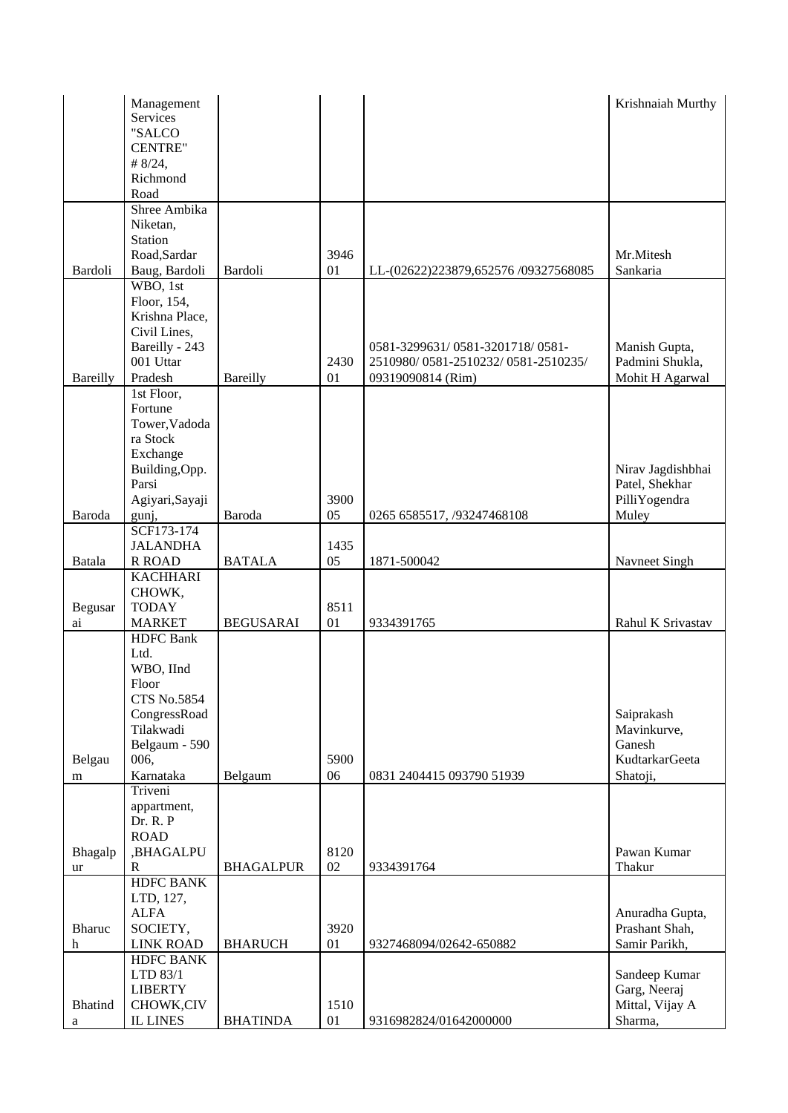|                | Management                |                  |      |                                     | Krishnaiah Murthy         |
|----------------|---------------------------|------------------|------|-------------------------------------|---------------------------|
|                | Services                  |                  |      |                                     |                           |
|                | "SALCO                    |                  |      |                                     |                           |
|                | <b>CENTRE"</b>            |                  |      |                                     |                           |
|                | # $8/24$ ,                |                  |      |                                     |                           |
|                | Richmond                  |                  |      |                                     |                           |
|                | Road                      |                  |      |                                     |                           |
|                | Shree Ambika              |                  |      |                                     |                           |
|                | Niketan,                  |                  |      |                                     |                           |
|                | Station                   |                  | 3946 |                                     |                           |
|                | Road, Sardar              |                  |      |                                     | Mr.Mitesh<br>Sankaria     |
| Bardoli        | Baug, Bardoli<br>WBO, 1st | Bardoli          | 01   | LL-(02622)223879,652576/09327568085 |                           |
|                | Floor, 154,               |                  |      |                                     |                           |
|                | Krishna Place,            |                  |      |                                     |                           |
|                | Civil Lines,              |                  |      |                                     |                           |
|                | Bareilly - 243            |                  |      | 0581-3299631/0581-3201718/0581-     | Manish Gupta,             |
|                | 001 Uttar                 |                  | 2430 | 2510980/0581-2510232/0581-2510235/  | Padmini Shukla,           |
| Bareilly       | Pradesh                   | Bareilly         | 01   | 09319090814 (Rim)                   | Mohit H Agarwal           |
|                | 1st Floor,                |                  |      |                                     |                           |
|                | Fortune                   |                  |      |                                     |                           |
|                | Tower, Vadoda             |                  |      |                                     |                           |
|                | ra Stock                  |                  |      |                                     |                           |
|                | Exchange                  |                  |      |                                     |                           |
|                | Building, Opp.            |                  |      |                                     | Nirav Jagdishbhai         |
|                | Parsi                     |                  |      |                                     | Patel, Shekhar            |
|                | Agiyari, Sayaji           |                  | 3900 |                                     | PilliYogendra             |
| Baroda         | gunj,                     | Baroda           | 05   | 0265 6585517, /93247468108          | Muley                     |
|                | SCF173-174                |                  |      |                                     |                           |
|                | <b>JALANDHA</b>           |                  | 1435 |                                     |                           |
| Batala         | <b>R ROAD</b>             | <b>BATALA</b>    | 05   | 1871-500042                         | Navneet Singh             |
|                | <b>KACHHARI</b>           |                  |      |                                     |                           |
|                | CHOWK,                    |                  |      |                                     |                           |
| Begusar        | <b>TODAY</b>              |                  | 8511 |                                     |                           |
| ai             | <b>MARKET</b>             | <b>BEGUSARAI</b> | 01   | 9334391765                          | Rahul K Srivastav         |
|                | <b>HDFC</b> Bank          |                  |      |                                     |                           |
|                | Ltd.                      |                  |      |                                     |                           |
|                | WBO, IInd                 |                  |      |                                     |                           |
|                | Floor                     |                  |      |                                     |                           |
|                | <b>CTS No.5854</b>        |                  |      |                                     |                           |
|                | CongressRoad<br>Tilakwadi |                  |      |                                     | Saiprakash<br>Mavinkurve, |
|                | Belgaum - 590             |                  |      |                                     | Ganesh                    |
| Belgau         | 006,                      |                  | 5900 |                                     | <b>KudtarkarGeeta</b>     |
| m              | Karnataka                 | Belgaum          | 06   | 0831 2404415 093790 51939           | Shatoji,                  |
|                | Triveni                   |                  |      |                                     |                           |
|                | appartment,               |                  |      |                                     |                           |
|                | Dr. R. P                  |                  |      |                                     |                           |
|                | <b>ROAD</b>               |                  |      |                                     |                           |
| Bhagalp        | ,BHAGALPU                 |                  | 8120 |                                     | Pawan Kumar               |
| ur             | $\mathbf R$               | <b>BHAGALPUR</b> | 02   | 9334391764                          | Thakur                    |
|                | <b>HDFC BANK</b>          |                  |      |                                     |                           |
|                | LTD, 127,                 |                  |      |                                     |                           |
|                | <b>ALFA</b>               |                  |      |                                     | Anuradha Gupta,           |
| Bharuc         | SOCIETY,                  |                  | 3920 |                                     | Prashant Shah,            |
| h              | <b>LINK ROAD</b>          | <b>BHARUCH</b>   | 01   | 9327468094/02642-650882             | Samir Parikh,             |
|                | <b>HDFC BANK</b>          |                  |      |                                     |                           |
|                | LTD 83/1                  |                  |      |                                     | Sandeep Kumar             |
|                | <b>LIBERTY</b>            |                  |      |                                     | Garg, Neeraj              |
| <b>Bhatind</b> | CHOWK,CIV                 |                  | 1510 |                                     | Mittal, Vijay A           |
| a              | <b>IL LINES</b>           | <b>BHATINDA</b>  | 01   | 9316982824/01642000000              | Sharma,                   |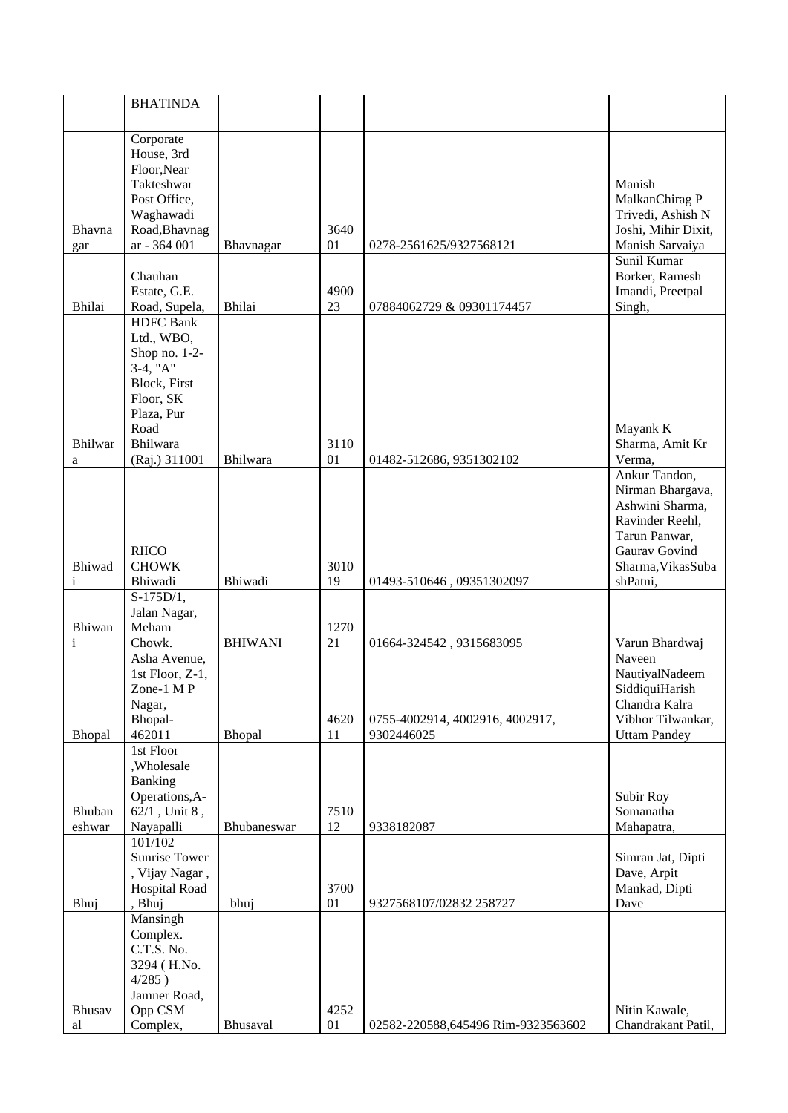| Corporate<br>House, 3rd<br>Floor, Near<br>Takteshwar<br>Manish<br>MalkanChirag P<br>Post Office,<br>Trivedi, Ashish N<br>Waghawadi<br>Road, Bhavnag<br>3640<br>Joshi, Mihir Dixit,<br>Bhavna<br>ar - 364 001<br>Manish Sarvaiya<br>Bhavnagar<br>01<br>0278-2561625/9327568121<br>gar<br>Sunil Kumar<br>Chauhan<br>Borker, Ramesh<br>Estate, G.E.<br>4900<br>Imandi, Preetpal<br>Bhilai<br>Bhilai<br>23<br>Singh,<br>Road, Supela,<br>07884062729 & 09301174457<br><b>HDFC</b> Bank<br>Ltd., WBO,<br>Shop no. 1-2-<br>3-4, "A"<br>Block, First<br>Floor, SK<br>Plaza, Pur<br>Road<br>Mayank K<br>Bhilwar<br>Bhilwara<br>3110<br>Sharma, Amit Kr<br>Bhilwara<br>01<br>Verma,<br>(Raj.) 311001<br>01482-512686, 9351302102<br>a<br>Ankur Tandon,<br>Nirman Bhargava,<br>Ashwini Sharma,<br>Ravinder Reehl,<br>Tarun Panwar,<br>Gaurav Govind<br><b>RIICO</b><br>Bhiwad<br><b>CHOWK</b><br>3010<br>Sharma, Vikas Suba<br>Bhiwadi<br>19<br>shPatni,<br>Bhiwadi<br>01493-510646, 09351302097<br>$\mathbf i$<br>$S-175D/1,$<br>Jalan Nagar,<br>Bhiwan<br>Meham<br>1270<br>Chowk.<br><b>BHIWANI</b><br>Varun Bhardwaj<br>21<br>i<br>01664-324542, 9315683095<br>Asha Avenue,<br>Naveen<br>1st Floor, Z-1,<br>NautiyalNadeem<br>Zone-1 M P<br>SiddiquiHarish<br>Chandra Kalra<br>Nagar,<br>Vibhor Tilwankar,<br>Bhopal-<br>4620<br>0755-4002914, 4002916, 4002917,<br>462011<br><b>Uttam Pandey</b><br>Bhopal<br>Bhopal<br>11<br>9302446025<br>1st Floor<br>,Wholesale<br>Banking<br>Operations, A-<br>Subir Roy<br>$62/1$ , Unit 8,<br>Bhuban<br>7510<br>Somanatha<br>Nayapalli<br>eshwar<br>12<br>9338182087<br>Mahapatra,<br>Bhubaneswar |  |
|------------------------------------------------------------------------------------------------------------------------------------------------------------------------------------------------------------------------------------------------------------------------------------------------------------------------------------------------------------------------------------------------------------------------------------------------------------------------------------------------------------------------------------------------------------------------------------------------------------------------------------------------------------------------------------------------------------------------------------------------------------------------------------------------------------------------------------------------------------------------------------------------------------------------------------------------------------------------------------------------------------------------------------------------------------------------------------------------------------------------------------------------------------------------------------------------------------------------------------------------------------------------------------------------------------------------------------------------------------------------------------------------------------------------------------------------------------------------------------------------------------------------------------------------------------------------------------------------------------------------------------|--|
|                                                                                                                                                                                                                                                                                                                                                                                                                                                                                                                                                                                                                                                                                                                                                                                                                                                                                                                                                                                                                                                                                                                                                                                                                                                                                                                                                                                                                                                                                                                                                                                                                                    |  |
|                                                                                                                                                                                                                                                                                                                                                                                                                                                                                                                                                                                                                                                                                                                                                                                                                                                                                                                                                                                                                                                                                                                                                                                                                                                                                                                                                                                                                                                                                                                                                                                                                                    |  |
|                                                                                                                                                                                                                                                                                                                                                                                                                                                                                                                                                                                                                                                                                                                                                                                                                                                                                                                                                                                                                                                                                                                                                                                                                                                                                                                                                                                                                                                                                                                                                                                                                                    |  |
|                                                                                                                                                                                                                                                                                                                                                                                                                                                                                                                                                                                                                                                                                                                                                                                                                                                                                                                                                                                                                                                                                                                                                                                                                                                                                                                                                                                                                                                                                                                                                                                                                                    |  |
|                                                                                                                                                                                                                                                                                                                                                                                                                                                                                                                                                                                                                                                                                                                                                                                                                                                                                                                                                                                                                                                                                                                                                                                                                                                                                                                                                                                                                                                                                                                                                                                                                                    |  |
|                                                                                                                                                                                                                                                                                                                                                                                                                                                                                                                                                                                                                                                                                                                                                                                                                                                                                                                                                                                                                                                                                                                                                                                                                                                                                                                                                                                                                                                                                                                                                                                                                                    |  |
|                                                                                                                                                                                                                                                                                                                                                                                                                                                                                                                                                                                                                                                                                                                                                                                                                                                                                                                                                                                                                                                                                                                                                                                                                                                                                                                                                                                                                                                                                                                                                                                                                                    |  |
|                                                                                                                                                                                                                                                                                                                                                                                                                                                                                                                                                                                                                                                                                                                                                                                                                                                                                                                                                                                                                                                                                                                                                                                                                                                                                                                                                                                                                                                                                                                                                                                                                                    |  |
|                                                                                                                                                                                                                                                                                                                                                                                                                                                                                                                                                                                                                                                                                                                                                                                                                                                                                                                                                                                                                                                                                                                                                                                                                                                                                                                                                                                                                                                                                                                                                                                                                                    |  |
|                                                                                                                                                                                                                                                                                                                                                                                                                                                                                                                                                                                                                                                                                                                                                                                                                                                                                                                                                                                                                                                                                                                                                                                                                                                                                                                                                                                                                                                                                                                                                                                                                                    |  |
|                                                                                                                                                                                                                                                                                                                                                                                                                                                                                                                                                                                                                                                                                                                                                                                                                                                                                                                                                                                                                                                                                                                                                                                                                                                                                                                                                                                                                                                                                                                                                                                                                                    |  |
|                                                                                                                                                                                                                                                                                                                                                                                                                                                                                                                                                                                                                                                                                                                                                                                                                                                                                                                                                                                                                                                                                                                                                                                                                                                                                                                                                                                                                                                                                                                                                                                                                                    |  |
| 101/102<br><b>Sunrise Tower</b><br>Simran Jat, Dipti<br>Dave, Arpit<br>, Vijay Nagar,<br>Hospital Road<br>3700<br>Mankad, Dipti<br>Dave<br>Bhuj<br>, Bhuj<br>bhuj<br>01<br>9327568107/02832 258727                                                                                                                                                                                                                                                                                                                                                                                                                                                                                                                                                                                                                                                                                                                                                                                                                                                                                                                                                                                                                                                                                                                                                                                                                                                                                                                                                                                                                                 |  |
| Mansingh<br>Complex.<br>C.T.S. No.<br>3294 (H.No.<br>$4/285$ )<br>Jamner Road,<br>Opp CSM<br>4252<br>Bhusav<br>Nitin Kawale,<br>Complex,<br>Bhusaval<br>01<br>02582-220588,645496 Rim-9323563602<br>Chandrakant Patil,<br>al                                                                                                                                                                                                                                                                                                                                                                                                                                                                                                                                                                                                                                                                                                                                                                                                                                                                                                                                                                                                                                                                                                                                                                                                                                                                                                                                                                                                       |  |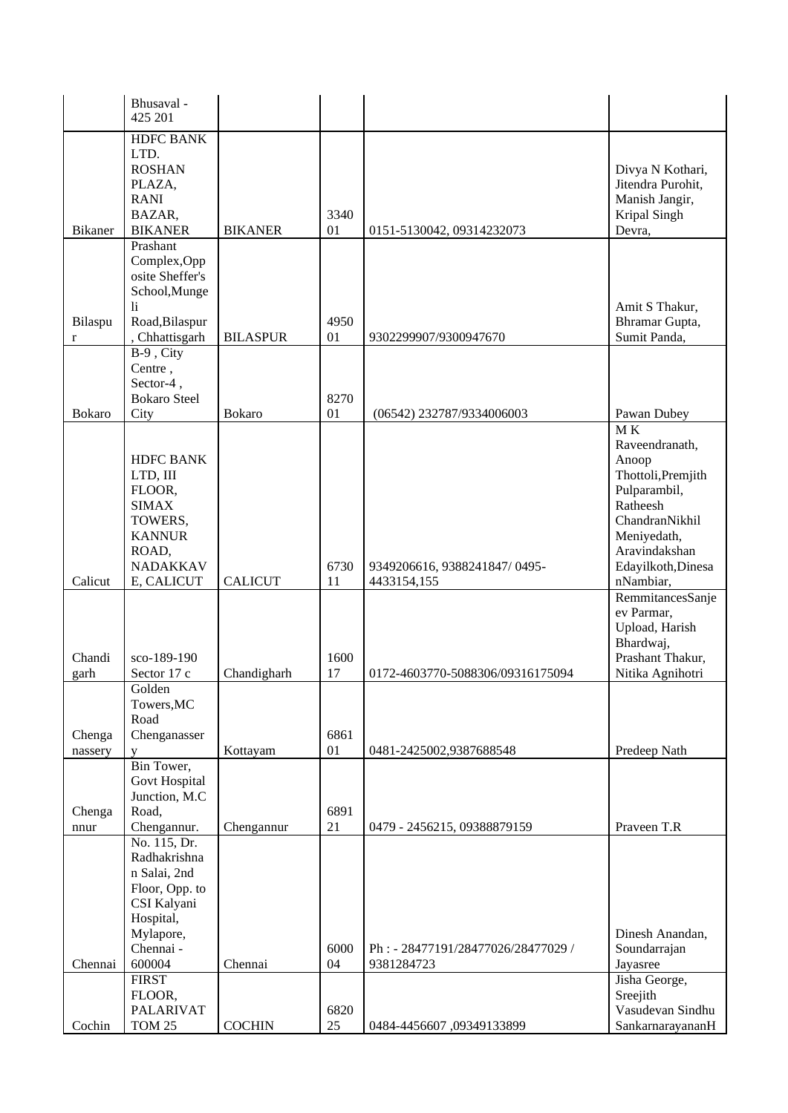|                         | Bhusaval -<br>425 201                                                                                                                         |                       |                  |                                                                                 |                                                                                                                                                                      |
|-------------------------|-----------------------------------------------------------------------------------------------------------------------------------------------|-----------------------|------------------|---------------------------------------------------------------------------------|----------------------------------------------------------------------------------------------------------------------------------------------------------------------|
| <b>Bikaner</b>          | <b>HDFC BANK</b><br>LTD.<br><b>ROSHAN</b><br>PLAZA,<br><b>RANI</b><br>BAZAR,<br><b>BIKANER</b>                                                | <b>BIKANER</b>        | 3340<br>01       | 0151-5130042, 09314232073                                                       | Divya N Kothari,<br>Jitendra Purohit,<br>Manish Jangir,<br>Kripal Singh<br>Devra,                                                                                    |
|                         | Prashant<br>Complex, Opp<br>osite Sheffer's<br>School, Munge<br>li                                                                            |                       |                  |                                                                                 | Amit S Thakur,                                                                                                                                                       |
| Bilaspu<br>$\mathbf{r}$ | Road, Bilaspur<br>, Chhattisgarh                                                                                                              | <b>BILASPUR</b>       | 4950<br>01       | 9302299907/9300947670                                                           | Bhramar Gupta,<br>Sumit Panda,                                                                                                                                       |
| <b>Bokaro</b>           | $B-9$ , City<br>Centre,<br>Sector-4,<br><b>Bokaro Steel</b><br>City                                                                           | <b>Bokaro</b>         | 8270<br>01       | (06542) 232787/9334006003                                                       | Pawan Dubey                                                                                                                                                          |
|                         | <b>HDFC BANK</b><br>LTD, III<br>FLOOR,<br><b>SIMAX</b><br>TOWERS,<br><b>KANNUR</b><br>ROAD,<br><b>NADAKKAV</b>                                |                       | 6730             | 9349206616, 9388241847/0495-                                                    | $\overline{M}K$<br>Raveendranath,<br>Anoop<br>Thottoli, Premjith<br>Pulparambil,<br>Ratheesh<br>ChandranNikhil<br>Meniyedath,<br>Aravindakshan<br>Edayilkoth, Dinesa |
| Calicut                 | E, CALICUT                                                                                                                                    | <b>CALICUT</b>        | 11               | 4433154,155                                                                     | nNambiar,<br>RemmitancesSanje<br>ev Parmar,<br>Upload, Harish<br>Bhardwaj,                                                                                           |
| Chandi<br>garh          | sco-189-190<br>Sector 17 c                                                                                                                    | Chandigharh           | 1600<br>17       | 0172-4603770-5088306/09316175094                                                | Prashant Thakur,<br>Nitika Agnihotri                                                                                                                                 |
| Chenga                  | Golden<br>Towers, MC<br>Road<br>Chenganasser                                                                                                  | Kottayam              | 6861<br>01       | 0481-2425002,9387688548                                                         | Predeep Nath                                                                                                                                                         |
| nassery<br>Chenga       | V<br>Bin Tower,<br>Govt Hospital<br>Junction, M.C<br>Road,                                                                                    |                       | 6891             |                                                                                 |                                                                                                                                                                      |
| nnur<br>Chennai         | Chengannur.<br>No. 115, Dr.<br>Radhakrishna<br>n Salai, 2nd<br>Floor, Opp. to<br>CSI Kalyani<br>Hospital,<br>Mylapore,<br>Chennai -<br>600004 | Chengannur<br>Chennai | 21<br>6000<br>04 | 0479 - 2456215, 09388879159<br>Ph: - 28477191/28477026/28477029 /<br>9381284723 | Praveen T.R<br>Dinesh Anandan,<br>Soundarrajan<br>Jayasree                                                                                                           |
| Cochin                  | <b>FIRST</b><br>FLOOR,<br><b>PALARIVAT</b><br><b>TOM 25</b>                                                                                   | <b>COCHIN</b>         | 6820<br>25       | 0484-4456607,09349133899                                                        | Jisha George,<br>Sreejith<br>Vasudevan Sindhu<br>SankarnarayananH                                                                                                    |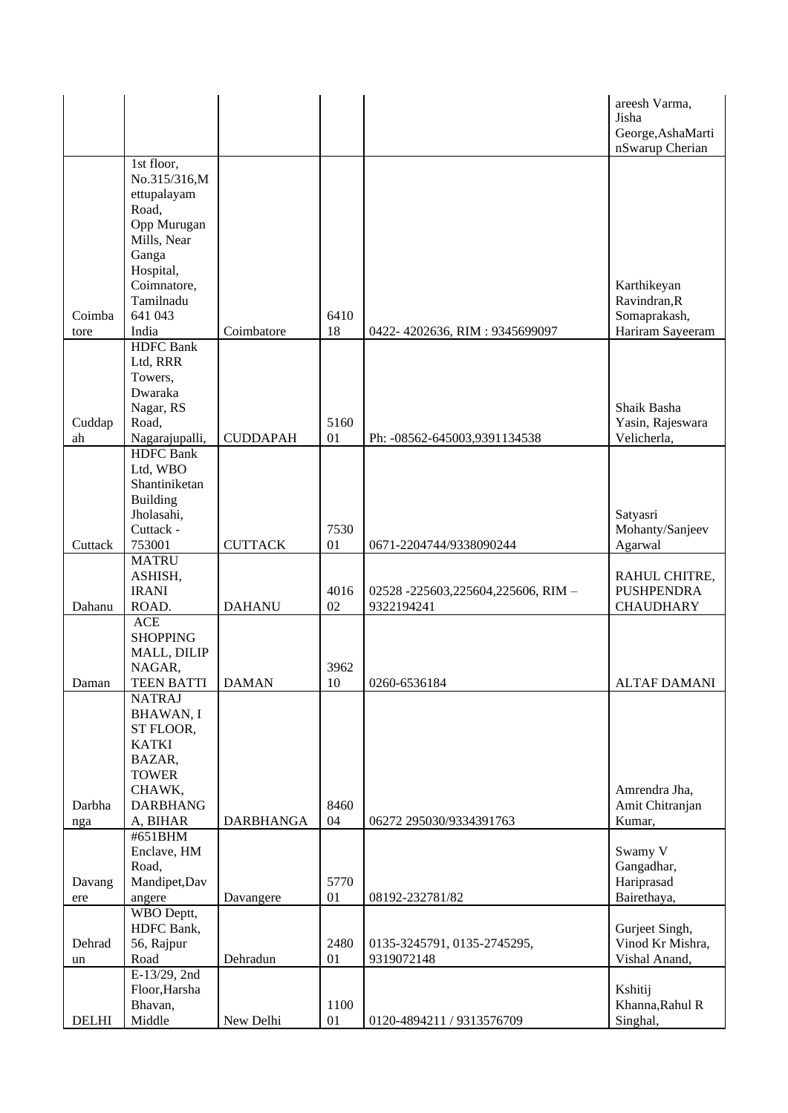|              |                                    |                  |      |                                    | areesh Varma,<br>Jisha               |
|--------------|------------------------------------|------------------|------|------------------------------------|--------------------------------------|
|              |                                    |                  |      |                                    | George, AshaMarti<br>nSwarup Cherian |
|              | 1st floor,                         |                  |      |                                    |                                      |
|              | No.315/316,M<br>ettupalayam        |                  |      |                                    |                                      |
|              | Road,                              |                  |      |                                    |                                      |
|              | Opp Murugan                        |                  |      |                                    |                                      |
|              | Mills, Near                        |                  |      |                                    |                                      |
|              | Ganga<br>Hospital,                 |                  |      |                                    |                                      |
|              | Coimnatore,                        |                  |      |                                    | Karthikeyan                          |
|              | Tamilnadu                          |                  |      |                                    | Ravindran, R                         |
| Coimba       | 641 043                            |                  | 6410 |                                    | Somaprakash,                         |
| tore         | India<br><b>HDFC</b> Bank          | Coimbatore       | 18   | 0422-4202636, RIM: 9345699097      | Hariram Sayeeram                     |
|              | Ltd, RRR                           |                  |      |                                    |                                      |
|              | Towers,                            |                  |      |                                    |                                      |
|              | Dwaraka                            |                  |      |                                    |                                      |
| Cuddap       | Nagar, RS<br>Road,                 |                  | 5160 |                                    | Shaik Basha<br>Yasin, Rajeswara      |
| ah           | Nagarajupalli,                     | <b>CUDDAPAH</b>  | 01   | Ph: -08562-645003,9391134538       | Velicherla,                          |
|              | <b>HDFC</b> Bank                   |                  |      |                                    |                                      |
|              | Ltd, WBO<br>Shantiniketan          |                  |      |                                    |                                      |
|              | <b>Building</b>                    |                  |      |                                    |                                      |
|              | Jholasahi,                         |                  |      |                                    | Satyasri                             |
|              | Cuttack -                          |                  | 7530 |                                    | Mohanty/Sanjeev                      |
| Cuttack      | 753001<br><b>MATRU</b>             | <b>CUTTACK</b>   | 01   | 0671-2204744/9338090244            | Agarwal                              |
|              | ASHISH,                            |                  |      |                                    | RAHUL CHITRE,                        |
|              | <b>IRANI</b>                       |                  | 4016 | 02528 -225603,225604,225606, RIM - | <b>PUSHPENDRA</b>                    |
| Dahanu       | ROAD.                              | <b>DAHANU</b>    | 02   | 9322194241                         | <b>CHAUDHARY</b>                     |
|              | ACE<br><b>SHOPPING</b>             |                  |      |                                    |                                      |
|              | MALL, DILIP                        |                  |      |                                    |                                      |
|              | NAGAR,                             |                  | 3962 |                                    |                                      |
| Daman        | <b>TEEN BATTI</b><br><b>NATRAJ</b> | <b>DAMAN</b>     | 10   | 0260-6536184                       | <b>ALTAF DAMANI</b>                  |
|              | <b>BHAWAN, I</b>                   |                  |      |                                    |                                      |
|              | ST FLOOR,                          |                  |      |                                    |                                      |
|              | <b>KATKI</b>                       |                  |      |                                    |                                      |
|              | BAZAR,<br><b>TOWER</b>             |                  |      |                                    |                                      |
|              | CHAWK,                             |                  |      |                                    | Amrendra Jha,                        |
| Darbha       | <b>DARBHANG</b>                    |                  | 8460 |                                    | Amit Chitranjan                      |
| nga          | A, BIHAR                           | <b>DARBHANGA</b> | 04   | 06272 295030/9334391763            | Kumar,                               |
|              | #651BHM<br>Enclave, HM             |                  |      |                                    | Swamy V                              |
|              | Road,                              |                  |      |                                    | Gangadhar,                           |
| Davang       | Mandipet, Dav                      |                  | 5770 |                                    | Hariprasad                           |
| ere          | angere                             | Davangere        | 01   | 08192-232781/82                    | Bairethaya,                          |
|              | WBO Deptt,<br>HDFC Bank,           |                  |      |                                    | Gurjeet Singh,                       |
| Dehrad       | 56, Rajpur                         |                  | 2480 | 0135-3245791, 0135-2745295,        | Vinod Kr Mishra,                     |
| un           | Road                               | Dehradun         | 01   | 9319072148                         | Vishal Anand,                        |
|              | E-13/29, 2nd<br>Floor, Harsha      |                  |      |                                    | Kshitij                              |
|              | Bhavan,                            |                  | 1100 |                                    | Khanna, Rahul R                      |
| <b>DELHI</b> | Middle                             | New Delhi        | 01   | 0120-4894211 / 9313576709          | Singhal,                             |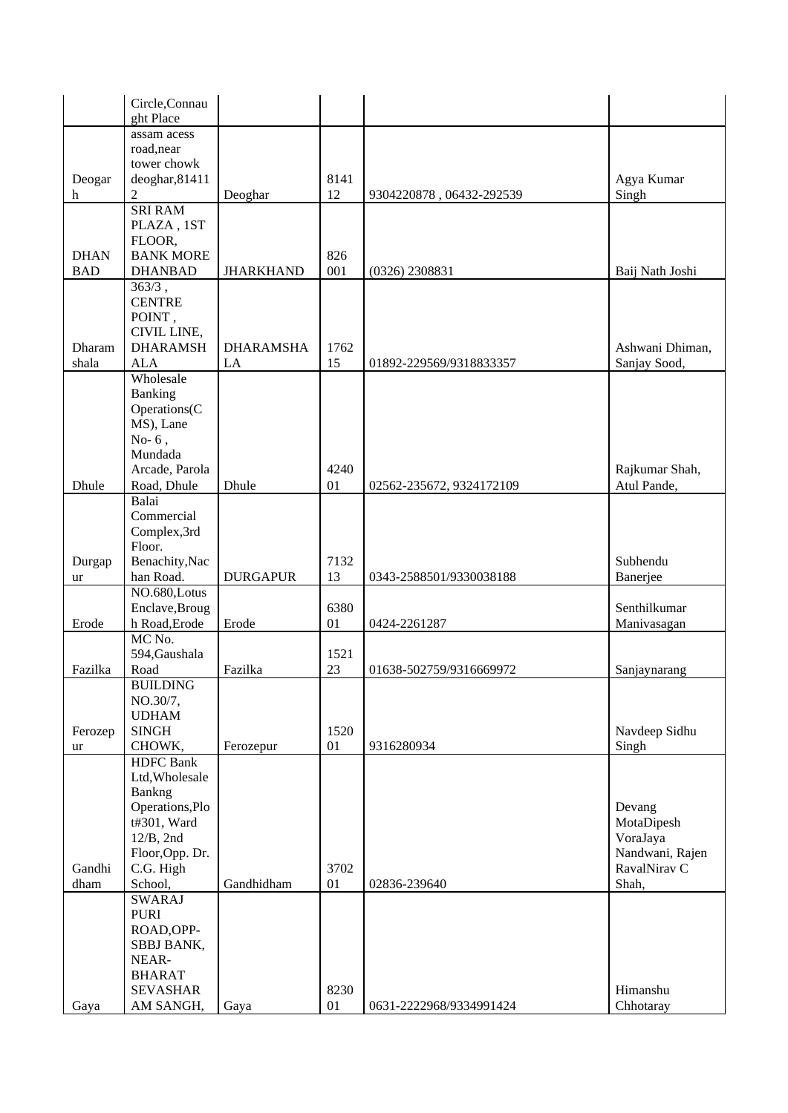|             | Circle, Connau                  |                  |            |                          |                             |
|-------------|---------------------------------|------------------|------------|--------------------------|-----------------------------|
|             | ght Place                       |                  |            |                          |                             |
|             | assam acess                     |                  |            |                          |                             |
|             | road, near                      |                  |            |                          |                             |
|             | tower chowk                     |                  |            |                          |                             |
| Deogar      | deoghar, 81411                  |                  | 8141       |                          | Agya Kumar                  |
| h           | $\overline{2}$                  | Deoghar          | 12         | 9304220878, 06432-292539 | Singh                       |
|             | <b>SRI RAM</b>                  |                  |            |                          |                             |
|             | PLAZA, 1ST                      |                  |            |                          |                             |
| <b>DHAN</b> | FLOOR,<br><b>BANK MORE</b>      |                  |            |                          |                             |
| <b>BAD</b>  | <b>DHANBAD</b>                  | <b>JHARKHAND</b> | 826<br>001 | $(0326)$ 2308831         | Baij Nath Joshi             |
|             | $363/3$ ,                       |                  |            |                          |                             |
|             | <b>CENTRE</b>                   |                  |            |                          |                             |
|             | POINT,                          |                  |            |                          |                             |
|             | CIVIL LINE,                     |                  |            |                          |                             |
| Dharam      | <b>DHARAMSH</b>                 | <b>DHARAMSHA</b> | 1762       |                          | Ashwani Dhiman,             |
| shala       | <b>ALA</b>                      | LA               | 15         | 01892-229569/9318833357  | Sanjay Sood,                |
|             | Wholesale                       |                  |            |                          |                             |
|             | Banking                         |                  |            |                          |                             |
|             | Operations(C                    |                  |            |                          |                             |
|             | MS), Lane                       |                  |            |                          |                             |
|             | No- $6,$                        |                  |            |                          |                             |
|             | Mundada                         |                  |            |                          |                             |
|             | Arcade, Parola                  |                  | 4240       |                          | Rajkumar Shah,              |
| Dhule       | Road, Dhule                     | Dhule            | 01         | 02562-235672, 9324172109 | Atul Pande,                 |
|             | Balai                           |                  |            |                          |                             |
|             | Commercial                      |                  |            |                          |                             |
|             | Complex,3rd                     |                  |            |                          |                             |
|             | Floor.                          |                  |            |                          |                             |
| Durgap      | Benachity, Nac<br>han Road.     | <b>DURGAPUR</b>  | 7132<br>13 |                          | Subhendu                    |
| ur          | NO.680, Lotus                   |                  |            | 0343-2588501/9330038188  | Banerjee                    |
|             | Enclave, Broug                  |                  | 6380       |                          | Senthilkumar                |
| Erode       | h Road, Erode                   | Erode            | 01         | 0424-2261287             | Manivasagan                 |
|             | MC No.                          |                  |            |                          |                             |
|             | 594, Gaushala                   |                  | 1521       |                          |                             |
| Fazilka     | Road                            | Fazilka          | 23         | 01638-502759/9316669972  | Sanjaynarang                |
|             | <b>BUILDING</b>                 |                  |            |                          |                             |
|             | NO.30/7,                        |                  |            |                          |                             |
|             | <b>UDHAM</b>                    |                  |            |                          |                             |
| Ferozep     | <b>SINGH</b>                    |                  | 1520       |                          | Navdeep Sidhu               |
| ur          | CHOWK,                          | Ferozepur        | 01         | 9316280934               | Singh                       |
|             | <b>HDFC</b> Bank                |                  |            |                          |                             |
|             | Ltd, Wholesale                  |                  |            |                          |                             |
|             | Bankng                          |                  |            |                          |                             |
|             | Operations, Plo                 |                  |            |                          | Devang                      |
|             | t#301, Ward                     |                  |            |                          | MotaDipesh                  |
|             | $12/B$ , 2nd<br>Floor, Opp. Dr. |                  |            |                          | VoraJaya<br>Nandwani, Rajen |
| Gandhi      |                                 |                  | 3702       |                          | RavalNirav C                |
| dham        | C.G. High<br>School,            | Gandhidham       | 01         | 02836-239640             | Shah,                       |
|             | <b>SWARAJ</b>                   |                  |            |                          |                             |
|             | <b>PURI</b>                     |                  |            |                          |                             |
|             | ROAD, OPP-                      |                  |            |                          |                             |
|             | SBBJ BANK,                      |                  |            |                          |                             |
|             | NEAR-                           |                  |            |                          |                             |
|             | <b>BHARAT</b>                   |                  |            |                          |                             |
|             | <b>SEVASHAR</b>                 |                  | 8230       |                          | Himanshu                    |
| Gaya        | AM SANGH,                       | Gaya             | 01         | 0631-2222968/9334991424  | Chhotaray                   |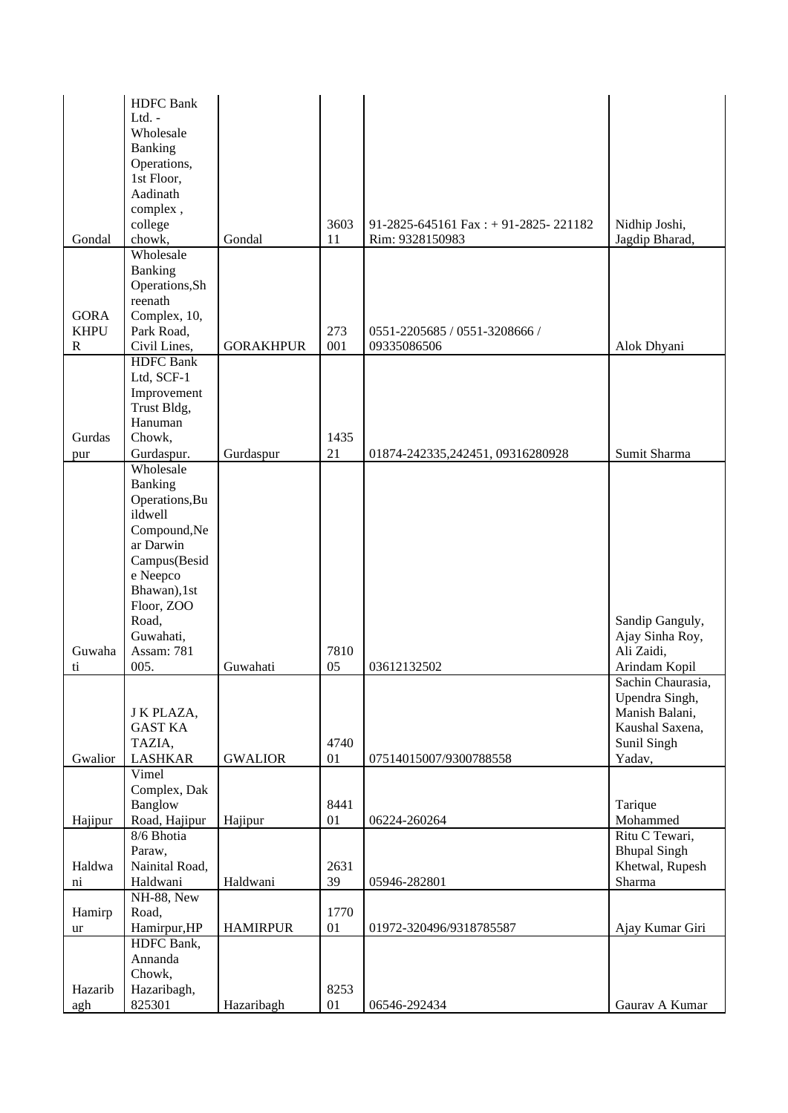|                                  | <b>HDFC</b> Bank<br>Ltd. $-$    |                  |            |                                      |                                    |
|----------------------------------|---------------------------------|------------------|------------|--------------------------------------|------------------------------------|
|                                  | Wholesale<br>Banking            |                  |            |                                      |                                    |
|                                  | Operations,                     |                  |            |                                      |                                    |
|                                  | 1st Floor,                      |                  |            |                                      |                                    |
|                                  | Aadinath                        |                  |            |                                      |                                    |
|                                  | complex,<br>college             |                  | 3603       | 91-2825-645161 Fax: + 91-2825-221182 | Nidhip Joshi,                      |
| Gondal                           | chowk,                          | Gondal           | 11         | Rim: 9328150983                      | Jagdip Bharad,                     |
|                                  | Wholesale                       |                  |            |                                      |                                    |
|                                  | Banking                         |                  |            |                                      |                                    |
|                                  | Operations, Sh<br>reenath       |                  |            |                                      |                                    |
| <b>GORA</b>                      | Complex, 10,                    |                  |            |                                      |                                    |
| <b>KHPU</b>                      | Park Road,                      |                  | 273        | 0551-2205685 / 0551-3208666 /        |                                    |
| $\mathbf R$                      | Civil Lines,                    | <b>GORAKHPUR</b> | 001        | 09335086506                          | Alok Dhyani                        |
|                                  | <b>HDFC</b> Bank                |                  |            |                                      |                                    |
|                                  | Ltd, SCF-1<br>Improvement       |                  |            |                                      |                                    |
|                                  | Trust Bldg,                     |                  |            |                                      |                                    |
|                                  | Hanuman                         |                  |            |                                      |                                    |
| Gurdas                           | Chowk,                          |                  | 1435       |                                      |                                    |
| pur                              | Gurdaspur.<br>Wholesale         | Gurdaspur        | 21         | 01874-242335,242451,09316280928      | Sumit Sharma                       |
|                                  | Banking                         |                  |            |                                      |                                    |
|                                  | Operations, Bu                  |                  |            |                                      |                                    |
|                                  | ildwell                         |                  |            |                                      |                                    |
|                                  | Compound, Ne                    |                  |            |                                      |                                    |
|                                  | ar Darwin<br>Campus(Besid       |                  |            |                                      |                                    |
|                                  | e Neepco                        |                  |            |                                      |                                    |
|                                  | Bhawan),1st                     |                  |            |                                      |                                    |
|                                  | Floor, ZOO                      |                  |            |                                      |                                    |
|                                  | Road,<br>Guwahati,              |                  |            |                                      | Sandip Ganguly,<br>Ajay Sinha Roy, |
| Guwaha                           | Assam: 781                      |                  | 7810       |                                      | Ali Zaidi,                         |
| ti                               | 005.                            | Guwahati         | 05         | 03612132502                          | Arindam Kopil                      |
|                                  |                                 |                  |            |                                      | Sachin Chaurasia.                  |
|                                  |                                 |                  |            |                                      | Upendra Singh,<br>Manish Balani,   |
|                                  | J K PLAZA,<br><b>GAST KA</b>    |                  |            |                                      | Kaushal Saxena,                    |
|                                  | TAZIA,                          |                  | 4740       |                                      | Sunil Singh                        |
| Gwalior                          | <b>LASHKAR</b>                  | <b>GWALIOR</b>   | 01         | 07514015007/9300788558               | Yadav,                             |
|                                  | Vimel                           |                  |            |                                      |                                    |
|                                  | Complex, Dak<br>Banglow         |                  | 8441       |                                      | Tarique                            |
| Hajipur                          | Road, Hajipur                   | Hajipur          | 01         | 06224-260264                         | Mohammed                           |
|                                  | 8/6 Bhotia                      |                  |            |                                      | Ritu C Tewari,                     |
|                                  | Paraw,                          |                  |            |                                      | <b>Bhupal Singh</b>                |
| Haldwa<br>$\overline{\text{ni}}$ | Nainital Road,<br>Haldwani      | Haldwani         | 2631<br>39 | 05946-282801                         | Khetwal, Rupesh<br>Sharma          |
|                                  | $\overline{\text{NH-88}}$ , New |                  |            |                                      |                                    |
| Hamirp                           | Road,                           |                  | 1770       |                                      |                                    |
| ur                               | Hamirpur, HP                    | <b>HAMIRPUR</b>  | 01         | 01972-320496/9318785587              | Ajay Kumar Giri                    |
|                                  | HDFC Bank,                      |                  |            |                                      |                                    |
|                                  | Annanda<br>Chowk,               |                  |            |                                      |                                    |
| Hazarib                          | Hazaribagh,                     |                  | 8253       |                                      |                                    |
| agh                              | 825301                          | Hazaribagh       | 01         | 06546-292434                         | Gaurav A Kumar                     |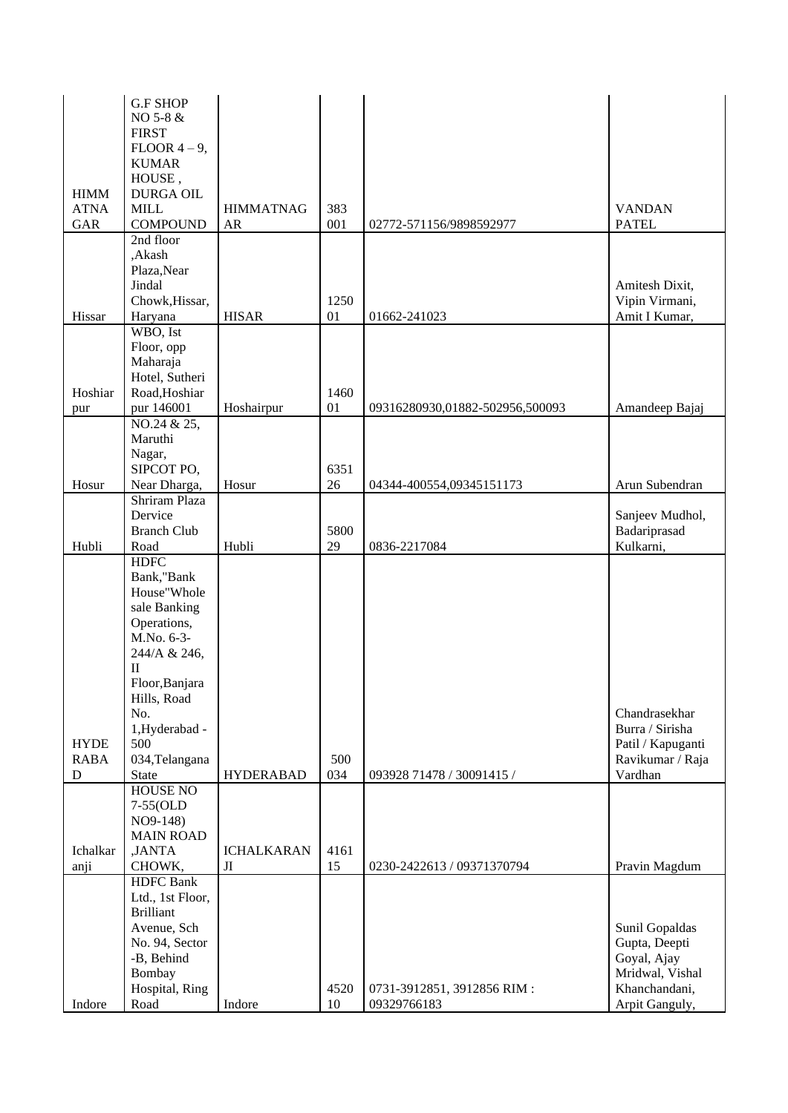|             | <b>G.F SHOP</b><br>NO 5-8 &          |                   |            |                                 |                   |
|-------------|--------------------------------------|-------------------|------------|---------------------------------|-------------------|
|             | <b>FIRST</b>                         |                   |            |                                 |                   |
|             | $FLOOR$ 4 – 9,                       |                   |            |                                 |                   |
|             | <b>KUMAR</b>                         |                   |            |                                 |                   |
|             | HOUSE,                               |                   |            |                                 |                   |
| <b>HIMM</b> | <b>DURGA OIL</b>                     |                   |            |                                 |                   |
| <b>ATNA</b> | <b>MILL</b>                          | <b>HIMMATNAG</b>  | 383        |                                 | <b>VANDAN</b>     |
| <b>GAR</b>  | <b>COMPOUND</b>                      | AR                | 001        | 02772-571156/9898592977         | <b>PATEL</b>      |
|             | 2nd floor<br>,Akash                  |                   |            |                                 |                   |
|             | Plaza, Near                          |                   |            |                                 |                   |
|             | Jindal                               |                   |            |                                 | Amitesh Dixit,    |
|             | Chowk, Hissar,                       |                   | 1250       |                                 | Vipin Virmani,    |
| Hissar      | Haryana                              | <b>HISAR</b>      | 01         | 01662-241023                    | Amit I Kumar,     |
|             | WBO, Ist                             |                   |            |                                 |                   |
|             | Floor, opp                           |                   |            |                                 |                   |
|             | Maharaja                             |                   |            |                                 |                   |
|             | Hotel, Sutheri                       |                   |            |                                 |                   |
| Hoshiar     | Road, Hoshiar                        |                   | 1460       |                                 |                   |
| pur         | pur 146001                           | Hoshairpur        | 01         | 09316280930,01882-502956,500093 | Amandeep Bajaj    |
|             | NO.24 & 25,                          |                   |            |                                 |                   |
|             | Maruthi                              |                   |            |                                 |                   |
|             | Nagar,                               |                   |            |                                 |                   |
|             | SIPCOT PO,                           |                   | 6351<br>26 |                                 | Arun Subendran    |
| Hosur       | Near Dharga,<br>Shriram Plaza        | Hosur             |            | 04344-400554,09345151173        |                   |
|             | Dervice                              |                   |            |                                 | Sanjeev Mudhol,   |
|             | <b>Branch Club</b>                   |                   | 5800       |                                 | Badariprasad      |
| Hubli       | Road                                 | Hubli             | 29         | 0836-2217084                    | Kulkarni,         |
|             | <b>HDFC</b>                          |                   |            |                                 |                   |
|             | Bank,"Bank                           |                   |            |                                 |                   |
|             | House"Whole                          |                   |            |                                 |                   |
|             | sale Banking                         |                   |            |                                 |                   |
|             | Operations,                          |                   |            |                                 |                   |
|             | M.No. 6-3-                           |                   |            |                                 |                   |
|             | 244/A & 246,                         |                   |            |                                 |                   |
|             | $\mathbf{I}$                         |                   |            |                                 |                   |
|             | Floor, Banjara<br>Hills, Road        |                   |            |                                 |                   |
|             | No.                                  |                   |            |                                 | Chandrasekhar     |
|             | 1,Hyderabad -                        |                   |            |                                 | Burra / Sirisha   |
| <b>HYDE</b> | 500                                  |                   |            |                                 | Patil / Kapuganti |
| <b>RABA</b> | 034, Telangana                       |                   | 500        |                                 | Ravikumar / Raja  |
| D           | <b>State</b>                         | <b>HYDERABAD</b>  | 034        | 093928 71478 / 30091415 /       | Vardhan           |
|             | <b>HOUSE NO</b>                      |                   |            |                                 |                   |
|             | 7-55(OLD                             |                   |            |                                 |                   |
|             | NO9-148)                             |                   |            |                                 |                   |
|             | <b>MAIN ROAD</b>                     |                   |            |                                 |                   |
| Ichalkar    | ,JANTA                               | <b>ICHALKARAN</b> | 4161       |                                 |                   |
| anji        | CHOWK,                               | Л                 | 15         | 0230-2422613 / 09371370794      | Pravin Magdum     |
|             | <b>HDFC</b> Bank<br>Ltd., 1st Floor, |                   |            |                                 |                   |
|             | <b>Brilliant</b>                     |                   |            |                                 |                   |
|             | Avenue, Sch                          |                   |            |                                 | Sunil Gopaldas    |
|             | No. 94, Sector                       |                   |            |                                 | Gupta, Deepti     |
|             | -B, Behind                           |                   |            |                                 | Goyal, Ajay       |
|             | Bombay                               |                   |            |                                 | Mridwal, Vishal   |
|             | Hospital, Ring                       |                   | 4520       | 0731-3912851, 3912856 RIM:      | Khanchandani,     |
| Indore      | Road                                 | Indore            | 10         | 09329766183                     | Arpit Ganguly,    |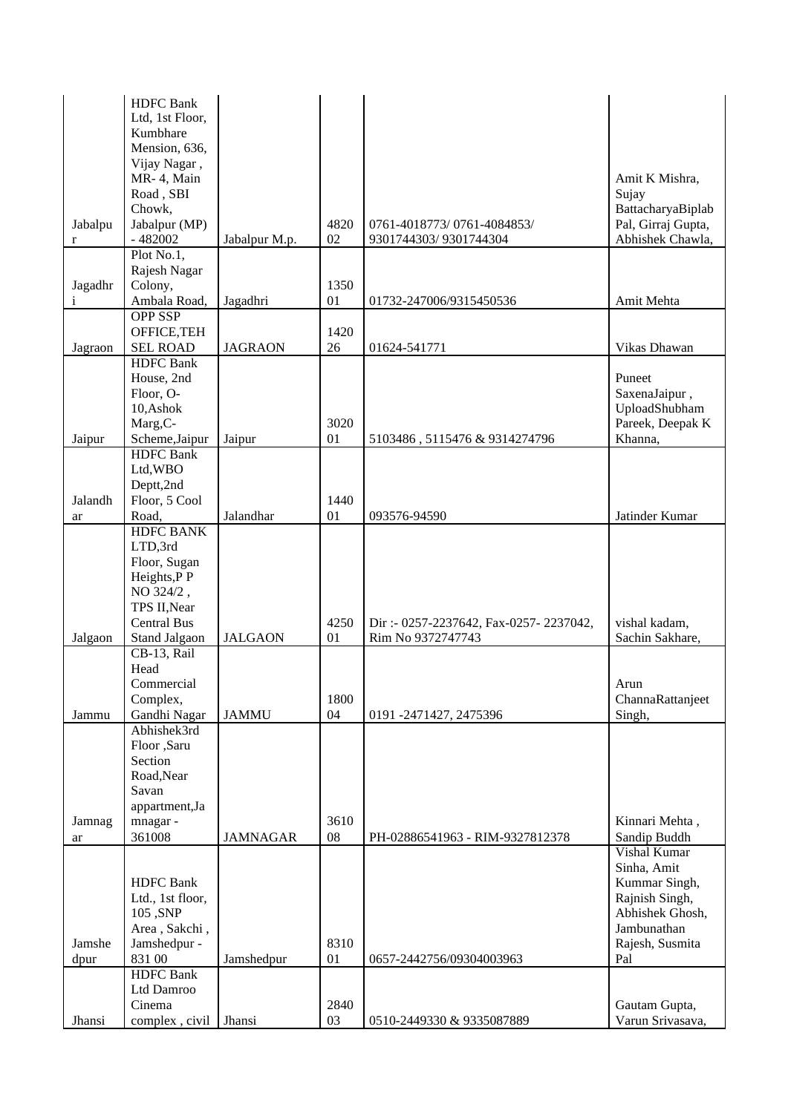|              | <b>HDFC</b> Bank        |                 |      |                                        |                          |
|--------------|-------------------------|-----------------|------|----------------------------------------|--------------------------|
|              | Ltd, 1st Floor,         |                 |      |                                        |                          |
|              | Kumbhare                |                 |      |                                        |                          |
|              | Mension, 636,           |                 |      |                                        |                          |
|              | Vijay Nagar,            |                 |      |                                        |                          |
|              | MR-4, Main              |                 |      |                                        | Amit K Mishra,           |
|              | Road, SBI               |                 |      |                                        | Sujay                    |
|              | Chowk,                  |                 |      |                                        | BattacharyaBiplab        |
| Jabalpu      | Jabalpur (MP)           |                 | 4820 | 0761-4018773/0761-4084853/             | Pal, Girraj Gupta,       |
| r            | $-482002$               | Jabalpur M.p.   | 02   | 9301744303/9301744304                  | Abhishek Chawla,         |
|              | Plot No.1,              |                 |      |                                        |                          |
|              | Rajesh Nagar<br>Colony, |                 | 1350 |                                        |                          |
| Jagadhr<br>i | Ambala Road,            | Jagadhri        | 01   | 01732-247006/9315450536                | Amit Mehta               |
|              | OPP SSP                 |                 |      |                                        |                          |
|              | OFFICE, TEH             |                 | 1420 |                                        |                          |
| Jagraon      | <b>SEL ROAD</b>         | <b>JAGRAON</b>  | 26   | 01624-541771                           | Vikas Dhawan             |
|              | <b>HDFC</b> Bank        |                 |      |                                        |                          |
|              | House, 2nd              |                 |      |                                        | Puneet                   |
|              | Floor, O-               |                 |      |                                        | SaxenaJaipur,            |
|              | 10, Ashok               |                 |      |                                        | UploadShubham            |
|              | Marg, C-                |                 | 3020 |                                        | Pareek, Deepak K         |
| Jaipur       | Scheme, Jaipur          | Jaipur          | 01   | 5103486, 5115476 & 9314274796          | Khanna,                  |
|              | <b>HDFC</b> Bank        |                 |      |                                        |                          |
|              | Ltd,WBO                 |                 |      |                                        |                          |
|              | Deptt,2nd               |                 |      |                                        |                          |
| Jalandh      | Floor, 5 Cool           |                 | 1440 |                                        |                          |
| ar           | Road,                   | Jalandhar       | 01   | 093576-94590                           | Jatinder Kumar           |
|              | <b>HDFC BANK</b>        |                 |      |                                        |                          |
|              | LTD,3rd                 |                 |      |                                        |                          |
|              | Floor, Sugan            |                 |      |                                        |                          |
|              | Heights, P P            |                 |      |                                        |                          |
|              | NO 324/2,               |                 |      |                                        |                          |
|              | TPS II, Near            |                 |      |                                        |                          |
|              | <b>Central Bus</b>      |                 | 4250 | Dir: - 0257-2237642, Fax-0257-2237042, | vishal kadam,            |
| Jalgaon      | Stand Jalgaon           | <b>JALGAON</b>  | 01   | Rim No 9372747743                      | Sachin Sakhare,          |
|              | CB-13, Rail             |                 |      |                                        |                          |
|              | Head                    |                 |      |                                        |                          |
|              | Commercial<br>Complex,  |                 | 1800 |                                        | Arun<br>ChannaRattanjeet |
| Jammu        | Gandhi Nagar            | <b>JAMMU</b>    | 04   | 0191 -2471427, 2475396                 | Singh,                   |
|              | Abhishek3rd             |                 |      |                                        |                          |
|              | Floor ,Saru             |                 |      |                                        |                          |
|              | Section                 |                 |      |                                        |                          |
|              | Road, Near              |                 |      |                                        |                          |
|              | Savan                   |                 |      |                                        |                          |
|              | appartment, Ja          |                 |      |                                        |                          |
| Jamnag       | mnagar-                 |                 | 3610 |                                        | Kinnari Mehta,           |
| ar           | 361008                  | <b>JAMNAGAR</b> | 08   | PH-02886541963 - RIM-9327812378        | Sandip Buddh             |
|              |                         |                 |      |                                        | Vishal Kumar             |
|              |                         |                 |      |                                        | Sinha, Amit              |
|              | <b>HDFC</b> Bank        |                 |      |                                        | Kummar Singh,            |
|              | Ltd., 1st floor,        |                 |      |                                        | Rajnish Singh,           |
|              | 105, SNP                |                 |      |                                        | Abhishek Ghosh,          |
|              | Area, Sakchi,           |                 |      |                                        | Jambunathan              |
| Jamshe       | Jamshedpur -            |                 | 8310 |                                        | Rajesh, Susmita          |
| dpur         | 831 00                  | Jamshedpur      | 01   | 0657-2442756/09304003963               | Pal                      |
|              | <b>HDFC</b> Bank        |                 |      |                                        |                          |
|              | Ltd Damroo              |                 |      |                                        |                          |
|              | Cinema                  |                 | 2840 |                                        | Gautam Gupta,            |
| Jhansi       | complex, civil          | Jhansi          | 03   | 0510-2449330 & 9335087889              | Varun Srivasava,         |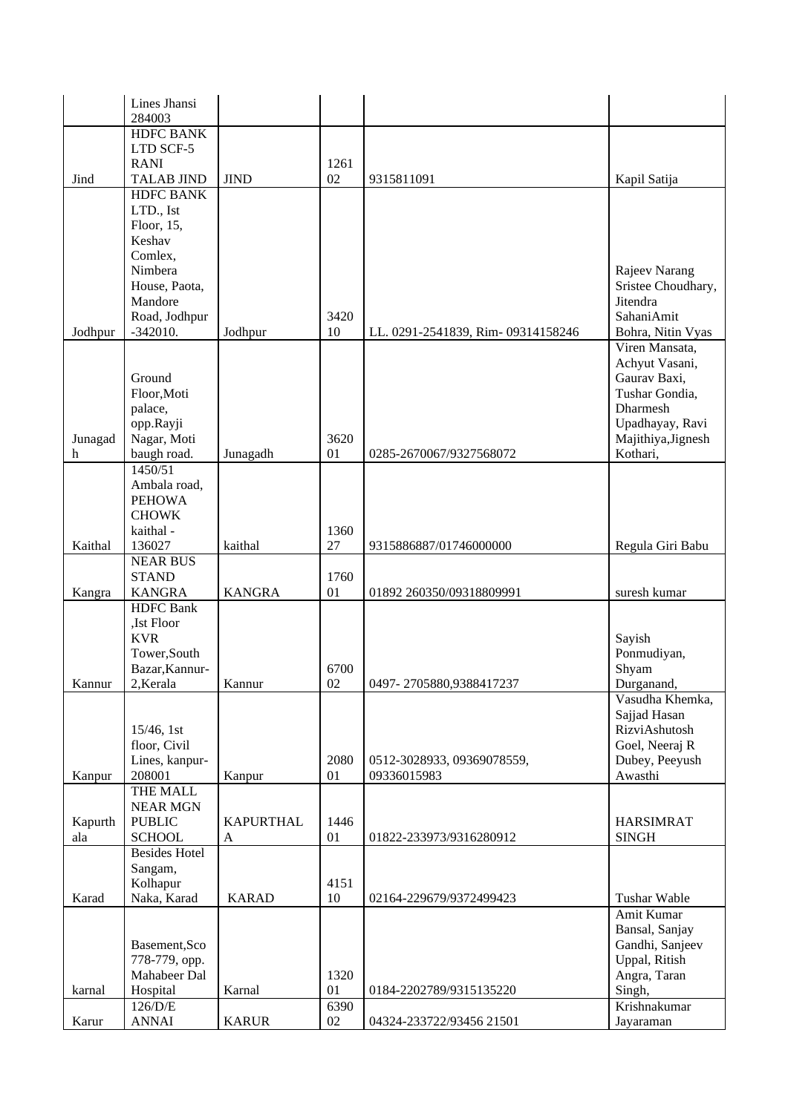|         | Lines Jhansi                  |                  |            |                                   |                                     |
|---------|-------------------------------|------------------|------------|-----------------------------------|-------------------------------------|
|         | 284003                        |                  |            |                                   |                                     |
|         | <b>HDFC BANK</b><br>LTD SCF-5 |                  |            |                                   |                                     |
|         | <b>RANI</b>                   |                  | 1261       |                                   |                                     |
| Jind    | <b>TALAB JIND</b>             | <b>JIND</b>      | 02         | 9315811091                        | Kapil Satija                        |
|         | <b>HDFC BANK</b>              |                  |            |                                   |                                     |
|         | LTD., Ist                     |                  |            |                                   |                                     |
|         | Floor, 15,                    |                  |            |                                   |                                     |
|         | Keshav                        |                  |            |                                   |                                     |
|         | Comlex,                       |                  |            |                                   |                                     |
|         | Nimbera<br>House, Paota,      |                  |            |                                   | Rajeev Narang<br>Sristee Choudhary, |
|         | Mandore                       |                  |            |                                   | Jitendra                            |
|         | Road, Jodhpur                 |                  | 3420       |                                   | SahaniAmit                          |
| Jodhpur | $-342010.$                    | Jodhpur          | 10         | LL. 0291-2541839, Rim-09314158246 | Bohra, Nitin Vyas                   |
|         |                               |                  |            |                                   | Viren Mansata,                      |
|         |                               |                  |            |                                   | Achyut Vasani,                      |
|         | Ground                        |                  |            |                                   | Gaurav Baxi,                        |
|         | Floor, Moti                   |                  |            |                                   | Tushar Gondia,<br>Dharmesh          |
|         | palace,<br>opp.Rayji          |                  |            |                                   | Upadhayay, Ravi                     |
| Junagad | Nagar, Moti                   |                  | 3620       |                                   | Majithiya, Jignesh                  |
| h       | baugh road.                   | Junagadh         | 01         | 0285-2670067/9327568072           | Kothari,                            |
|         | 1450/51                       |                  |            |                                   |                                     |
|         | Ambala road,                  |                  |            |                                   |                                     |
|         | <b>PEHOWA</b>                 |                  |            |                                   |                                     |
|         | <b>CHOWK</b>                  |                  |            |                                   |                                     |
| Kaithal | kaithal -<br>136027           | kaithal          | 1360<br>27 | 9315886887/01746000000            | Regula Giri Babu                    |
|         | <b>NEAR BUS</b>               |                  |            |                                   |                                     |
|         | <b>STAND</b>                  |                  | 1760       |                                   |                                     |
| Kangra  | <b>KANGRA</b>                 | <b>KANGRA</b>    | 01         | 01892 260350/09318809991          | suresh kumar                        |
|         | <b>HDFC</b> Bank              |                  |            |                                   |                                     |
|         | ,Ist Floor                    |                  |            |                                   |                                     |
|         | <b>KVR</b><br>Tower, South    |                  |            |                                   | Sayish                              |
|         | Bazar, Kannur-                |                  | 6700       |                                   | Ponmudiyan,<br>Shyam                |
| Kannur  | 2, Kerala                     | Kannur           | 02         | 0497-2705880,9388417237           | Durganand,                          |
|         |                               |                  |            |                                   | Vasudha Khemka,                     |
|         |                               |                  |            |                                   | Sajjad Hasan                        |
|         | $15/46$ , 1st                 |                  |            |                                   | RizviAshutosh                       |
|         | floor, Civil                  |                  |            |                                   | Goel, Neeraj R                      |
|         | Lines, kanpur-                |                  | 2080<br>01 | 0512-3028933, 09369078559,        | Dubey, Peeyush<br>Awasthi           |
| Kanpur  | 208001<br>THE MALL            | Kanpur           |            | 09336015983                       |                                     |
|         | <b>NEAR MGN</b>               |                  |            |                                   |                                     |
| Kapurth | <b>PUBLIC</b>                 | <b>KAPURTHAL</b> | 1446       |                                   | <b>HARSIMRAT</b>                    |
| ala     | <b>SCHOOL</b>                 | A                | 01         | 01822-233973/9316280912           | <b>SINGH</b>                        |
|         | <b>Besides Hotel</b>          |                  |            |                                   |                                     |
|         | Sangam,                       |                  |            |                                   |                                     |
| Karad   | Kolhapur<br>Naka, Karad       | <b>KARAD</b>     | 4151<br>10 | 02164-229679/9372499423           | Tushar Wable                        |
|         |                               |                  |            |                                   | Amit Kumar                          |
|         |                               |                  |            |                                   | Bansal, Sanjay                      |
|         | Basement, Sco                 |                  |            |                                   | Gandhi, Sanjeev                     |
|         | 778-779, opp.                 |                  |            |                                   | Uppal, Ritish                       |
|         | Mahabeer Dal                  |                  | 1320       |                                   | Angra, Taran                        |
| karnal  | Hospital                      | Karnal           | 01         | 0184-2202789/9315135220           | Singh,                              |
| Karur   | 126/D/E<br><b>ANNAI</b>       | <b>KARUR</b>     | 6390<br>02 | 04324-233722/93456 21501          | Krishnakumar<br>Jayaraman           |
|         |                               |                  |            |                                   |                                     |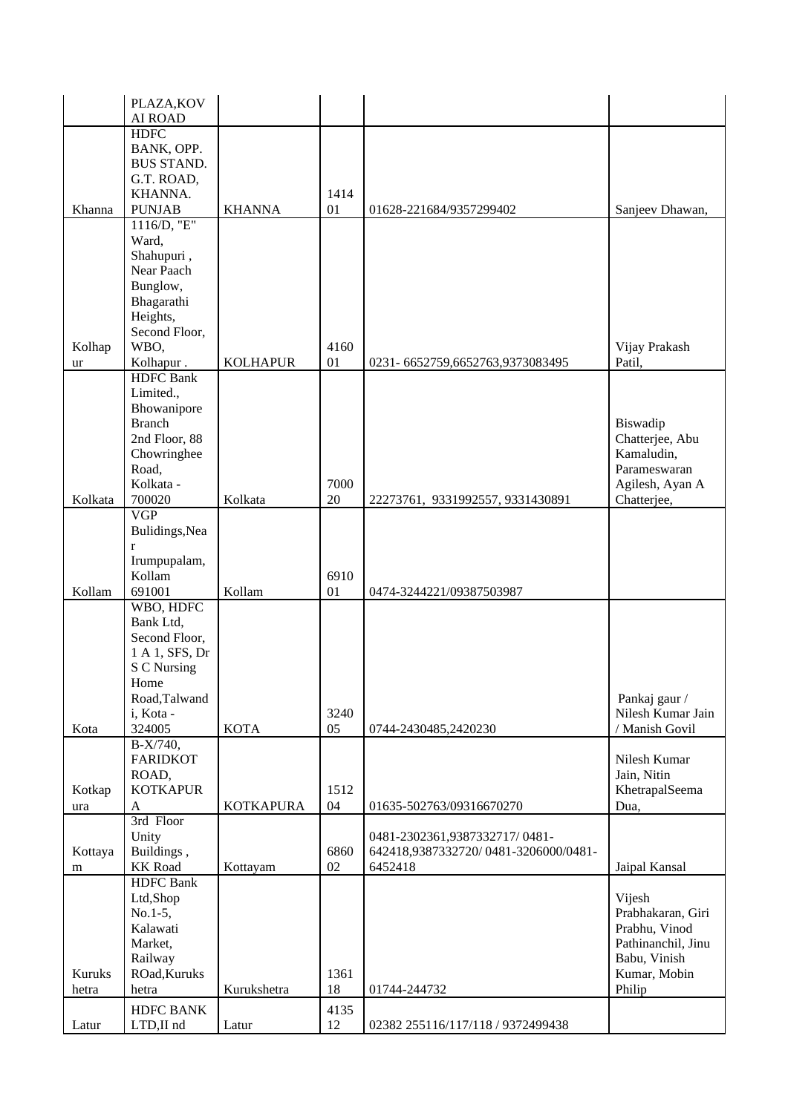|         | PLAZA, KOV            |                  |            |                                      |                    |
|---------|-----------------------|------------------|------------|--------------------------------------|--------------------|
|         | AI ROAD               |                  |            |                                      |                    |
|         | <b>HDFC</b>           |                  |            |                                      |                    |
|         | BANK, OPP.            |                  |            |                                      |                    |
|         | <b>BUS STAND.</b>     |                  |            |                                      |                    |
|         | G.T. ROAD,            |                  |            |                                      |                    |
|         | KHANNA.               |                  | 1414       |                                      |                    |
| Khanna  | <b>PUNJAB</b>         | <b>KHANNA</b>    | 01         | 01628-221684/9357299402              | Sanjeev Dhawan,    |
|         | 1116/D, "E"           |                  |            |                                      |                    |
|         | Ward,                 |                  |            |                                      |                    |
|         | Shahupuri,            |                  |            |                                      |                    |
|         | Near Paach            |                  |            |                                      |                    |
|         | Bunglow,              |                  |            |                                      |                    |
|         | Bhagarathi            |                  |            |                                      |                    |
|         | Heights,              |                  |            |                                      |                    |
|         | Second Floor,         |                  |            |                                      |                    |
| Kolhap  | WBO,                  |                  | 4160       |                                      | Vijay Prakash      |
| ur      | Kolhapur.             | <b>KOLHAPUR</b>  | 01         | 0231-6652759,6652763,9373083495      | Patil,             |
|         | <b>HDFC</b> Bank      |                  |            |                                      |                    |
|         | Limited.,             |                  |            |                                      |                    |
|         | Bhowanipore           |                  |            |                                      |                    |
|         | <b>Branch</b>         |                  |            |                                      | Biswadip           |
|         | 2nd Floor, 88         |                  |            |                                      | Chatterjee, Abu    |
|         | Chowringhee           |                  |            |                                      | Kamaludin,         |
|         | Road,                 |                  |            |                                      | Parameswaran       |
|         | Kolkata -             |                  | 7000       |                                      | Agilesh, Ayan A    |
| Kolkata | 700020                | Kolkata          | 20         | 22273761, 9331992557, 9331430891     | Chatterjee,        |
|         | $\overline{VGP}$      |                  |            |                                      |                    |
|         | Bulidings, Nea        |                  |            |                                      |                    |
|         | r                     |                  |            |                                      |                    |
|         | Irumpupalam,          |                  |            |                                      |                    |
|         | Kollam                |                  | 6910       |                                      |                    |
| Kollam  | 691001                | Kollam           | 01         | 0474-3244221/09387503987             |                    |
|         | WBO, HDFC             |                  |            |                                      |                    |
|         | Bank Ltd,             |                  |            |                                      |                    |
|         | Second Floor,         |                  |            |                                      |                    |
|         | 1 A 1, SFS, Dr        |                  |            |                                      |                    |
|         | S C Nursing           |                  |            |                                      |                    |
|         | Home<br>Road, Talwand |                  |            |                                      | Pankaj gaur /      |
|         | i, Kota -             |                  | 3240       |                                      | Nilesh Kumar Jain  |
| Kota    | 324005                | <b>KOTA</b>      | 05         | 0744-2430485,2420230                 | / Manish Govil     |
|         | B-X/740,              |                  |            |                                      |                    |
|         | <b>FARIDKOT</b>       |                  |            |                                      | Nilesh Kumar       |
|         | ROAD,                 |                  |            |                                      | Jain, Nitin        |
| Kotkap  | <b>KOTKAPUR</b>       |                  | 1512       |                                      | KhetrapalSeema     |
| ura     | A                     | <b>KOTKAPURA</b> | 04         | 01635-502763/09316670270             | Dua,               |
|         | 3rd Floor             |                  |            |                                      |                    |
|         | Unity                 |                  |            | 0481-2302361,9387332717/0481-        |                    |
| Kottaya | Buildings,            |                  | 6860       | 642418,9387332720/0481-3206000/0481- |                    |
| m       | <b>KK</b> Road        | Kottayam         | 02         | 6452418                              | Jaipal Kansal      |
|         | <b>HDFC</b> Bank      |                  |            |                                      |                    |
|         | Ltd,Shop              |                  |            |                                      | Vijesh             |
|         | $No.1-5,$             |                  |            |                                      | Prabhakaran, Giri  |
|         | Kalawati              |                  |            |                                      | Prabhu, Vinod      |
|         | Market,               |                  |            |                                      | Pathinanchil, Jinu |
|         | Railway               |                  |            |                                      | Babu, Vinish       |
| Kuruks  | ROad, Kuruks          |                  | 1361       |                                      | Kumar, Mobin       |
| hetra   | hetra                 | Kurukshetra      | 18         | 01744-244732                         | Philip             |
|         | <b>HDFC BANK</b>      |                  |            |                                      |                    |
| Latur   | LTD,II nd             | Latur            | 4135<br>12 | 02382 255116/117/118 / 9372499438    |                    |
|         |                       |                  |            |                                      |                    |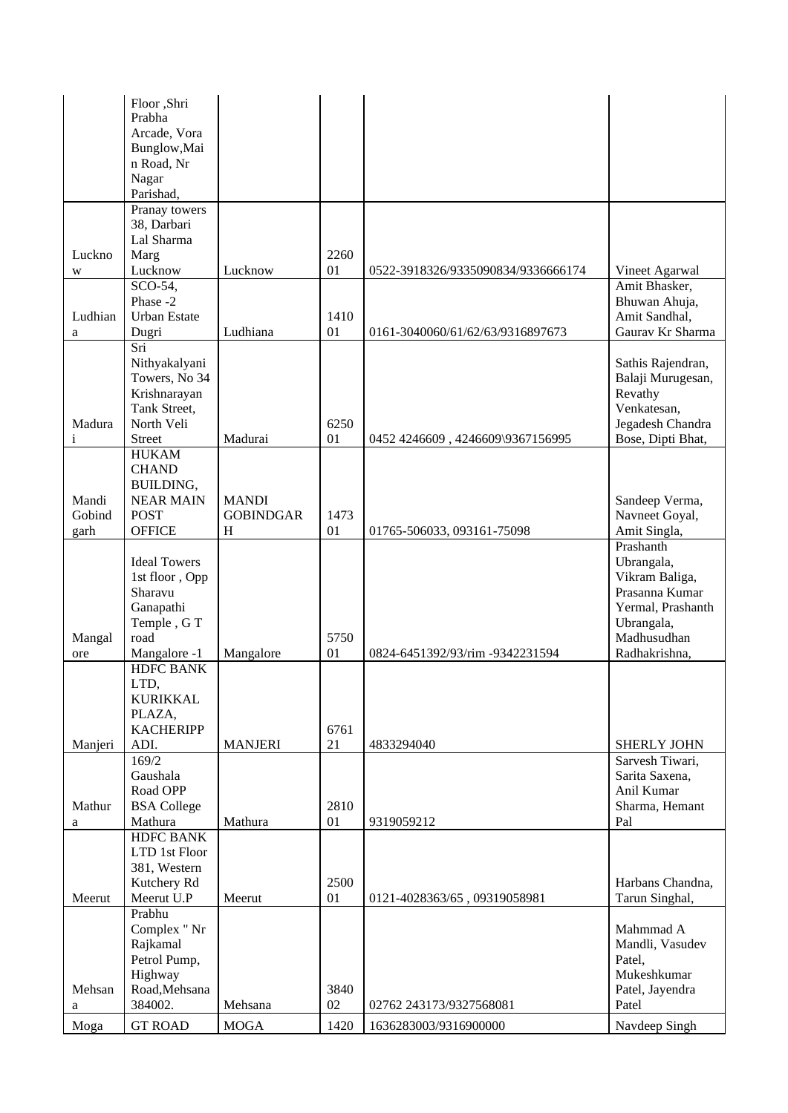|               | Floor ,Shri                   |                  |            |                                    |                                |
|---------------|-------------------------------|------------------|------------|------------------------------------|--------------------------------|
|               | Prabha<br>Arcade, Vora        |                  |            |                                    |                                |
|               | Bunglow, Mai                  |                  |            |                                    |                                |
|               | n Road, Nr                    |                  |            |                                    |                                |
|               | Nagar                         |                  |            |                                    |                                |
|               | Parishad,                     |                  |            |                                    |                                |
|               | Pranay towers                 |                  |            |                                    |                                |
|               | 38, Darbari                   |                  |            |                                    |                                |
|               | Lal Sharma                    |                  |            |                                    |                                |
| Luckno        | Marg                          |                  | 2260       |                                    |                                |
| W             | Lucknow                       | Lucknow          | 01         | 0522-3918326/9335090834/9336666174 | Vineet Agarwal                 |
|               | SCO-54,<br>Phase -2           |                  |            |                                    | Amit Bhasker,<br>Bhuwan Ahuja, |
| Ludhian       | <b>Urban Estate</b>           |                  | 1410       |                                    | Amit Sandhal,                  |
| a             | Dugri                         | Ludhiana         | 01         | 0161-3040060/61/62/63/9316897673   | Gaurav Kr Sharma               |
|               | Sri                           |                  |            |                                    |                                |
|               | Nithyakalyani                 |                  |            |                                    | Sathis Rajendran,              |
|               | Towers, No 34                 |                  |            |                                    | Balaji Murugesan,              |
|               | Krishnarayan                  |                  |            |                                    | Revathy                        |
|               | Tank Street,                  |                  |            |                                    | Venkatesan,                    |
| Madura        | North Veli                    |                  | 6250       |                                    | Jegadesh Chandra               |
| i             | Street                        | Madurai          | 01         | 0452 4246609, 4246609\9367156995   | Bose, Dipti Bhat,              |
|               | <b>HUKAM</b><br><b>CHAND</b>  |                  |            |                                    |                                |
|               | BUILDING,                     |                  |            |                                    |                                |
| Mandi         | <b>NEAR MAIN</b>              | <b>MANDI</b>     |            |                                    | Sandeep Verma,                 |
| Gobind        | <b>POST</b>                   | <b>GOBINDGAR</b> | 1473       |                                    | Navneet Goyal,                 |
| garh          | <b>OFFICE</b>                 | H                | 01         | 01765-506033, 093161-75098         | Amit Singla,                   |
|               |                               |                  |            |                                    | Prashanth                      |
|               | <b>Ideal Towers</b>           |                  |            |                                    | Ubrangala,                     |
|               | 1st floor, Opp                |                  |            |                                    | Vikram Baliga,                 |
|               | Sharavu                       |                  |            |                                    | Prasanna Kumar                 |
|               | Ganapathi                     |                  |            |                                    | Yermal, Prashanth              |
|               | Temple, GT<br>road            |                  | 5750       |                                    | Ubrangala,<br>Madhusudhan      |
| Mangal<br>ore | Mangalore -1                  | Mangalore        | 01         | 0824-6451392/93/rim -9342231594    | Radhakrishna,                  |
|               | <b>HDFC BANK</b>              |                  |            |                                    |                                |
|               | LTD,                          |                  |            |                                    |                                |
|               | <b>KURIKKAL</b>               |                  |            |                                    |                                |
|               | PLAZA,                        |                  |            |                                    |                                |
|               | <b>KACHERIPP</b>              |                  | 6761       |                                    |                                |
| Manjeri       | ADI.                          | <b>MANJERI</b>   | 21         | 4833294040                         | <b>SHERLY JOHN</b>             |
|               | 169/2                         |                  |            |                                    | Sarvesh Tiwari,                |
|               | Gaushala                      |                  |            |                                    | Sarita Saxena,                 |
|               | Road OPP                      |                  |            |                                    | Anil Kumar                     |
| Mathur<br>a   | <b>BSA College</b><br>Mathura | Mathura          | 2810<br>01 | 9319059212                         | Sharma, Hemant<br>Pal          |
|               | <b>HDFC BANK</b>              |                  |            |                                    |                                |
|               | LTD 1st Floor                 |                  |            |                                    |                                |
|               | 381, Western                  |                  |            |                                    |                                |
|               | Kutchery Rd                   |                  | 2500       |                                    | Harbans Chandna,               |
| Meerut        | Meerut U.P                    | Meerut           | 01         | 0121-4028363/65, 09319058981       | Tarun Singhal,                 |
|               | Prabhu                        |                  |            |                                    |                                |
|               | Complex " Nr                  |                  |            |                                    | Mahmmad A                      |
|               | Rajkamal                      |                  |            |                                    | Mandli, Vasudev                |
|               | Petrol Pump,                  |                  |            |                                    | Patel,                         |
| Mehsan        | Highway<br>Road, Mehsana      |                  | 3840       |                                    | Mukeshkumar<br>Patel, Jayendra |
| a             | 384002.                       | Mehsana          | 02         | 02762 243173/9327568081            | Patel                          |
|               |                               |                  |            |                                    |                                |
| Moga          | <b>GT ROAD</b>                | <b>MOGA</b>      | 1420       | 1636283003/9316900000              | Navdeep Singh                  |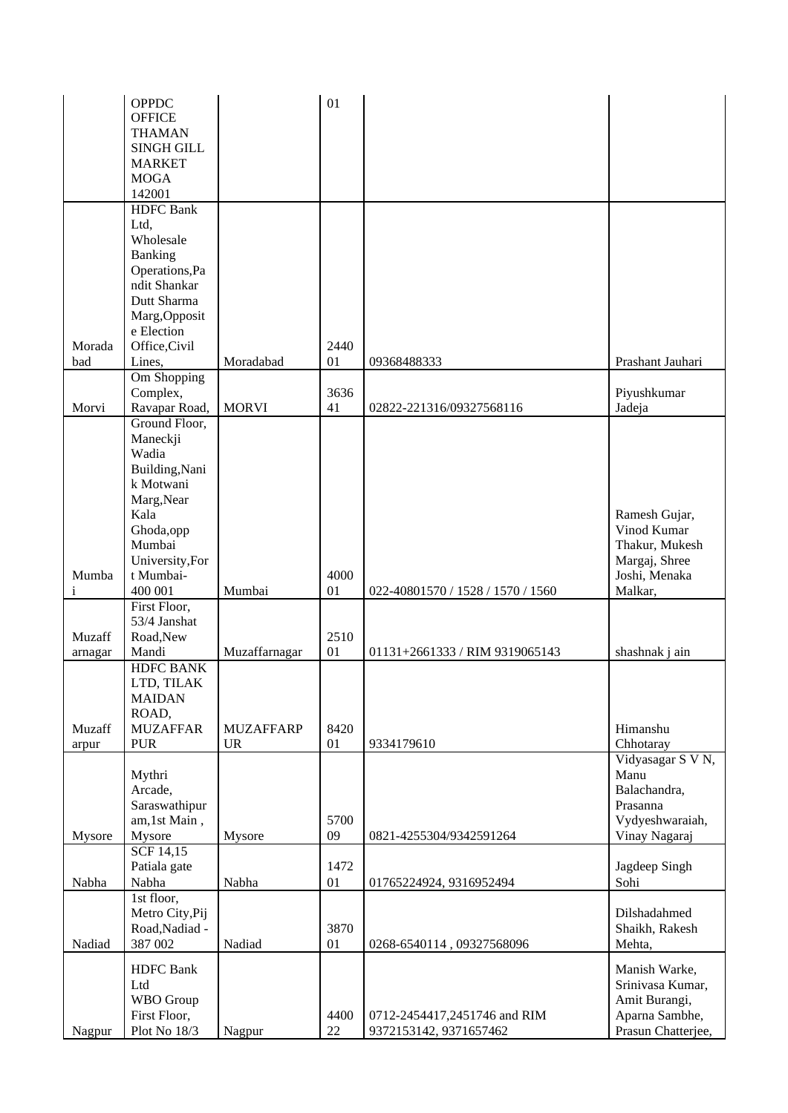|         | <b>OPPDC</b>                 |                  | 01         |                                                        |                                      |
|---------|------------------------------|------------------|------------|--------------------------------------------------------|--------------------------------------|
|         | <b>OFFICE</b>                |                  |            |                                                        |                                      |
|         | <b>THAMAN</b>                |                  |            |                                                        |                                      |
|         | <b>SINGH GILL</b>            |                  |            |                                                        |                                      |
|         | <b>MARKET</b>                |                  |            |                                                        |                                      |
|         | <b>MOGA</b>                  |                  |            |                                                        |                                      |
|         | 142001                       |                  |            |                                                        |                                      |
|         | <b>HDFC</b> Bank             |                  |            |                                                        |                                      |
|         |                              |                  |            |                                                        |                                      |
|         | Ltd,                         |                  |            |                                                        |                                      |
|         | Wholesale                    |                  |            |                                                        |                                      |
|         | Banking                      |                  |            |                                                        |                                      |
|         | Operations, Pa               |                  |            |                                                        |                                      |
|         | ndit Shankar                 |                  |            |                                                        |                                      |
|         | Dutt Sharma                  |                  |            |                                                        |                                      |
|         | Marg, Opposit                |                  |            |                                                        |                                      |
|         | e Election                   |                  |            |                                                        |                                      |
| Morada  | Office, Civil                |                  | 2440       |                                                        |                                      |
| bad     | Lines,                       | Moradabad        | 01         | 09368488333                                            | Prashant Jauhari                     |
|         | Om Shopping                  |                  |            |                                                        |                                      |
|         | Complex,                     |                  | 3636       |                                                        | Piyushkumar                          |
| Morvi   | Ravapar Road,                | <b>MORVI</b>     | 41         | 02822-221316/09327568116                               | Jadeja                               |
|         | Ground Floor,                |                  |            |                                                        |                                      |
|         | Maneckji                     |                  |            |                                                        |                                      |
|         | Wadia                        |                  |            |                                                        |                                      |
|         | Building, Nani               |                  |            |                                                        |                                      |
|         | k Motwani                    |                  |            |                                                        |                                      |
|         | Marg, Near                   |                  |            |                                                        |                                      |
|         | Kala                         |                  |            |                                                        | Ramesh Gujar,                        |
|         | Ghoda,opp                    |                  |            |                                                        | Vinod Kumar                          |
|         | Mumbai                       |                  |            |                                                        | Thakur, Mukesh                       |
|         | University, For              |                  |            |                                                        | Margaj, Shree                        |
| Mumba   | t Mumbai-                    |                  | 4000       |                                                        | Joshi, Menaka                        |
| i       | 400 001                      | Mumbai           | 01         | 022-40801570 / 1528 / 1570 / 1560                      | Malkar,                              |
|         | First Floor,                 |                  |            |                                                        |                                      |
|         | 53/4 Janshat                 |                  |            |                                                        |                                      |
| Muzaff  | Road, New                    |                  | 2510       |                                                        |                                      |
| arnagar | Mandi                        | Muzaffarnagar    | 01         | 01131+2661333 / RIM 9319065143                         | shashnak j ain                       |
|         | <b>HDFC BANK</b>             |                  |            |                                                        |                                      |
|         | LTD, TILAK                   |                  |            |                                                        |                                      |
|         | <b>MAIDAN</b>                |                  |            |                                                        |                                      |
|         | ROAD,                        |                  |            |                                                        |                                      |
| Muzaff  | <b>MUZAFFAR</b>              | <b>MUZAFFARP</b> | 8420       |                                                        | Himanshu                             |
| arpur   | <b>PUR</b>                   | <b>UR</b>        | 01         | 9334179610                                             | Chhotaray                            |
|         |                              |                  |            |                                                        | Vidyasagar S V N,                    |
|         |                              |                  |            |                                                        | Manu                                 |
|         | Mythri                       |                  |            |                                                        |                                      |
|         | Arcade,                      |                  |            |                                                        | Balachandra,                         |
|         | Saraswathipur                |                  |            |                                                        | Prasanna                             |
|         | am,1st Main,                 |                  | 5700       |                                                        | Vydyeshwaraiah,                      |
| Mysore  | Mysore                       | Mysore           | 09         | 0821-4255304/9342591264                                | Vinay Nagaraj                        |
|         | $SCF$ 14,15                  |                  |            |                                                        |                                      |
|         | Patiala gate                 |                  | 1472       |                                                        | Jagdeep Singh                        |
| Nabha   | Nabha                        | Nabha            | 01         | 01765224924, 9316952494                                | Sohi                                 |
|         | 1st floor,                   |                  |            |                                                        |                                      |
|         | Metro City, Pij              |                  |            |                                                        | Dilshadahmed                         |
|         | Road, Nadiad -               |                  | 3870       |                                                        | Shaikh, Rakesh                       |
| Nadiad  | 387 002                      | Nadiad           | 01         | 0268-6540114, 09327568096                              | Mehta,                               |
|         |                              |                  |            |                                                        |                                      |
|         | <b>HDFC</b> Bank             |                  |            |                                                        | Manish Warke,                        |
|         | Ltd                          |                  |            |                                                        | Srinivasa Kumar,                     |
|         | <b>WBO</b> Group             |                  |            |                                                        | Amit Burangi,                        |
|         |                              |                  |            |                                                        |                                      |
| Nagpur  | First Floor,<br>Plot No 18/3 | Nagpur           | 4400<br>22 | 0712-2454417,2451746 and RIM<br>9372153142, 9371657462 | Aparna Sambhe,<br>Prasun Chatterjee, |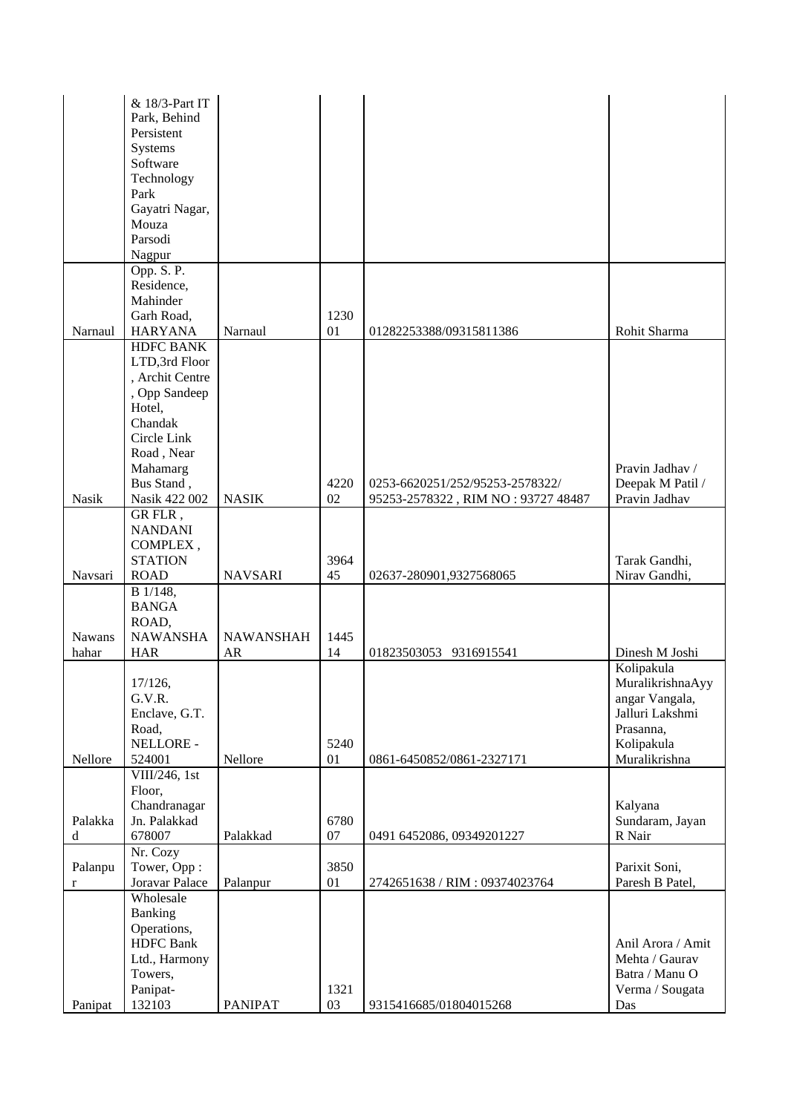|              | & 18/3-Part IT                     |                  |      |                                    |                                  |
|--------------|------------------------------------|------------------|------|------------------------------------|----------------------------------|
|              | Park, Behind                       |                  |      |                                    |                                  |
|              | Persistent                         |                  |      |                                    |                                  |
|              | Systems<br>Software                |                  |      |                                    |                                  |
|              | Technology                         |                  |      |                                    |                                  |
|              | Park                               |                  |      |                                    |                                  |
|              | Gayatri Nagar,                     |                  |      |                                    |                                  |
|              | Mouza                              |                  |      |                                    |                                  |
|              | Parsodi                            |                  |      |                                    |                                  |
|              | Nagpur                             |                  |      |                                    |                                  |
|              | Opp. S. P.                         |                  |      |                                    |                                  |
|              | Residence,                         |                  |      |                                    |                                  |
|              | Mahinder                           |                  |      |                                    |                                  |
|              | Garh Road,                         |                  | 1230 |                                    |                                  |
| Narnaul      | <b>HARYANA</b><br><b>HDFC BANK</b> | Narnaul          | 01   | 01282253388/09315811386            | Rohit Sharma                     |
|              | LTD,3rd Floor                      |                  |      |                                    |                                  |
|              | , Archit Centre                    |                  |      |                                    |                                  |
|              | , Opp Sandeep                      |                  |      |                                    |                                  |
|              | Hotel,                             |                  |      |                                    |                                  |
|              | Chandak                            |                  |      |                                    |                                  |
|              | Circle Link                        |                  |      |                                    |                                  |
|              | Road, Near                         |                  |      |                                    |                                  |
|              | Mahamarg                           |                  |      |                                    | Pravin Jadhav /                  |
|              | Bus Stand,                         |                  | 4220 | 0253-6620251/252/95253-2578322/    | Deepak M Patil /                 |
| <b>Nasik</b> | Nasik 422 002<br>GR FLR,           | <b>NASIK</b>     | 02   | 95253-2578322, RIM NO: 93727 48487 | Pravin Jadhav                    |
|              | <b>NANDANI</b>                     |                  |      |                                    |                                  |
|              | COMPLEX,                           |                  |      |                                    |                                  |
|              | <b>STATION</b>                     |                  | 3964 |                                    | Tarak Gandhi,                    |
| Navsari      | <b>ROAD</b>                        | <b>NAVSARI</b>   | 45   | 02637-280901,9327568065            | Nirav Gandhi,                    |
|              | B 1/148,                           |                  |      |                                    |                                  |
|              | <b>BANGA</b>                       |                  |      |                                    |                                  |
|              | ROAD,                              |                  |      |                                    |                                  |
| Nawans       | <b>NAWANSHA</b>                    | <b>NAWANSHAH</b> | 1445 |                                    |                                  |
| hahar        | <b>HAR</b>                         | <b>AR</b>        | 14   | 01823503053 9316915541             | Dinesh M Joshi<br>Kolipakula     |
|              | 17/126,                            |                  |      |                                    | MuralikrishnaAyy                 |
|              | G.V.R.                             |                  |      |                                    | angar Vangala,                   |
|              | Enclave, G.T.                      |                  |      |                                    | Jalluri Lakshmi                  |
|              | Road,                              |                  |      |                                    | Prasanna,                        |
|              | NELLORE -                          |                  | 5240 |                                    | Kolipakula                       |
| Nellore      | 524001                             | Nellore          | 01   | 0861-6450852/0861-2327171          | Muralikrishna                    |
|              | VIII/246, $1st$                    |                  |      |                                    |                                  |
|              | Floor,                             |                  |      |                                    |                                  |
| Palakka      | Chandranagar<br>Jn. Palakkad       |                  | 6780 |                                    | Kalyana<br>Sundaram, Jayan       |
| d            | 678007                             | Palakkad         | 07   | 0491 6452086, 09349201227          | R Nair                           |
|              | Nr. Cozy                           |                  |      |                                    |                                  |
| Palanpu      | Tower, Opp:                        |                  | 3850 |                                    | Parixit Soni,                    |
| $\mathbf r$  | Joravar Palace                     | Palanpur         | 01   | 2742651638 / RIM: 09374023764      | Paresh B Patel,                  |
|              | Wholesale                          |                  |      |                                    |                                  |
|              | Banking                            |                  |      |                                    |                                  |
|              | Operations,                        |                  |      |                                    |                                  |
|              | <b>HDFC</b> Bank                   |                  |      |                                    | Anil Arora / Amit                |
|              | Ltd., Harmony<br>Towers,           |                  |      |                                    | Mehta / Gaurav<br>Batra / Manu O |
|              | Panipat-                           |                  | 1321 |                                    | Verma / Sougata                  |
| Panipat      | 132103                             | <b>PANIPAT</b>   | 03   | 9315416685/01804015268             | Das                              |
|              |                                    |                  |      |                                    |                                  |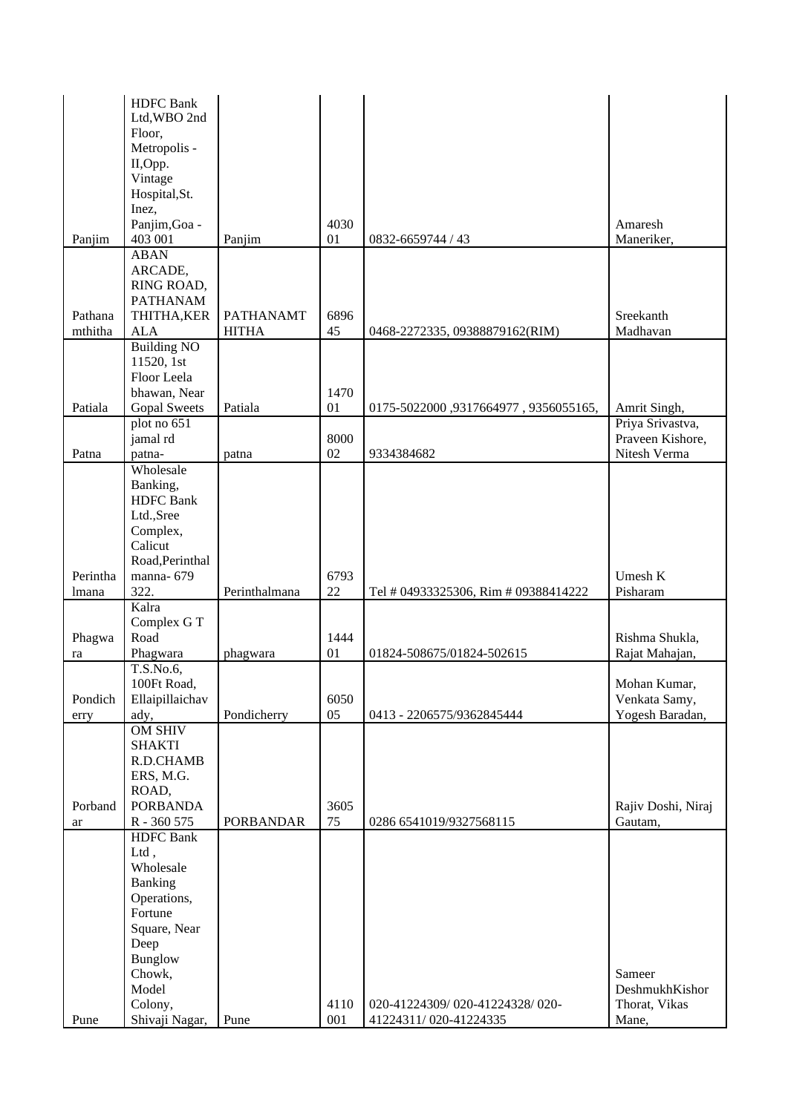| <b>HDFC</b> Bank                                                                       |                                  |
|----------------------------------------------------------------------------------------|----------------------------------|
| Ltd, WBO 2nd                                                                           |                                  |
| Floor,<br>Metropolis -                                                                 |                                  |
| II,Opp.                                                                                |                                  |
| Vintage                                                                                |                                  |
| Hospital, St.                                                                          |                                  |
| Inez,                                                                                  |                                  |
| Panjim, Goa -<br>4030                                                                  | Amaresh                          |
| 403 001<br>Panjim<br>Panjim<br>01<br>0832-6659744 / 43                                 | Maneriker,                       |
| <b>ABAN</b>                                                                            |                                  |
| ARCADE,                                                                                |                                  |
| RING ROAD,<br><b>PATHANAM</b>                                                          |                                  |
| Pathana<br>THITHA, KER<br><b>PATHANAMT</b><br>6896                                     | Sreekanth                        |
| mthitha<br>${\rm ALA}$<br><b>HITHA</b><br>45<br>0468-2272335, 09388879162(RIM)         | Madhavan                         |
| <b>Building NO</b>                                                                     |                                  |
| 11520, 1st                                                                             |                                  |
| Floor Leela                                                                            |                                  |
| 1470<br>bhawan, Near                                                                   |                                  |
| Patiala<br><b>Gopal Sweets</b><br>Patiala<br>01<br>0175-5022000,9317664977,9356055165, | Amrit Singh,                     |
| plot no 651                                                                            | Priya Srivastva,                 |
| jamal rd<br>8000<br>02<br>Patna<br>9334384682<br>patna-<br>patna                       | Praveen Kishore,<br>Nitesh Verma |
| Wholesale                                                                              |                                  |
| Banking,                                                                               |                                  |
| <b>HDFC</b> Bank                                                                       |                                  |
| Ltd.,Sree                                                                              |                                  |
| Complex,                                                                               |                                  |
| Calicut                                                                                |                                  |
| Road, Perinthal                                                                        |                                  |
| 6793<br>Perintha<br>manna-679                                                          | Umesh K                          |
| 322.<br>22<br>Perinthalmana<br>Tel # 04933325306, Rim # 09388414222<br>lmana<br>Kalra  | Pisharam                         |
| Complex G T                                                                            |                                  |
| Road<br>1444<br>Phagwa                                                                 | Rishma Shukla,                   |
| 01<br>Phagwara<br>01824-508675/01824-502615<br>phagwara<br>ra                          | Rajat Mahajan,                   |
| T.S.No.6,                                                                              |                                  |
| 100Ft Road,                                                                            | Mohan Kumar,                     |
| 6050<br>Pondich<br>Ellaipillaichav                                                     | Venkata Samy,                    |
| 05<br>ady,<br>Pondicherry<br>0413 - 2206575/9362845444<br>erry                         | Yogesh Baradan,                  |
| <b>OM SHIV</b><br><b>SHAKTI</b>                                                        |                                  |
| R.D.CHAMB                                                                              |                                  |
| ERS, M.G.                                                                              |                                  |
| ROAD,                                                                                  |                                  |
| <b>PORBANDA</b><br>Porband<br>3605                                                     | Rajiv Doshi, Niraj               |
| 75<br>R - 360 575<br><b>PORBANDAR</b><br>0286 6541019/9327568115<br>ar                 | Gautam,                          |
| <b>HDFC</b> Bank                                                                       |                                  |
| Ltd,                                                                                   |                                  |
| Wholesale<br>Banking                                                                   |                                  |
| Operations,                                                                            |                                  |
| Fortune                                                                                |                                  |
| Square, Near                                                                           |                                  |
| Deep                                                                                   |                                  |
| <b>Bunglow</b>                                                                         |                                  |
| Chowk,                                                                                 | Sameer                           |
| Model                                                                                  | DeshmukhKishor                   |
| Colony,<br>4110<br>020-41224309/020-41224328/020-                                      | Thorat, Vikas                    |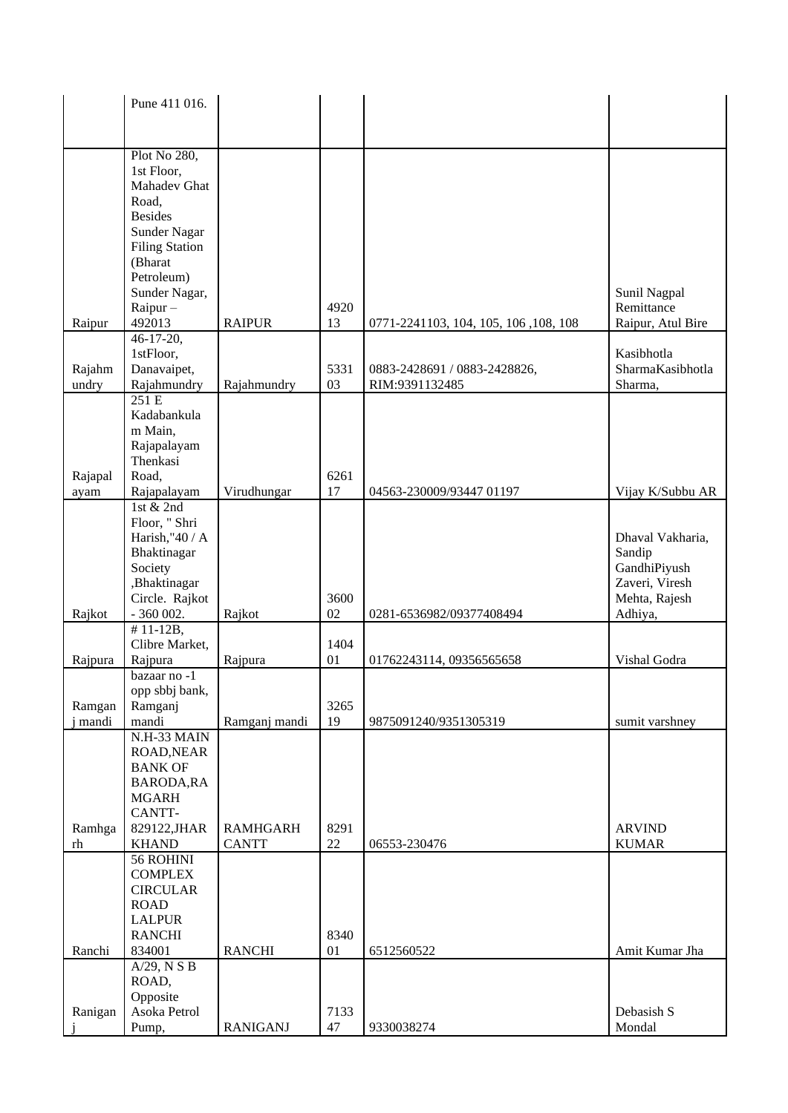|                | Pune 411 016.               |                 |      |                                       |                   |
|----------------|-----------------------------|-----------------|------|---------------------------------------|-------------------|
|                |                             |                 |      |                                       |                   |
|                |                             |                 |      |                                       |                   |
|                | Plot No 280,                |                 |      |                                       |                   |
|                | 1st Floor,                  |                 |      |                                       |                   |
|                | Mahadev Ghat                |                 |      |                                       |                   |
|                | Road,                       |                 |      |                                       |                   |
|                | <b>Besides</b>              |                 |      |                                       |                   |
|                | Sunder Nagar                |                 |      |                                       |                   |
|                | <b>Filing Station</b>       |                 |      |                                       |                   |
|                | (Bharat                     |                 |      |                                       |                   |
|                | Petroleum)                  |                 |      |                                       |                   |
|                | Sunder Nagar,               |                 |      |                                       | Sunil Nagpal      |
|                | $Rainur -$                  |                 | 4920 |                                       | Remittance        |
| Raipur         | 492013                      | <b>RAIPUR</b>   | 13   | 0771-2241103, 104, 105, 106, 108, 108 | Raipur, Atul Bire |
|                | 46-17-20,                   |                 |      |                                       |                   |
|                | 1stFloor,                   |                 |      |                                       | Kasibhotla        |
| Rajahm         | Danavaipet,                 |                 | 5331 | 0883-2428691 / 0883-2428826,          | SharmaKasibhotla  |
| undry          | Rajahmundry                 | Rajahmundry     | 03   | RIM:9391132485                        | Sharma,           |
|                | 251E                        |                 |      |                                       |                   |
|                | Kadabankula                 |                 |      |                                       |                   |
|                | m Main,                     |                 |      |                                       |                   |
|                | Rajapalayam                 |                 |      |                                       |                   |
|                | Thenkasi                    |                 |      |                                       |                   |
| Rajapal        | Road,                       |                 | 6261 |                                       |                   |
| ayam           | Rajapalayam                 | Virudhungar     | 17   | 04563-230009/93447 01197              | Vijay K/Subbu AR  |
|                | 1st & 2nd<br>Floor, " Shri  |                 |      |                                       |                   |
|                | Harish,"40 / A              |                 |      |                                       | Dhaval Vakharia,  |
|                | Bhaktinagar                 |                 |      |                                       | Sandip            |
|                | Society                     |                 |      |                                       | GandhiPiyush      |
|                | ,Bhaktinagar                |                 |      |                                       | Zaveri, Viresh    |
|                | Circle. Rajkot              |                 | 3600 |                                       | Mehta, Rajesh     |
| Rajkot         | - 360 002.                  | Rajkot          | 02   | 0281-6536982/09377408494              | Adhiya,           |
|                | $# 11 - 12B,$               |                 |      |                                       |                   |
|                | Clibre Market,              |                 | 1404 |                                       |                   |
| Rajpura        | Rajpura                     | Rajpura         | 01   | 01762243114, 09356565658              | Vishal Godra      |
|                | bazaar no -1                |                 |      |                                       |                   |
|                | opp sbbj bank,              |                 |      |                                       |                   |
| Ramgan         | Ramganj                     |                 | 3265 |                                       |                   |
| mandi          | mandi                       | Ramganj mandi   | 19   | 9875091240/9351305319                 | sumit varshney    |
|                | N.H-33 MAIN                 |                 |      |                                       |                   |
|                | ROAD, NEAR                  |                 |      |                                       |                   |
|                | <b>BANK OF</b>              |                 |      |                                       |                   |
|                | <b>BARODA, RA</b>           |                 |      |                                       |                   |
|                | <b>MGARH</b>                |                 |      |                                       |                   |
|                | CANTT-                      |                 |      |                                       |                   |
| Ramhga         | 829122, JHAR                | <b>RAMHGARH</b> | 8291 |                                       | <b>ARVIND</b>     |
| r <sub>h</sub> | <b>KHAND</b>                | <b>CANTT</b>    | 22   | 06553-230476                          | <b>KUMAR</b>      |
|                | 56 ROHINI<br><b>COMPLEX</b> |                 |      |                                       |                   |
|                | <b>CIRCULAR</b>             |                 |      |                                       |                   |
|                | <b>ROAD</b>                 |                 |      |                                       |                   |
|                | <b>LALPUR</b>               |                 |      |                                       |                   |
|                | <b>RANCHI</b>               |                 | 8340 |                                       |                   |
| Ranchi         | 834001                      | <b>RANCHI</b>   | 01   | 6512560522                            | Amit Kumar Jha    |
|                | $A/29$ , N S B              |                 |      |                                       |                   |
|                | ROAD,                       |                 |      |                                       |                   |
|                | Opposite                    |                 |      |                                       |                   |
| Ranigan        | Asoka Petrol                |                 | 7133 |                                       | Debasish S        |
|                | Pump,                       | <b>RANIGANJ</b> | 47   | 9330038274                            | Mondal            |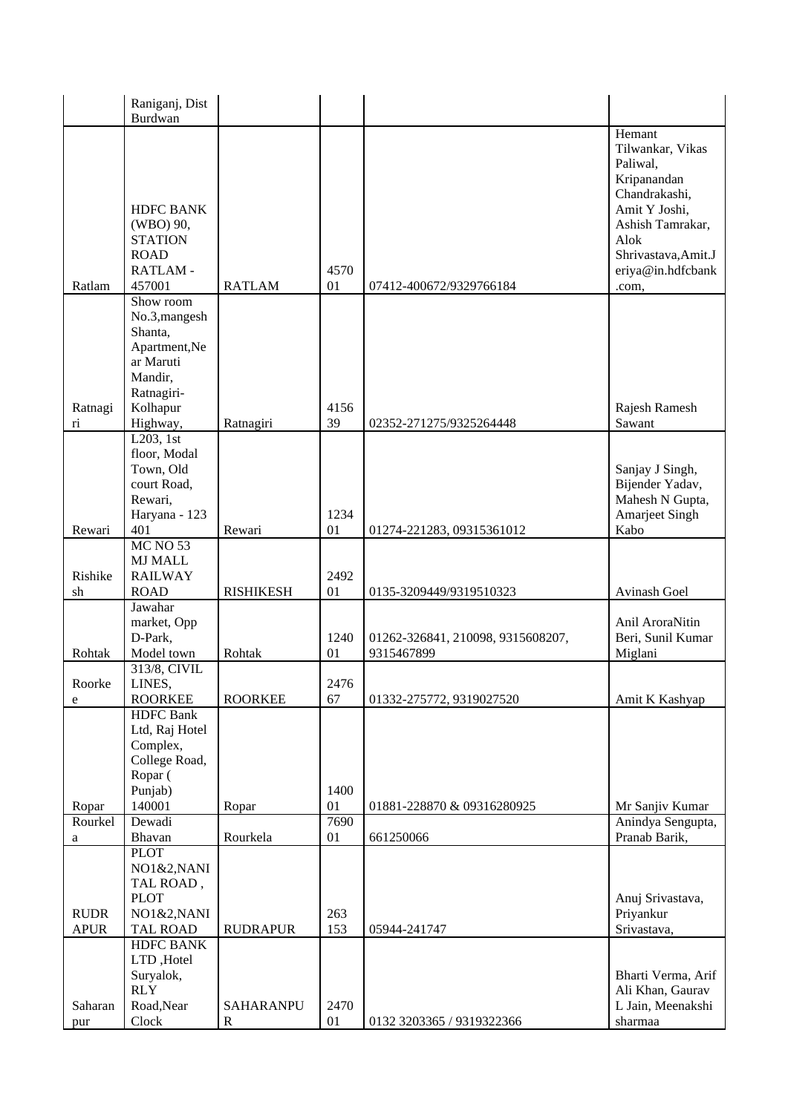|                            | Raniganj, Dist                                                            |                          |            |                                   |                                                                                       |
|----------------------------|---------------------------------------------------------------------------|--------------------------|------------|-----------------------------------|---------------------------------------------------------------------------------------|
|                            | Burdwan                                                                   |                          |            |                                   | Hemant<br>Tilwankar, Vikas<br>Paliwal,<br>Kripanandan<br>Chandrakashi,                |
|                            | <b>HDFC BANK</b><br>(WBO) 90,<br><b>STATION</b><br><b>ROAD</b><br>RATLAM- |                          | 4570       |                                   | Amit Y Joshi,<br>Ashish Tamrakar,<br>Alok<br>Shrivastava, Amit.J<br>eriya@in.hdfcbank |
| Ratlam                     | 457001<br>Show room                                                       | <b>RATLAM</b>            | 01         | 07412-400672/9329766184           | .com,                                                                                 |
|                            | No.3, mangesh<br>Shanta,<br>Apartment, Ne                                 |                          |            |                                   |                                                                                       |
|                            | ar Maruti<br>Mandir,<br>Ratnagiri-                                        |                          |            |                                   |                                                                                       |
| Ratnagi                    | Kolhapur                                                                  |                          | 4156       |                                   | Rajesh Ramesh                                                                         |
| $\overline{\rm n}$         | Highway,<br>$L203$ , 1st                                                  | Ratnagiri                | 39         | 02352-271275/9325264448           | Sawant                                                                                |
|                            | floor, Modal<br>Town, Old<br>court Road,<br>Rewari,                       |                          |            |                                   | Sanjay J Singh,<br>Bijender Yadav,<br>Mahesh N Gupta,                                 |
|                            | Haryana - 123                                                             |                          | 1234       |                                   | <b>Amarjeet Singh</b>                                                                 |
| Rewari                     | 401                                                                       | Rewari                   | 01         | 01274-221283, 09315361012         | Kabo                                                                                  |
|                            | <b>MC NO 53</b><br><b>MJ MALL</b>                                         |                          |            |                                   |                                                                                       |
| Rishike                    | <b>RAILWAY</b>                                                            |                          | 2492       |                                   |                                                                                       |
| sh                         | <b>ROAD</b>                                                               | <b>RISHIKESH</b>         | 01         | 0135-3209449/9319510323           | Avinash Goel                                                                          |
|                            | Jawahar<br>market, Opp                                                    |                          |            |                                   | Anil AroraNitin                                                                       |
|                            | D-Park,                                                                   |                          | 1240       | 01262-326841, 210098, 9315608207, | Beri, Sunil Kumar                                                                     |
| Rohtak                     | Model town                                                                | Rohtak                   | 01         | 9315467899                        | Miglani                                                                               |
| Roorke                     | 313/8, CIVIL<br>LINES,                                                    |                          | 2476       |                                   |                                                                                       |
| ${\bf e}$                  | <b>ROORKEE</b><br><b>HDFC</b> Bank                                        | <b>ROORKEE</b>           | 67         | 01332-275772, 9319027520          | Amit K Kashyap                                                                        |
|                            | Ltd, Raj Hotel                                                            |                          |            |                                   |                                                                                       |
|                            | Complex,<br>College Road,                                                 |                          |            |                                   |                                                                                       |
|                            | Ropar (                                                                   |                          |            |                                   |                                                                                       |
|                            | Punjab)                                                                   |                          | 1400       |                                   |                                                                                       |
| Ropar                      | 140001                                                                    | Ropar                    | 01         | 01881-228870 & 09316280925        | Mr Sanjiv Kumar                                                                       |
| Rourkel                    | Dewadi<br>Bhavan                                                          | Rourkela                 | 7690<br>01 | 661250066                         | Anindya Sengupta,<br>Pranab Barik,                                                    |
| a                          | <b>PLOT</b>                                                               |                          |            |                                   |                                                                                       |
|                            | NO1&2, NANI                                                               |                          |            |                                   |                                                                                       |
|                            | TAL ROAD,                                                                 |                          |            |                                   |                                                                                       |
|                            | <b>PLOT</b>                                                               |                          |            |                                   | Anuj Srivastava,                                                                      |
| <b>RUDR</b><br><b>APUR</b> | NO1&2, NANI                                                               | <b>RUDRAPUR</b>          | 263<br>153 |                                   | Priyankur<br>Srivastava,                                                              |
|                            | <b>TAL ROAD</b><br><b>HDFC BANK</b>                                       |                          |            | 05944-241747                      |                                                                                       |
|                            | LTD, Hotel                                                                |                          |            |                                   |                                                                                       |
|                            | Suryalok,                                                                 |                          |            |                                   | Bharti Verma, Arif                                                                    |
|                            | <b>RLY</b>                                                                |                          |            |                                   | Ali Khan, Gaurav                                                                      |
| Saharan<br>pur             | Road, Near<br>Clock                                                       | SAHARANPU<br>$\mathbf R$ | 2470<br>01 | 0132 3203365 / 9319322366         | L Jain, Meenakshi<br>sharmaa                                                          |
|                            |                                                                           |                          |            |                                   |                                                                                       |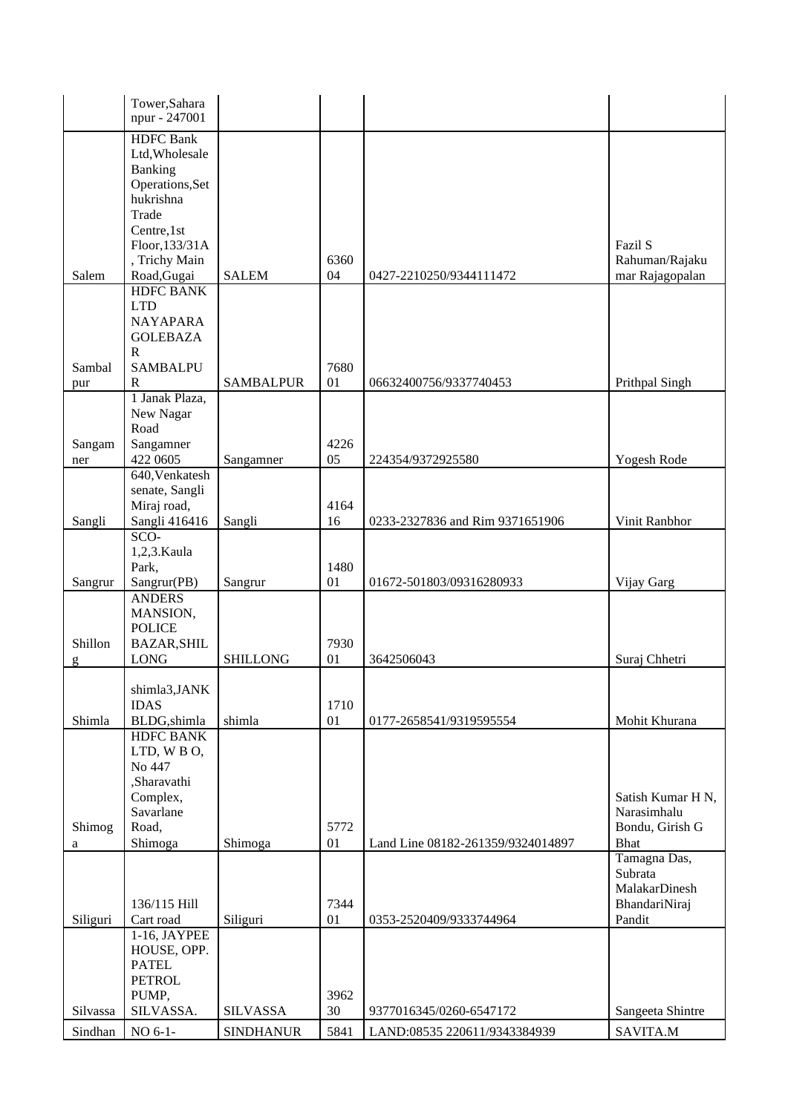|          | Tower, Sahara                   |                  |      |                                   |                                |
|----------|---------------------------------|------------------|------|-----------------------------------|--------------------------------|
|          | npur - 247001                   |                  |      |                                   |                                |
|          | <b>HDFC</b> Bank                |                  |      |                                   |                                |
|          | Ltd, Wholesale                  |                  |      |                                   |                                |
|          | Banking                         |                  |      |                                   |                                |
|          | Operations, Set                 |                  |      |                                   |                                |
|          | hukrishna                       |                  |      |                                   |                                |
|          | Trade                           |                  |      |                                   |                                |
|          | Centre, 1st                     |                  |      |                                   | Fazil S                        |
|          | Floor, 133/31A<br>, Trichy Main |                  | 6360 |                                   | Rahuman/Rajaku                 |
| Salem    | Road, Gugai                     | <b>SALEM</b>     | 04   | 0427-2210250/9344111472           | mar Rajagopalan                |
|          | <b>HDFC BANK</b>                |                  |      |                                   |                                |
|          | <b>LTD</b>                      |                  |      |                                   |                                |
|          | <b>NAYAPARA</b>                 |                  |      |                                   |                                |
|          | <b>GOLEBAZA</b>                 |                  |      |                                   |                                |
|          | ${\bf R}$                       |                  |      |                                   |                                |
| Sambal   | <b>SAMBALPU</b>                 |                  | 7680 |                                   |                                |
| pur      | $\mathbb{R}$                    | <b>SAMBALPUR</b> | 01   | 06632400756/9337740453            | Prithpal Singh                 |
|          | 1 Janak Plaza,                  |                  |      |                                   |                                |
|          | New Nagar                       |                  |      |                                   |                                |
|          | Road                            |                  |      |                                   |                                |
| Sangam   | Sangamner                       |                  | 4226 |                                   |                                |
| ner      | 422 0605                        | Sangamner        | 05   | 224354/9372925580                 | Yogesh Rode                    |
|          | 640, Venkatesh                  |                  |      |                                   |                                |
|          | senate, Sangli                  |                  |      |                                   |                                |
|          | Miraj road,                     |                  | 4164 |                                   |                                |
| Sangli   | Sangli 416416                   | Sangli           | 16   | 0233-2327836 and Rim 9371651906   | Vinit Ranbhor                  |
|          | $SCO-$                          |                  |      |                                   |                                |
|          | 1,2,3. Kaula                    |                  | 1480 |                                   |                                |
| Sangrur  | Park,<br>Sangrur(PB)            | Sangrur          | 01   | 01672-501803/09316280933          | Vijay Garg                     |
|          | <b>ANDERS</b>                   |                  |      |                                   |                                |
|          | MANSION,                        |                  |      |                                   |                                |
|          | <b>POLICE</b>                   |                  |      |                                   |                                |
| Shillon  | <b>BAZAR, SHIL</b>              |                  | 7930 |                                   |                                |
| g        | <b>LONG</b>                     | <b>SHILLONG</b>  | 01   | 3642506043                        | Suraj Chhetri                  |
|          |                                 |                  |      |                                   |                                |
|          | shimla3, JANK                   |                  |      |                                   |                                |
|          | <b>IDAS</b>                     |                  | 1710 |                                   |                                |
| Shimla   | BLDG, shimla                    | shimla           | 01   | 0177-2658541/9319595554           | Mohit Khurana                  |
|          | <b>HDFC BANK</b>                |                  |      |                                   |                                |
|          | LTD, WBO,                       |                  |      |                                   |                                |
|          | No 447                          |                  |      |                                   |                                |
|          | ,Sharavathi                     |                  |      |                                   |                                |
|          | Complex,                        |                  |      |                                   | Satish Kumar H N,              |
| Shimog   | Savarlane<br>Road,              |                  | 5772 |                                   | Narasimhalu<br>Bondu, Girish G |
|          | Shimoga                         | Shimoga          | 01   | Land Line 08182-261359/9324014897 | <b>Bhat</b>                    |
| a        |                                 |                  |      |                                   | Tamagna Das,                   |
|          |                                 |                  |      |                                   | Subrata                        |
|          |                                 |                  |      |                                   | MalakarDinesh                  |
|          | 136/115 Hill                    |                  | 7344 |                                   | BhandariNiraj                  |
| Siliguri | Cart road                       | Siliguri         | 01   | 0353-2520409/9333744964           | Pandit                         |
|          | 1-16, JAYPEE                    |                  |      |                                   |                                |
|          | HOUSE, OPP.                     |                  |      |                                   |                                |
|          | <b>PATEL</b>                    |                  |      |                                   |                                |
|          | <b>PETROL</b>                   |                  |      |                                   |                                |
|          | PUMP,                           |                  | 3962 |                                   |                                |
| Silvassa | SILVASSA.                       | <b>SILVASSA</b>  | 30   | 9377016345/0260-6547172           | Sangeeta Shintre               |
| Sindhan  | NO 6-1-                         | <b>SINDHANUR</b> | 5841 | LAND:08535 220611/9343384939      | SAVITA.M                       |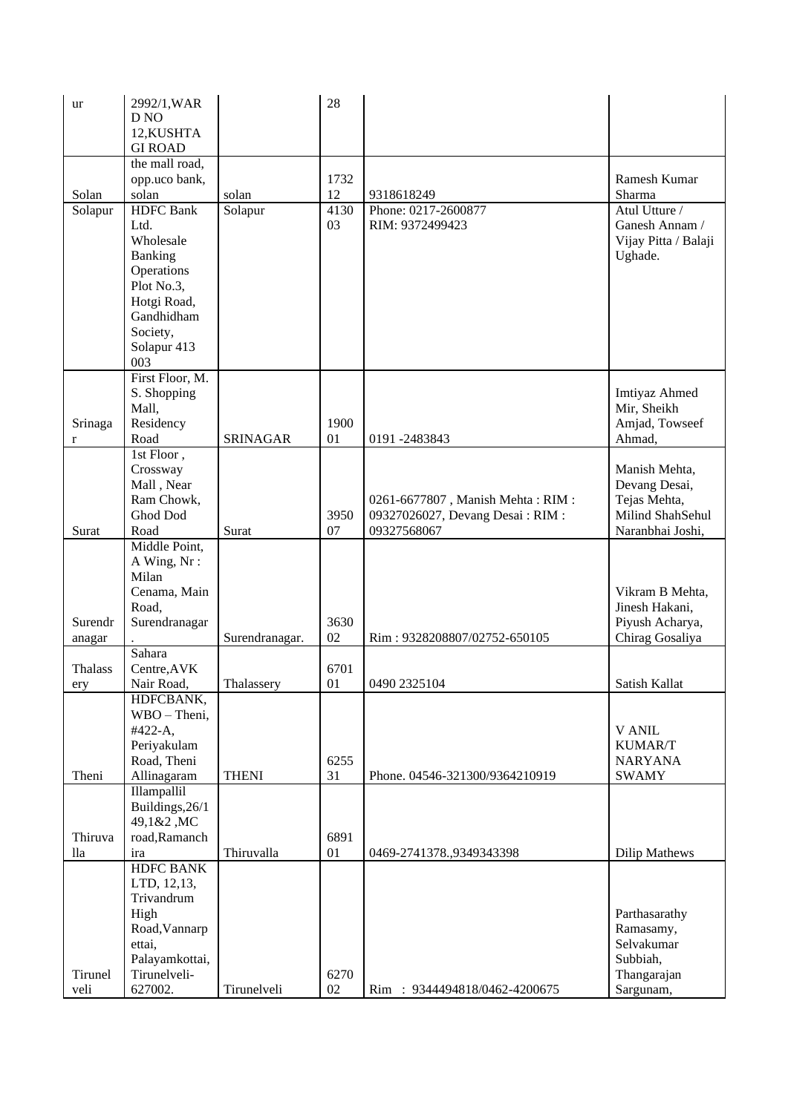| ur             | 2992/1, WAR               |                 | 28     |                                  |                      |
|----------------|---------------------------|-----------------|--------|----------------------------------|----------------------|
|                | D <sub>NO</sub>           |                 |        |                                  |                      |
|                | 12, KUSHTA                |                 |        |                                  |                      |
|                | <b>GI ROAD</b>            |                 |        |                                  |                      |
|                | the mall road,            |                 |        |                                  |                      |
|                | opp.uco bank,             |                 | 1732   |                                  | Ramesh Kumar         |
| Solan          | solan                     | solan           | 12     | 9318618249                       | Sharma               |
| Solapur        | <b>HDFC</b> Bank          | Solapur         | 4130   | Phone: 0217-2600877              | Atul Utture /        |
|                | Ltd.                      |                 | 03     | RIM: 9372499423                  | Ganesh Annam /       |
|                | Wholesale                 |                 |        |                                  | Vijay Pitta / Balaji |
|                | Banking                   |                 |        |                                  | Ughade.              |
|                | Operations                |                 |        |                                  |                      |
|                | Plot No.3,                |                 |        |                                  |                      |
|                |                           |                 |        |                                  |                      |
|                | Hotgi Road,<br>Gandhidham |                 |        |                                  |                      |
|                |                           |                 |        |                                  |                      |
|                | Society,                  |                 |        |                                  |                      |
|                | Solapur 413               |                 |        |                                  |                      |
|                | 003                       |                 |        |                                  |                      |
|                | First Floor, M.           |                 |        |                                  |                      |
|                | S. Shopping               |                 |        |                                  | Imtiyaz Ahmed        |
|                | Mall,                     |                 |        |                                  | Mir, Sheikh          |
| Srinaga        | Residency                 |                 | 1900   |                                  | Amjad, Towseef       |
| r              | Road                      | <b>SRINAGAR</b> | 01     | 0191-2483843                     | Ahmad,               |
|                | 1st Floor,                |                 |        |                                  |                      |
|                | Crossway                  |                 |        |                                  | Manish Mehta,        |
|                | Mall, Near                |                 |        |                                  | Devang Desai,        |
|                | Ram Chowk,                |                 |        | 0261-6677807, Manish Mehta: RIM: | Tejas Mehta,         |
|                | Ghod Dod                  |                 | 3950   | 09327026027, Devang Desai: RIM:  | Milind ShahSehul     |
| Surat          | Road                      | Surat           | 07     | 09327568067                      | Naranbhai Joshi,     |
|                | Middle Point,             |                 |        |                                  |                      |
|                | A Wing, Nr:               |                 |        |                                  |                      |
|                | Milan                     |                 |        |                                  |                      |
|                | Cenama, Main              |                 |        |                                  | Vikram B Mehta,      |
|                | Road,                     |                 |        |                                  | Jinesh Hakani,       |
| Surendr        | Surendranagar             |                 | 3630   |                                  | Piyush Acharya,      |
| anagar         |                           | Surendranagar.  | 02     | Rim: 9328208807/02752-650105     | Chirag Gosaliya      |
|                | Sahara                    |                 |        |                                  |                      |
| <b>Thalass</b> | Centre, AVK               |                 | 6701   |                                  |                      |
| ery            | Nair Road,                | Thalassery      | 01     | 0490 2325104                     | Satish Kallat        |
|                | HDFCBANK,                 |                 |        |                                  |                      |
|                | WBO - Theni,              |                 |        |                                  |                      |
|                | #422-A,                   |                 |        |                                  | <b>V ANIL</b>        |
|                | Periyakulam               |                 |        |                                  | KUMAR/T              |
|                | Road, Theni               |                 | 6255   |                                  | <b>NARYANA</b>       |
| Theni          | Allinagaram               | <b>THENI</b>    | 31     | Phone. 04546-321300/9364210919   | <b>SWAMY</b>         |
|                | Illampallil               |                 |        |                                  |                      |
|                | Buildings, 26/1           |                 |        |                                  |                      |
|                | 49,1&2,MC                 |                 |        |                                  |                      |
| Thiruva        | road, Ramanch             |                 | 6891   |                                  |                      |
| lla            | ira                       | Thiruvalla      | 01     | 0469-2741378.,9349343398         | <b>Dilip Mathews</b> |
|                | <b>HDFC BANK</b>          |                 |        |                                  |                      |
|                | LTD, 12,13,               |                 |        |                                  |                      |
|                | Trivandrum                |                 |        |                                  |                      |
|                | High                      |                 |        |                                  | Parthasarathy        |
|                | Road, Vannarp             |                 |        |                                  | Ramasamy,            |
|                | ettai,                    |                 |        |                                  | Selvakumar           |
|                | Palayamkottai,            |                 |        |                                  | Subbiah,             |
| Tirunel        | Tirunelveli-              |                 | 6270   |                                  | Thangarajan          |
| veli           | 627002.                   | Tirunelveli     | $02\,$ | Rim: 9344494818/0462-4200675     | Sargunam,            |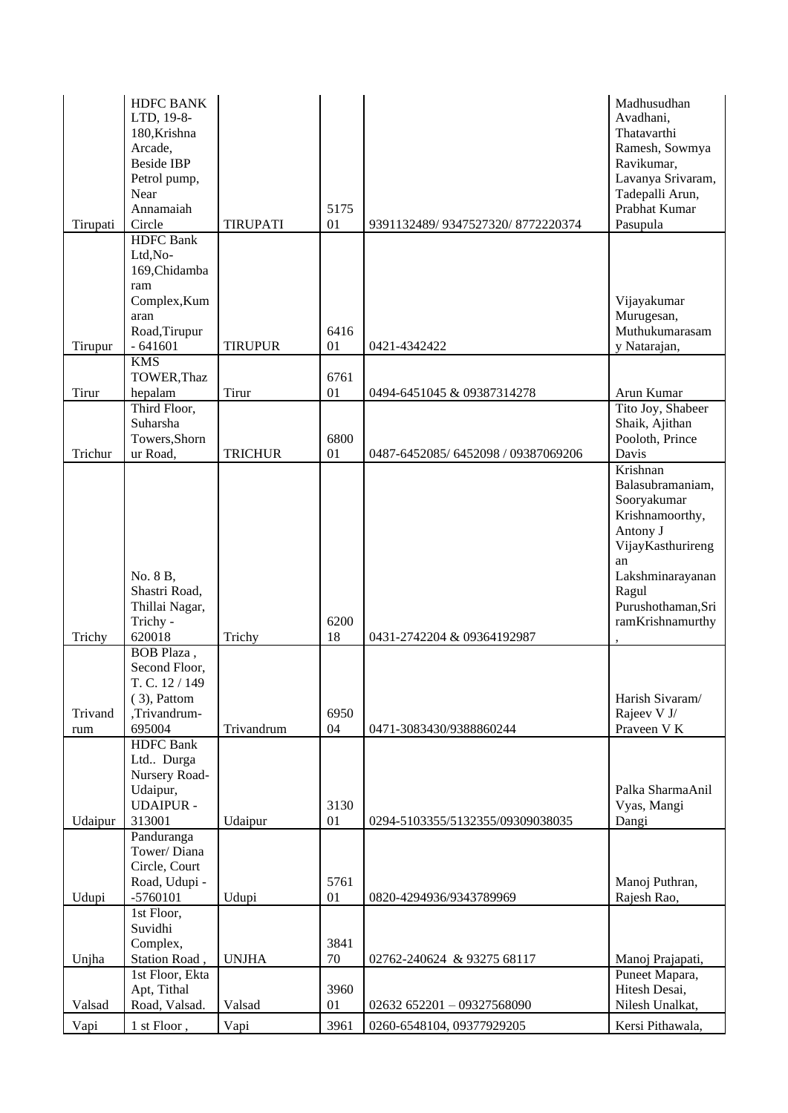| Ltd,No-<br>169, Chidamba<br>ram<br>Complex, Kum<br>Vijayakumar<br>Murugesan,<br>aran<br>Road, Tirupur<br>6416<br>Tirupur<br>$-641601$<br><b>TIRUPUR</b><br>01<br>y Natarajan,<br>0421-4342422<br><b>KMS</b><br>TOWER, Thaz<br>6761<br>Tirur<br>Tirur<br>hepalam<br>01<br>Arun Kumar<br>0494-6451045 & 09387314278<br>Third Floor,<br>Shaik, Ajithan<br>Suharsha<br>Towers, Shorn<br>6800<br>Pooloth, Prince<br>Davis<br>Trichur<br>ur Road,<br><b>TRICHUR</b><br>01<br>0487-6452085/6452098/09387069206<br>Krishnan<br>Sooryakumar<br>Antony J<br>an | Tirupati | <b>HDFC BANK</b><br>LTD, 19-8-<br>180, Krishna<br>Arcade,<br><b>Beside IBP</b><br>Petrol pump,<br>Near<br>Annamaiah<br>Circle | <b>TIRUPATI</b> | 5175<br>01 | 9391132489/9347527320/8772220374 | Madhusudhan<br>Avadhani,<br>Thatavarthi<br>Ramesh, Sowmya<br>Ravikumar,<br>Lavanya Srivaram,<br>Tadepalli Arun,<br>Prabhat Kumar<br>Pasupula |
|------------------------------------------------------------------------------------------------------------------------------------------------------------------------------------------------------------------------------------------------------------------------------------------------------------------------------------------------------------------------------------------------------------------------------------------------------------------------------------------------------------------------------------------------------|----------|-------------------------------------------------------------------------------------------------------------------------------|-----------------|------------|----------------------------------|----------------------------------------------------------------------------------------------------------------------------------------------|
|                                                                                                                                                                                                                                                                                                                                                                                                                                                                                                                                                      |          | <b>HDFC</b> Bank                                                                                                              |                 |            |                                  |                                                                                                                                              |
|                                                                                                                                                                                                                                                                                                                                                                                                                                                                                                                                                      |          |                                                                                                                               |                 |            |                                  |                                                                                                                                              |
|                                                                                                                                                                                                                                                                                                                                                                                                                                                                                                                                                      |          |                                                                                                                               |                 |            |                                  | Muthukumarasam                                                                                                                               |
|                                                                                                                                                                                                                                                                                                                                                                                                                                                                                                                                                      |          |                                                                                                                               |                 |            |                                  |                                                                                                                                              |
|                                                                                                                                                                                                                                                                                                                                                                                                                                                                                                                                                      |          |                                                                                                                               |                 |            |                                  |                                                                                                                                              |
|                                                                                                                                                                                                                                                                                                                                                                                                                                                                                                                                                      |          |                                                                                                                               |                 |            |                                  | Tito Joy, Shabeer                                                                                                                            |
|                                                                                                                                                                                                                                                                                                                                                                                                                                                                                                                                                      |          |                                                                                                                               |                 |            |                                  |                                                                                                                                              |
|                                                                                                                                                                                                                                                                                                                                                                                                                                                                                                                                                      |          |                                                                                                                               |                 |            |                                  |                                                                                                                                              |
| Shastri Road,<br>Ragul<br>Thillai Nagar,<br>6200<br>Trichy -<br>620018<br>18<br>Trichy<br>Trichy<br>0431-2742204 & 09364192987                                                                                                                                                                                                                                                                                                                                                                                                                       |          | No. 8 B,                                                                                                                      |                 |            |                                  | Balasubramaniam,<br>Krishnamoorthy,<br>VijayKasthurireng<br>Lakshminarayanan<br>Purushothaman, Sri<br>ramKrishnamurthy                       |
| BOB Plaza,                                                                                                                                                                                                                                                                                                                                                                                                                                                                                                                                           |          |                                                                                                                               |                 |            |                                  |                                                                                                                                              |
| Second Floor,<br>T. C. 12/149<br>$(3)$ , Pattom<br>,Trivandrum-<br>Trivand<br>6950<br>Rajeev V J/<br>Praveen V K<br>695004<br>Trivandrum<br>04<br>0471-3083430/9388860244<br>rum                                                                                                                                                                                                                                                                                                                                                                     |          |                                                                                                                               |                 |            |                                  | Harish Sivaram/                                                                                                                              |
| <b>HDFC</b> Bank<br>Ltd Durga<br>Nursery Road-<br>Udaipur,<br><b>UDAIPUR-</b><br>3130<br>Vyas, Mangi<br>313001<br>Dangi<br>Udaipur<br>Udaipur<br>01<br>0294-5103355/5132355/09309038035                                                                                                                                                                                                                                                                                                                                                              |          |                                                                                                                               |                 |            |                                  | Palka SharmaAnil                                                                                                                             |
| Panduranga<br>Tower/Diana<br>Circle, Court<br>Road, Udupi -<br>5761<br>Manoj Puthran,                                                                                                                                                                                                                                                                                                                                                                                                                                                                |          |                                                                                                                               |                 |            |                                  |                                                                                                                                              |
| $-5760101$<br>Udupi<br>Udupi<br>01<br>Rajesh Rao,<br>0820-4294936/9343789969<br>1st Floor,                                                                                                                                                                                                                                                                                                                                                                                                                                                           |          |                                                                                                                               |                 |            |                                  |                                                                                                                                              |
| Suvidhi<br>Complex,<br>3841<br>Station Road,<br><b>UNJHA</b><br>70<br>Unjha<br>02762-240624 & 93275 68117<br>1st Floor, Ekta<br>Puneet Mapara,                                                                                                                                                                                                                                                                                                                                                                                                       |          |                                                                                                                               |                 |            |                                  | Manoj Prajapati,                                                                                                                             |
| Apt, Tithal<br>3960<br>Hitesh Desai,<br>Road, Valsad.<br>Valsad<br>Valsad<br>01<br>Nilesh Unalkat,<br>02632 652201 - 09327568090                                                                                                                                                                                                                                                                                                                                                                                                                     |          |                                                                                                                               |                 |            |                                  |                                                                                                                                              |
| Vapi<br>Vapi<br>1 st Floor,<br>3961<br>0260-6548104, 09377929205                                                                                                                                                                                                                                                                                                                                                                                                                                                                                     |          |                                                                                                                               |                 |            |                                  | Kersi Pithawala,                                                                                                                             |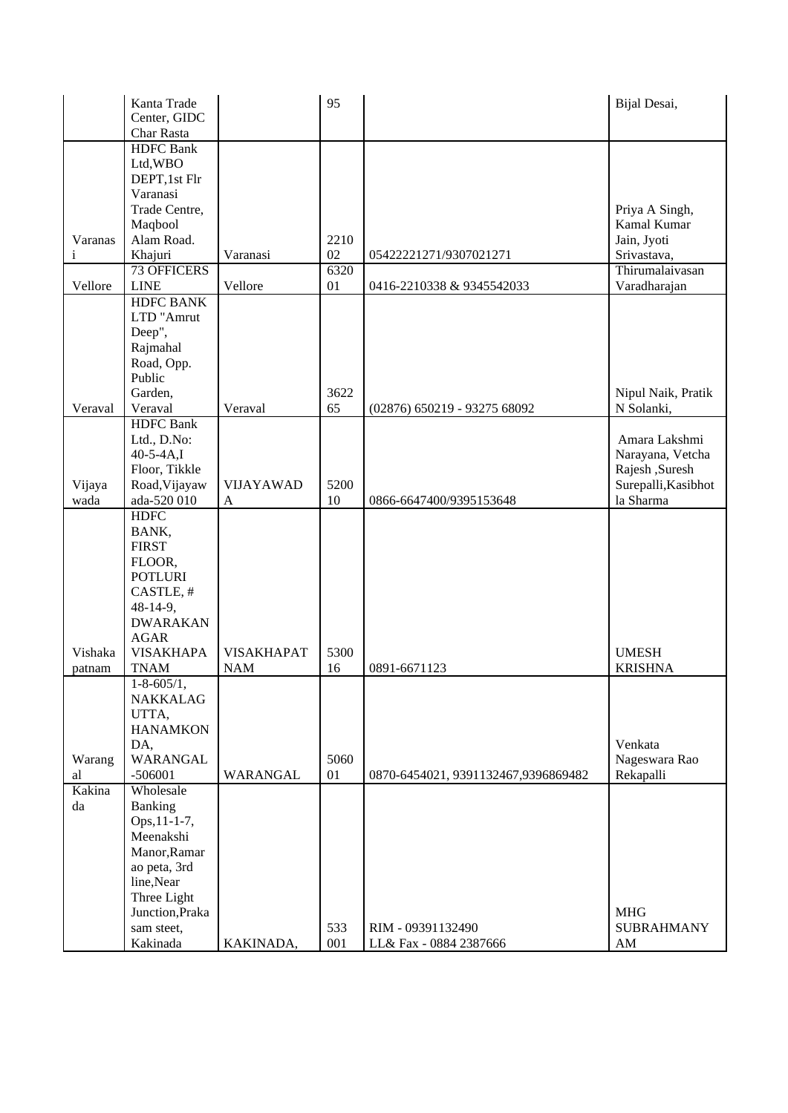|              | Kanta Trade                     |                   | 95   |                                      | Bijal Desai,        |
|--------------|---------------------------------|-------------------|------|--------------------------------------|---------------------|
|              | Center, GIDC                    |                   |      |                                      |                     |
|              | Char Rasta                      |                   |      |                                      |                     |
|              | <b>HDFC</b> Bank                |                   |      |                                      |                     |
|              | Ltd, WBO                        |                   |      |                                      |                     |
|              | DEPT, 1st Flr                   |                   |      |                                      |                     |
|              | Varanasi                        |                   |      |                                      |                     |
|              | Trade Centre,                   |                   |      |                                      | Priya A Singh,      |
|              | Maqbool                         |                   |      |                                      | Kamal Kumar         |
| Varanas      | Alam Road.                      |                   | 2210 |                                      | Jain, Jyoti         |
| $\mathbf{i}$ | Khajuri                         | Varanasi          | 02   | 05422221271/9307021271               | Srivastava,         |
|              | <b>73 OFFICERS</b>              |                   | 6320 |                                      | Thirumalaivasan     |
| Vellore      | <b>LINE</b>                     | Vellore           | 01   | 0416-2210338 & 9345542033            | Varadharajan        |
|              | <b>HDFC BANK</b>                |                   |      |                                      |                     |
|              | LTD "Amrut                      |                   |      |                                      |                     |
|              | Deep",                          |                   |      |                                      |                     |
|              | Rajmahal                        |                   |      |                                      |                     |
|              | Road, Opp.                      |                   |      |                                      |                     |
|              | Public                          |                   |      |                                      |                     |
|              | Garden,                         |                   | 3622 |                                      | Nipul Naik, Pratik  |
| Veraval      | Veraval                         | Veraval           | 65   | (02876) 650219 - 93275 68092         | N Solanki,          |
|              | <b>HDFC</b> Bank                |                   |      |                                      |                     |
|              | Ltd., D.No:                     |                   |      |                                      | Amara Lakshmi       |
|              | $40-5-4A$ , I                   |                   |      |                                      | Narayana, Vetcha    |
|              | Floor, Tikkle                   |                   |      |                                      | Rajesh ,Suresh      |
| Vijaya       | Road, Vijayaw                   | <b>VIJAYAWAD</b>  | 5200 |                                      | Surepalli, Kasibhot |
| wada         | ada-520 010                     | $\mathbf{A}$      | 10   | 0866-6647400/9395153648              | la Sharma           |
|              | <b>HDFC</b>                     |                   |      |                                      |                     |
|              | BANK,                           |                   |      |                                      |                     |
|              | <b>FIRST</b>                    |                   |      |                                      |                     |
|              | FLOOR,                          |                   |      |                                      |                     |
|              | <b>POTLURI</b>                  |                   |      |                                      |                     |
|              | CASTLE, #                       |                   |      |                                      |                     |
|              | 48-14-9,                        |                   |      |                                      |                     |
|              | <b>DWARAKAN</b>                 |                   |      |                                      |                     |
| Vishaka      | <b>AGAR</b><br><b>VISAKHAPA</b> | <b>VISAKHAPAT</b> | 5300 |                                      | <b>UMESH</b>        |
| patnam       | <b>TNAM</b>                     | <b>NAM</b>        | 16   | 0891-6671123                         | <b>KRISHNA</b>      |
|              | $1 - 8 - 605/1$ ,               |                   |      |                                      |                     |
|              | <b>NAKKALAG</b>                 |                   |      |                                      |                     |
|              | UTTA,                           |                   |      |                                      |                     |
|              | <b>HANAMKON</b>                 |                   |      |                                      |                     |
|              | DA,                             |                   |      |                                      | Venkata             |
| Warang       | WARANGAL                        |                   | 5060 |                                      | Nageswara Rao       |
| al           | $-506001$                       | WARANGAL          | 01   | 0870-6454021, 9391132467, 9396869482 | Rekapalli           |
| Kakina       | Wholesale                       |                   |      |                                      |                     |
| da           | Banking                         |                   |      |                                      |                     |
|              | Ops, 11-1-7,                    |                   |      |                                      |                     |
|              | Meenakshi                       |                   |      |                                      |                     |
|              | Manor, Ramar                    |                   |      |                                      |                     |
|              | ao peta, 3rd                    |                   |      |                                      |                     |
|              | line, Near                      |                   |      |                                      |                     |
|              | Three Light                     |                   |      |                                      |                     |
|              | Junction, Praka                 |                   |      |                                      | <b>MHG</b>          |
|              | sam steet,                      |                   | 533  | RIM - 09391132490                    | <b>SUBRAHMANY</b>   |
|              | Kakinada                        | KAKINADA,         | 001  | LL& Fax - 0884 2387666               | AM                  |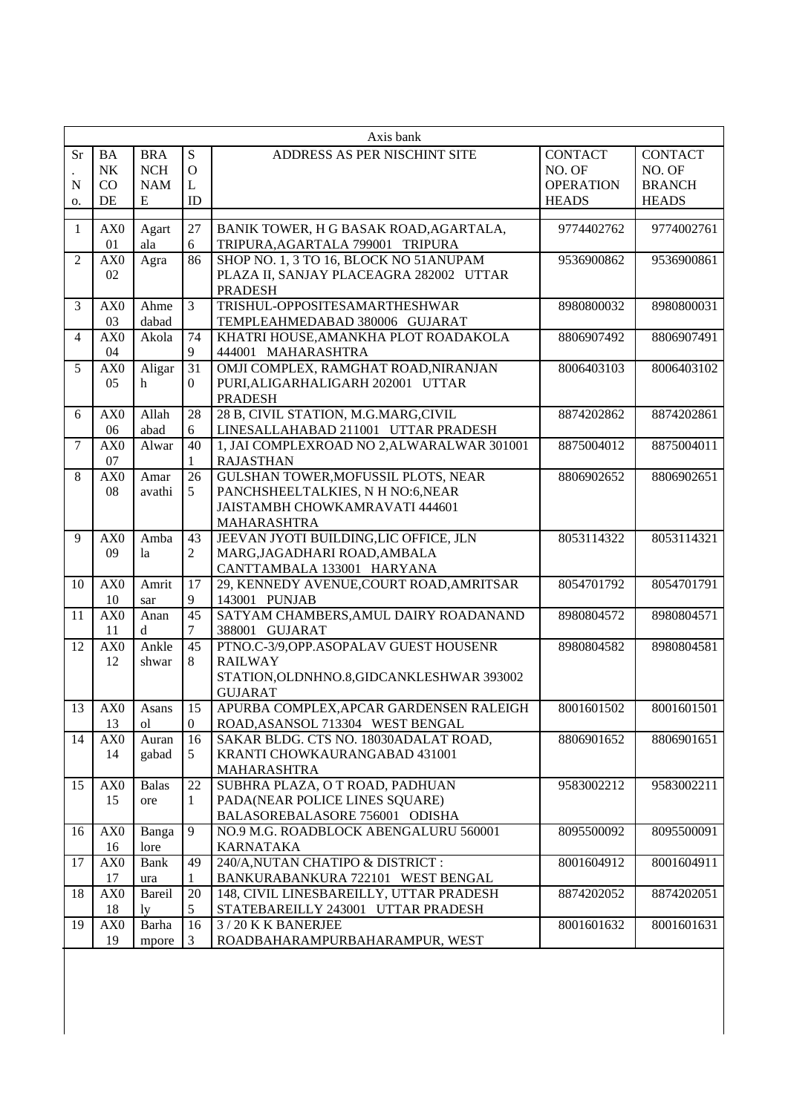|                 | Axis bank             |                         |                  |                                                           |                  |                |  |  |  |
|-----------------|-----------------------|-------------------------|------------------|-----------------------------------------------------------|------------------|----------------|--|--|--|
| <b>Sr</b>       | <b>BA</b>             | <b>BRA</b>              | ${\bf S}$        | ADDRESS AS PER NISCHINT SITE                              | <b>CONTACT</b>   | <b>CONTACT</b> |  |  |  |
|                 | N <sub>K</sub>        | <b>NCH</b>              | $\mathbf O$      |                                                           | NO. OF           | NO. OF         |  |  |  |
| N               | CO                    | <b>NAM</b>              | L                |                                                           | <b>OPERATION</b> | <b>BRANCH</b>  |  |  |  |
| о.              | DE                    | E                       | ID               |                                                           | <b>HEADS</b>     | <b>HEADS</b>   |  |  |  |
|                 |                       |                         |                  |                                                           |                  |                |  |  |  |
| $\mathbf{1}$    | AX <sub>0</sub>       | Agart                   | 27               | BANIK TOWER, H G BASAK ROAD, AGARTALA,                    | 9774402762       | 9774002761     |  |  |  |
|                 | 01                    | ala                     | 6                | TRIPURA, AGARTALA 799001 TRIPURA                          |                  |                |  |  |  |
| $\overline{2}$  | AX <sub>0</sub>       | Agra                    | 86               | SHOP NO. 1, 3 TO 16, BLOCK NO 51ANUPAM                    | 9536900862       | 9536900861     |  |  |  |
|                 | 02                    |                         |                  | PLAZA II, SANJAY PLACEAGRA 282002 UTTAR                   |                  |                |  |  |  |
|                 |                       |                         |                  | <b>PRADESH</b>                                            |                  |                |  |  |  |
| 3               | AX <sub>0</sub>       | Ahme                    | $\overline{3}$   | TRISHUL-OPPOSITESAMARTHESHWAR                             | 8980800032       | 8980800031     |  |  |  |
|                 | 03                    | dabad                   |                  | TEMPLEAHMEDABAD 380006 GUJARAT                            |                  |                |  |  |  |
| $\overline{4}$  | AX <sub>0</sub>       | Akola                   | 74               | KHATRI HOUSE, AMANKHA PLOT ROADAKOLA                      | 8806907492       | 8806907491     |  |  |  |
|                 | 04                    |                         | 9                | 444001 MAHARASHTRA                                        |                  |                |  |  |  |
| 5               | AX0<br>0 <sub>5</sub> | Aligar                  | 31               | OMJI COMPLEX, RAMGHAT ROAD, NIRANJAN                      | 8006403103       | 8006403102     |  |  |  |
|                 |                       | h.                      | $\overline{0}$   | PURI, ALIGARHALIGARH 202001 UTTAR<br><b>PRADESH</b>       |                  |                |  |  |  |
| 6               | AX <sub>0</sub>       | Allah                   | 28               | 28 B, CIVIL STATION, M.G.MARG, CIVIL                      | 8874202862       | 8874202861     |  |  |  |
|                 | 06                    | abad                    | 6                | LINESALLAHABAD 211001 UTTAR PRADESH                       |                  |                |  |  |  |
| $\tau$          | AX <sub>0</sub>       | Alwar                   | 40               | 1, JAI COMPLEXROAD NO 2, ALWARALWAR 301001                | 8875004012       | 8875004011     |  |  |  |
|                 | 07                    |                         | $\mathbf{1}$     | <b>RAJASTHAN</b>                                          |                  |                |  |  |  |
| 8               | AX0                   | Amar                    | 26               | <b>GULSHAN TOWER, MOFUSSIL PLOTS, NEAR</b>                | 8806902652       | 8806902651     |  |  |  |
|                 | 08                    | avathi                  | 5                | PANCHSHEELTALKIES, N H NO:6, NEAR                         |                  |                |  |  |  |
|                 |                       |                         |                  | JAISTAMBH CHOWKAMRAVATI 444601                            |                  |                |  |  |  |
|                 |                       |                         |                  | MAHARASHTRA                                               |                  |                |  |  |  |
| 9               | AX <sub>0</sub>       | Amba                    | 43               | JEEVAN JYOTI BUILDING, LIC OFFICE, JLN                    | 8053114322       | 8053114321     |  |  |  |
|                 | 09                    | la                      | $\overline{2}$   | MARG, JAGADHARI ROAD, AMBALA                              |                  |                |  |  |  |
|                 |                       |                         |                  | CANTTAMBALA 133001 HARYANA                                |                  |                |  |  |  |
| 10              | AX0                   | Amrit                   | 17               | 29, KENNEDY AVENUE, COURT ROAD, AMRITSAR                  | 8054701792       | 8054701791     |  |  |  |
|                 | 10                    | sar                     | 9                | 143001 PUNJAB                                             |                  |                |  |  |  |
| 11              | AX <sub>0</sub>       | Anan                    | 45               | SATYAM CHAMBERS, AMUL DAIRY ROADANAND                     | 8980804572       | 8980804571     |  |  |  |
|                 | 11                    | d                       | 7                | 388001 GUJARAT                                            |                  |                |  |  |  |
| $\overline{12}$ | AX <sub>0</sub>       | Ankle                   | $\overline{45}$  | PTNO.C-3/9, OPP.ASOPALAV GUEST HOUSENR                    | 8980804582       | 8980804581     |  |  |  |
|                 | 12                    | shwar                   | 8                | <b>RAILWAY</b>                                            |                  |                |  |  |  |
|                 |                       |                         |                  | STATION, OLDNHNO.8, GIDCANKLESHWAR 393002                 |                  |                |  |  |  |
|                 |                       |                         | 15               | <b>GUJARAT</b><br>APURBA COMPLEX, APCAR GARDENSEN RALEIGH |                  | 8001601501     |  |  |  |
| 13              | AX <sub>0</sub><br>13 | Asans<br><sub>o</sub> l | $\boldsymbol{0}$ | ROAD, ASANSOL 713304 WEST BENGAL                          | 8001601502       |                |  |  |  |
| 14              | AX <sub>0</sub>       | Auran                   | 16               | SAKAR BLDG. CTS NO. 18030ADALAT ROAD,                     | 8806901652       | 8806901651     |  |  |  |
|                 | 14                    | gabad                   | 5                | KRANTI CHOWKAURANGABAD 431001                             |                  |                |  |  |  |
|                 |                       |                         |                  | <b>MAHARASHTRA</b>                                        |                  |                |  |  |  |
| 15              | AX <sub>0</sub>       | <b>Balas</b>            | 22               | SUBHRA PLAZA, O T ROAD, PADHUAN                           | 9583002212       | 9583002211     |  |  |  |
|                 | 15                    | ore                     | 1                | PADA(NEAR POLICE LINES SQUARE)                            |                  |                |  |  |  |
|                 |                       |                         |                  | BALASOREBALASORE 756001 ODISHA                            |                  |                |  |  |  |
| 16              | AX0                   | Banga                   | 9                | NO.9 M.G. ROADBLOCK ABENGALURU 560001                     | 8095500092       | 8095500091     |  |  |  |
|                 | 16                    | lore                    |                  | <b>KARNATAKA</b>                                          |                  |                |  |  |  |
| 17              | AX0                   | Bank                    | 49               | 240/A, NUTAN CHATIPO & DISTRICT:                          | 8001604912       | 8001604911     |  |  |  |
|                 | 17                    | ura                     |                  | BANKURABANKURA 722101 WEST BENGAL                         |                  |                |  |  |  |
| 18              | AX <sub>0</sub>       | Bareil                  | 20               | 148, CIVIL LINESBAREILLY, UTTAR PRADESH                   | 8874202052       | 8874202051     |  |  |  |
|                 | 18                    | ly                      | 5                | STATEBAREILLY 243001 UTTAR PRADESH                        |                  |                |  |  |  |
| 19              | AX0                   | Barha                   | 16               | 3/20 K K BANERJEE                                         | 8001601632       | 8001601631     |  |  |  |
|                 | 19                    | mpore                   | 3                | ROADBAHARAMPURBAHARAMPUR, WEST                            |                  |                |  |  |  |
|                 |                       |                         |                  |                                                           |                  |                |  |  |  |
|                 |                       |                         |                  |                                                           |                  |                |  |  |  |
|                 |                       |                         |                  |                                                           |                  |                |  |  |  |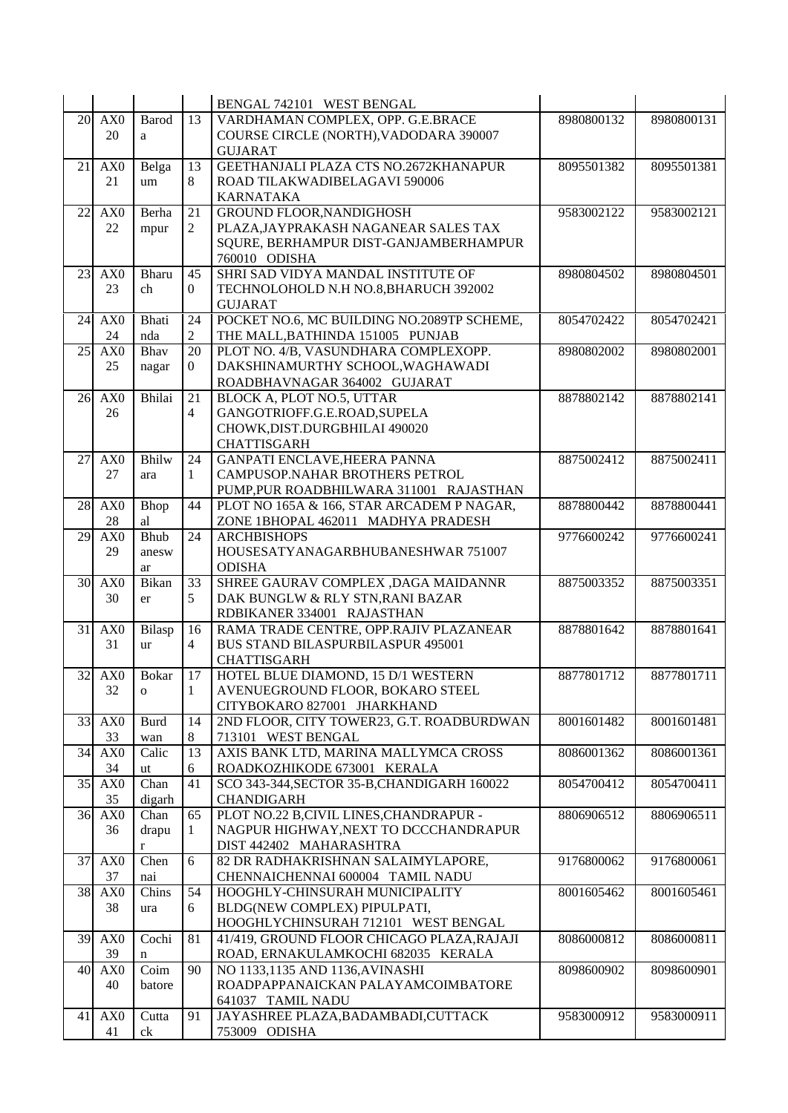|    |                 |              |                 | BENGAL 742101 WEST BENGAL                                  |            |            |
|----|-----------------|--------------|-----------------|------------------------------------------------------------|------------|------------|
|    | 20 AX0          | <b>Barod</b> | $\overline{13}$ | VARDHAMAN COMPLEX, OPP. G.E.BRACE                          | 8980800132 | 8980800131 |
|    | 20              | a            |                 | COURSE CIRCLE (NORTH), VADODARA 390007                     |            |            |
|    |                 |              |                 | <b>GUJARAT</b>                                             |            |            |
| 21 | AX0             | Belga        | 13              | GEETHANJALI PLAZA CTS NO.2672KHANAPUR                      | 8095501382 | 8095501381 |
|    | 21              | um           | 8               | ROAD TILAKWADIBELAGAVI 590006                              |            |            |
|    |                 |              |                 | <b>KARNATAKA</b>                                           |            |            |
| 22 | AX0             | Berha        | 21              | <b>GROUND FLOOR, NANDIGHOSH</b>                            | 9583002122 | 9583002121 |
|    | 22              | mpur         | $\overline{2}$  | PLAZA, JAYPRAKASH NAGANEAR SALES TAX                       |            |            |
|    |                 |              |                 | SQURE, BERHAMPUR DIST-GANJAMBERHAMPUR                      |            |            |
|    |                 |              |                 | 760010 ODISHA                                              |            |            |
| 23 | AX <sub>0</sub> | Bharu        | 45              | SHRI SAD VIDYA MANDAL INSTITUTE OF                         | 8980804502 | 8980804501 |
|    | 23              | ch           | $\overline{0}$  | TECHNOLOHOLD N.H NO.8, BHARUCH 392002                      |            |            |
|    |                 |              |                 | <b>GUJARAT</b>                                             |            |            |
| 24 | AX <sub>0</sub> | <b>Bhati</b> | 24              | POCKET NO.6, MC BUILDING NO.2089TP SCHEME,                 | 8054702422 | 8054702421 |
|    | 24              | nda          | $\overline{c}$  | THE MALL, BATHINDA 151005 PUNJAB                           |            |            |
| 25 | AX <sub>0</sub> | Bhav         | 20              | PLOT NO. 4/B, VASUNDHARA COMPLEXOPP.                       | 8980802002 | 8980802001 |
|    | 25              | nagar        | $\overline{0}$  | DAKSHINAMURTHY SCHOOL, WAGHAWADI                           |            |            |
|    |                 |              |                 | ROADBHAVNAGAR 364002 GUJARAT                               |            |            |
|    | 26 AX0          | Bhilai       | 21              | BLOCK A, PLOT NO.5, UTTAR                                  | 8878802142 | 8878802141 |
|    | 26              |              | 4               | GANGOTRIOFF.G.E.ROAD, SUPELA                               |            |            |
|    |                 |              |                 | CHOWK, DIST. DURGBHILAI 490020                             |            |            |
|    |                 |              |                 | <b>CHATTISGARH</b>                                         |            |            |
| 27 | AX <sub>0</sub> | <b>Bhilw</b> | 24              | <b>GANPATI ENCLAVE, HEERA PANNA</b>                        | 8875002412 | 8875002411 |
|    | 27              | ara          | 1               | CAMPUSOP.NAHAR BROTHERS PETROL                             |            |            |
|    |                 |              |                 | PUMP, PUR ROADBHILWARA 311001 RAJASTHAN                    |            |            |
| 28 | AX <sub>0</sub> | Bhop         | 44              | PLOT NO 165A & 166, STAR ARCADEM P NAGAR,                  | 8878800442 | 8878800441 |
|    | 28              | al           |                 | ZONE 1BHOPAL 462011 MADHYA PRADESH                         |            |            |
| 29 | AX <sub>0</sub> | Bhub         | 24              | <b>ARCHBISHOPS</b>                                         | 9776600242 | 9776600241 |
|    | 29              | anesw        |                 | HOUSESATYANAGARBHUBANESHWAR 751007                         |            |            |
|    |                 | ar           |                 | <b>ODISHA</b>                                              |            |            |
| 30 | AX <sub>0</sub> | Bikan        | 33              | SHREE GAURAV COMPLEX , DAGA MAIDANNR                       | 8875003352 | 8875003351 |
|    | 30              | er           | 5               | DAK BUNGLW & RLY STN, RANI BAZAR                           |            |            |
|    |                 |              |                 | RDBIKANER 334001 RAJASTHAN                                 |            |            |
| 31 | AX <sub>0</sub> | Bilasp       | 16              | RAMA TRADE CENTRE, OPP.RAJIV PLAZANEAR                     | 8878801642 | 8878801641 |
|    | 31              | ur           | $\overline{4}$  | <b>BUS STAND BILASPURBILASPUR 495001</b>                   |            |            |
|    |                 |              |                 | <b>CHATTISGARH</b>                                         |            |            |
| 32 | AX <sub>0</sub> | <b>Bokar</b> | 17              | HOTEL BLUE DIAMOND, 15 D/1 WESTERN                         | 8877801712 | 8877801711 |
|    | 32              | $\mathbf{O}$ | $\mathbf{1}$    | AVENUEGROUND FLOOR, BOKARO STEEL                           |            |            |
|    |                 |              |                 | CITYBOKARO 827001 JHARKHAND                                |            |            |
| 33 | AX <sub>0</sub> | <b>Burd</b>  | 14              | 2ND FLOOR, CITY TOWER23, G.T. ROADBURDWAN                  | 8001601482 | 8001601481 |
|    | 33<br>AX0       | wan          | 8               | 713101 WEST BENGAL<br>AXIS BANK LTD, MARINA MALLYMCA CROSS |            |            |
| 34 | 34              | Calic        | 13<br>6         | ROADKOZHIKODE 673001 KERALA                                | 8086001362 | 8086001361 |
| 35 | AX <sub>0</sub> | ut<br>Chan   | 41              | SCO 343-344, SECTOR 35-B, CHANDIGARH 160022                | 8054700412 | 8054700411 |
|    | 35              | digarh       |                 | <b>CHANDIGARH</b>                                          |            |            |
| 36 | AX <sub>0</sub> | Chan         | 65              | PLOT NO.22 B, CIVIL LINES, CHANDRAPUR -                    | 8806906512 | 8806906511 |
|    | 36              | drapu        | 1               | NAGPUR HIGHWAY, NEXT TO DCCCHANDRAPUR                      |            |            |
|    |                 | r            |                 | DIST 442402 MAHARASHTRA                                    |            |            |
| 37 | AX0             | Chen         | $6\,$           | 82 DR RADHAKRISHNAN SALAIMYLAPORE,                         | 9176800062 | 9176800061 |
|    | 37              | nai          |                 | CHENNAICHENNAI 600004 TAMIL NADU                           |            |            |
| 38 | AX0             | Chins        | 54              | HOOGHLY-CHINSURAH MUNICIPALITY                             | 8001605462 | 8001605461 |
|    | 38              | ura          | 6               | BLDG(NEW COMPLEX) PIPULPATI,                               |            |            |
|    |                 |              |                 | HOOGHLYCHINSURAH 712101 WEST BENGAL                        |            |            |
| 39 | AX <sub>0</sub> | Cochi        | 81              | 41/419, GROUND FLOOR CHICAGO PLAZA, RAJAJI                 | 8086000812 | 8086000811 |
|    | 39              | n            |                 | ROAD, ERNAKULAMKOCHI 682035 KERALA                         |            |            |
| 40 | AX <sub>0</sub> | Coim         | 90              | NO 1133,1135 AND 1136, AVINASHI                            | 8098600902 | 8098600901 |
|    | 40              | batore       |                 | ROADPAPPANAICKAN PALAYAMCOIMBATORE                         |            |            |
|    |                 |              |                 | 641037 TAMIL NADU                                          |            |            |
| 41 | AX <sub>0</sub> | Cutta        | 91              | JAYASHREE PLAZA, BADAMBADI, CUTTACK                        | 9583000912 | 9583000911 |
|    | 41              | ck           |                 | 753009 ODISHA                                              |            |            |
|    |                 |              |                 |                                                            |            |            |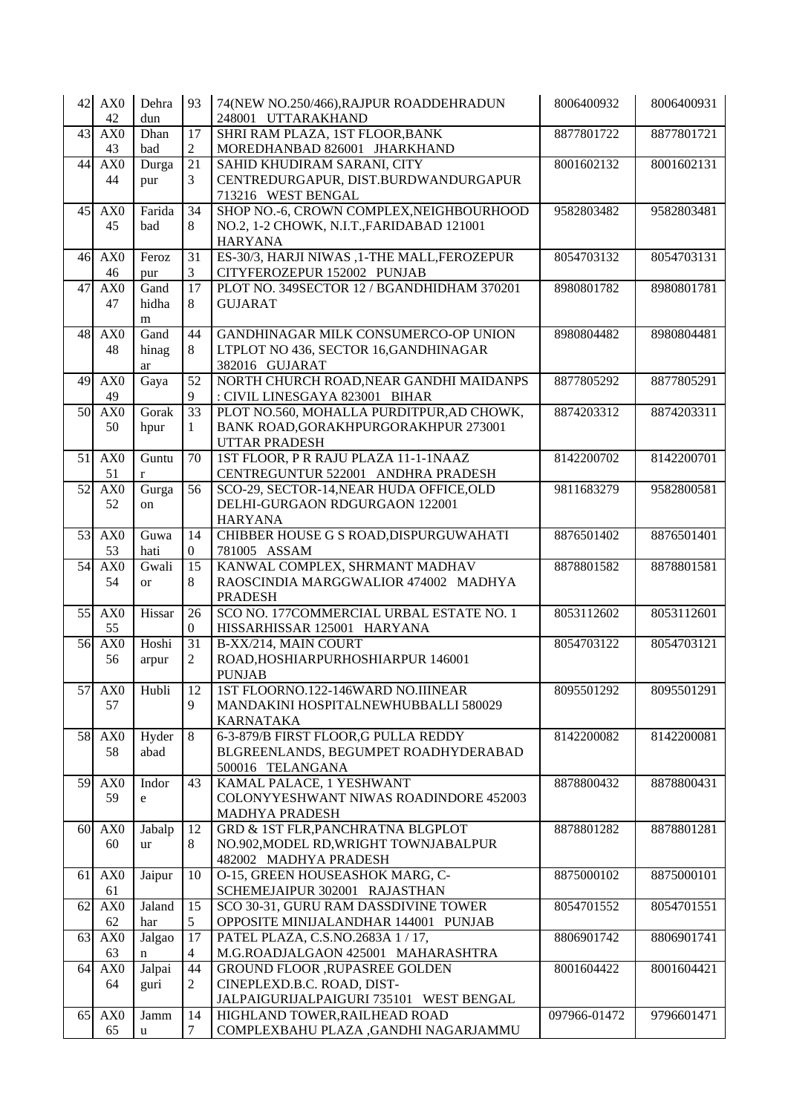| 42              | AX0             | Dehra                                      | 93               | 74(NEW NO.250/466), RAJPUR ROADDEHRADUN                            | 8006400932   | 8006400931 |
|-----------------|-----------------|--------------------------------------------|------------------|--------------------------------------------------------------------|--------------|------------|
|                 | 42              | dun                                        |                  | 248001 UTTARAKHAND                                                 |              |            |
| 43              | AX0             | Dhan                                       | 17               | SHRI RAM PLAZA, 1ST FLOOR, BANK                                    | 8877801722   | 8877801721 |
|                 | 43              | bad                                        | $\overline{2}$   | MOREDHANBAD 826001 JHARKHAND                                       |              |            |
| 44              | AX0             | Durga                                      | 21               | SAHID KHUDIRAM SARANI, CITY                                        | 8001602132   | 8001602131 |
|                 | 44              | pur                                        | $\overline{3}$   | CENTREDURGAPUR, DIST.BURDWANDURGAPUR                               |              |            |
|                 |                 |                                            |                  | 713216 WEST BENGAL                                                 |              |            |
| 45              | AX0             | Farida                                     | $\overline{34}$  | SHOP NO.-6, CROWN COMPLEX, NEIGHBOURHOOD                           | 9582803482   | 9582803481 |
|                 | 45              | bad                                        | 8                | NO.2, 1-2 CHOWK, N.I.T., FARIDABAD 121001                          |              |            |
|                 |                 |                                            |                  | <b>HARYANA</b>                                                     |              |            |
| 46              | AX0             | Feroz                                      | 31               | ES-30/3, HARJI NIWAS ,1-THE MALL, FEROZEPUR                        | 8054703132   | 8054703131 |
|                 | 46              | pur                                        | 3                | CITYFEROZEPUR 152002 PUNJAB                                        |              |            |
| 47              | AX0<br>47       | Gand<br>hidha                              | 17<br>8          | PLOT NO. 349SECTOR 12 / BGANDHIDHAM 370201<br><b>GUJARAT</b>       | 8980801782   | 8980801781 |
|                 |                 | m                                          |                  |                                                                    |              |            |
| 48              | AX <sub>0</sub> | Gand                                       | 44               | GANDHINAGAR MILK CONSUMERCO-OP UNION                               | 8980804482   | 8980804481 |
|                 | 48              | hinag                                      | 8                | LTPLOT NO 436, SECTOR 16, GANDHINAGAR                              |              |            |
|                 |                 | ar                                         |                  | 382016 GUJARAT                                                     |              |            |
| 49              | AX0             | Gaya                                       | 52               | NORTH CHURCH ROAD, NEAR GANDHI MAIDANPS                            | 8877805292   | 8877805291 |
|                 | 49              |                                            | 9                | : CIVIL LINESGAYA 823001 BIHAR                                     |              |            |
| 50              | AX0             | Gorak                                      | 33               | PLOT NO.560, MOHALLA PURDITPUR, AD CHOWK,                          | 8874203312   | 8874203311 |
|                 | 50              | hpur                                       | $\mathbf{1}$     | <b>BANK ROAD, GORAKHPURGORAKHPUR 273001</b>                        |              |            |
|                 |                 |                                            |                  | <b>UTTAR PRADESH</b>                                               |              |            |
| 51              | AX0             | Guntu                                      | 70               | 1ST FLOOR, P R RAJU PLAZA 11-1-1NAAZ                               | 8142200702   | 8142200701 |
|                 | 51              | $\mathbf{r}$                               |                  | CENTREGUNTUR 522001 ANDHRA PRADESH                                 |              |            |
| $\overline{52}$ | AX0             | Gurga                                      | $\overline{56}$  | SCO-29, SECTOR-14, NEAR HUDA OFFICE, OLD                           | 9811683279   | 9582800581 |
|                 | 52              | on                                         |                  | DELHI-GURGAON RDGURGAON 122001                                     |              |            |
|                 |                 |                                            |                  | <b>HARYANA</b>                                                     |              |            |
| 53              | AX <sub>0</sub> | Guwa                                       | 14               | CHIBBER HOUSE G S ROAD, DISPURGUWAHATI                             | 8876501402   | 8876501401 |
|                 | 53              | hati                                       | $\boldsymbol{0}$ | 781005 ASSAM                                                       |              |            |
| 54              | AX0             | Gwali                                      | 15               | KANWAL COMPLEX, SHRMANT MADHAV                                     | 8878801582   | 8878801581 |
|                 | 54              | <b>or</b>                                  | 8                | RAOSCINDIA MARGGWALIOR 474002 MADHYA                               |              |            |
|                 |                 |                                            |                  | <b>PRADESH</b>                                                     |              |            |
| 55              | AX <sub>0</sub> | Hissar                                     | 26               | SCO NO. 177COMMERCIAL URBAL ESTATE NO. 1                           | 8053112602   | 8053112601 |
|                 | 55              |                                            | $\mathbf{0}$     | HISSARHISSAR 125001 HARYANA                                        |              |            |
| 56              | AX <sub>0</sub> | Hoshi                                      | 31               | B-XX/214, MAIN COURT                                               | 8054703122   | 8054703121 |
|                 | 56              | arpur                                      | 2                | ROAD, HOSHIARPURHOSHIARPUR 146001                                  |              |            |
|                 |                 |                                            |                  | <b>PUNJAB</b>                                                      |              |            |
|                 | 57 AX0          | Hubli                                      | <sup>12</sup>    | 1ST FLOORNO.122-146WARD NO.IIINEAR                                 | 8095501292   | 8095501291 |
|                 | 57              |                                            | 9                | MANDAKINI HOSPITALNEWHUBBALLI 580029                               |              |            |
|                 |                 |                                            |                  | <b>KARNATAKA</b>                                                   |              |            |
| 58              | AX <sub>0</sub> | Hyder                                      | 8                | 6-3-879/B FIRST FLOOR, G PULLA REDDY                               | 8142200082   | 8142200081 |
|                 | 58              | abad                                       |                  | BLGREENLANDS, BEGUMPET ROADHYDERABAD                               |              |            |
|                 |                 |                                            |                  | 500016 TELANGANA                                                   |              |            |
| 59              | AX0<br>59       | Indor<br>$\mathsf{e}% _{t}\left( t\right)$ | 43               | KAMAL PALACE, 1 YESHWANT<br>COLONYYESHWANT NIWAS ROADINDORE 452003 | 8878800432   | 8878800431 |
|                 |                 |                                            |                  | <b>MADHYA PRADESH</b>                                              |              |            |
| 60              | AX <sub>0</sub> | Jabalp                                     | 12               | <b>GRD &amp; 1ST FLR, PANCHRATNA BLGPLOT</b>                       | 8878801282   | 8878801281 |
|                 | 60              | <b>ur</b>                                  | 8                | NO.902, MODEL RD, WRIGHT TOWNJABALPUR                              |              |            |
|                 |                 |                                            |                  | 482002 MADHYA PRADESH                                              |              |            |
| 61              | AX <sub>0</sub> | Jaipur                                     | 10               | O-15, GREEN HOUSEASHOK MARG, C-                                    | 8875000102   | 8875000101 |
|                 | 61              |                                            |                  | SCHEMEJAIPUR 302001 RAJASTHAN                                      |              |            |
| 62              | AX <sub>0</sub> | Jaland                                     | 15               | SCO 30-31, GURU RAM DASSDIVINE TOWER                               | 8054701552   | 8054701551 |
|                 | 62              | har                                        | 5                | OPPOSITE MINIJALANDHAR 144001 PUNJAB                               |              |            |
| 63              | AX <sub>0</sub> | Jalgao                                     | 17               | PATEL PLAZA, C.S.NO.2683A 1 / 17,                                  | 8806901742   | 8806901741 |
|                 | 63              | n                                          | 4                | M.G.ROADJALGAON 425001 MAHARASHTRA                                 |              |            |
| 64              | AX <sub>0</sub> | Jalpai                                     | 44               | GROUND FLOOR , RUPASREE GOLDEN                                     | 8001604422   | 8001604421 |
|                 | 64              | guri                                       | 2                | CINEPLEXD.B.C. ROAD, DIST-                                         |              |            |
|                 |                 |                                            |                  | JALPAIGURIJALPAIGURI 735101 WEST BENGAL                            |              |            |
| 65              | AX <sub>0</sub> | Jamm                                       | 14               | HIGHLAND TOWER, RAILHEAD ROAD                                      | 097966-01472 | 9796601471 |
|                 | 65              | u                                          | 7                | COMPLEXBAHU PLAZA , GANDHI NAGARJAMMU                              |              |            |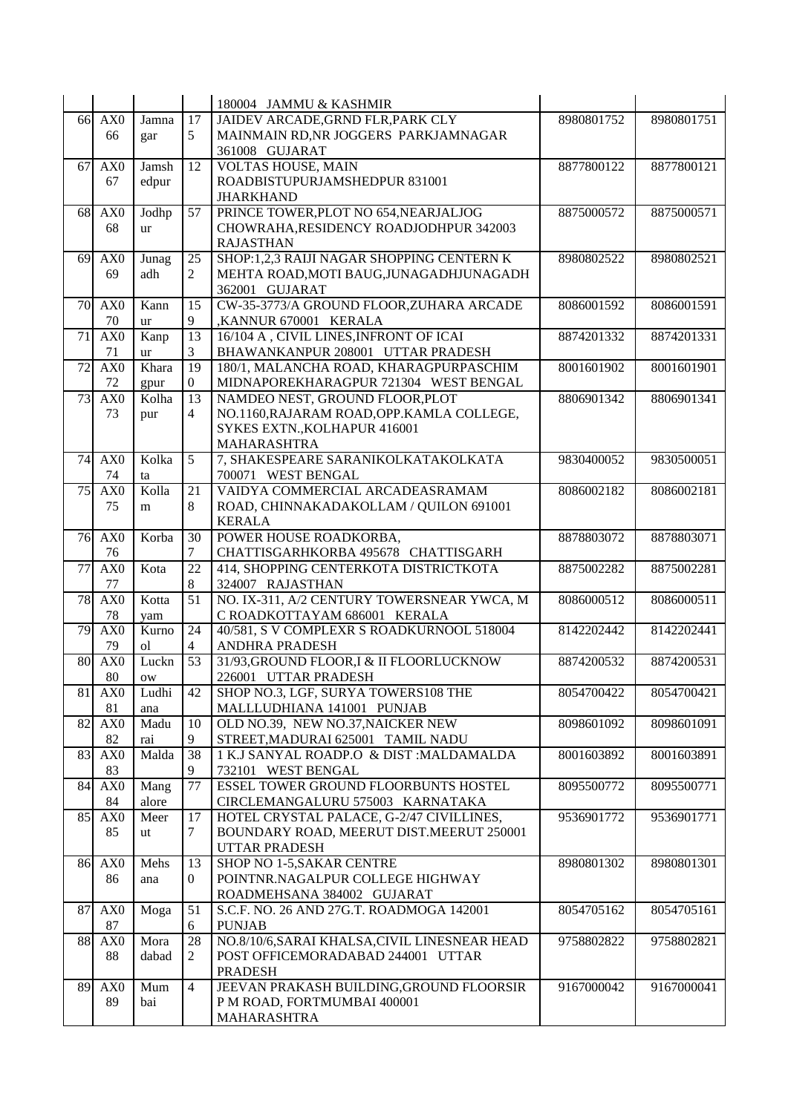|                 |                       |             |                                   | 180004 JAMMU & KASHMIR                                            |            |            |
|-----------------|-----------------------|-------------|-----------------------------------|-------------------------------------------------------------------|------------|------------|
|                 | 66 AX0                | Jamna       | 17                                | JAIDEV ARCADE, GRND FLR, PARK CLY                                 | 8980801752 | 8980801751 |
|                 | 66                    | gar         | 5                                 | MAINMAIN RD, NR JOGGERS PARKJAMNAGAR                              |            |            |
|                 |                       |             |                                   | 361008 GUJARAT                                                    |            |            |
| 67              | AX <sub>0</sub>       | Jamsh       | 12                                | <b>VOLTAS HOUSE, MAIN</b>                                         | 8877800122 | 8877800121 |
|                 | 67                    | edpur       |                                   | ROADBISTUPURJAMSHEDPUR 831001                                     |            |            |
|                 |                       |             |                                   | <b>JHARKHAND</b>                                                  |            |            |
| 68              | AX <sub>0</sub>       | Jodhp       | $\overline{57}$                   | PRINCE TOWER, PLOT NO 654, NEARJALJOG                             | 8875000572 | 8875000571 |
|                 | 68                    | ur          |                                   | CHOWRAHA, RESIDENCY ROADJODHPUR 342003                            |            |            |
|                 |                       |             |                                   | <b>RAJASTHAN</b>                                                  |            |            |
| 69              | AX <sub>0</sub>       | Junag       | $\overline{25}$                   | SHOP:1,2,3 RAIJI NAGAR SHOPPING CENTERN K                         | 8980802522 | 8980802521 |
|                 | 69                    | adh         | $\overline{2}$                    | MEHTA ROAD, MOTI BAUG, JUNAGADH JUNAGADH                          |            |            |
|                 |                       |             |                                   | 362001 GUJARAT                                                    |            |            |
| 70              | AX <sub>0</sub>       | Kann        | 15                                | CW-35-3773/A GROUND FLOOR, ZUHARA ARCADE                          | 8086001592 | 8086001591 |
|                 | 70                    | ur          | 9                                 | ,KANNUR 670001 KERALA                                             |            |            |
| 71              | AX <sub>0</sub>       | Kanp        | 13                                | 16/104 A, CIVIL LINES, INFRONT OF ICAI                            | 8874201332 | 8874201331 |
|                 | 71                    | ur          | 3                                 | BHAWANKANPUR 208001 UTTAR PRADESH                                 |            |            |
| 72              | AX <sub>0</sub>       | Khara       | 19                                | 180/1, MALANCHA ROAD, KHARAGPURPASCHIM                            | 8001601902 | 8001601901 |
|                 | $72\,$                | gpur        | $\overline{0}$                    | MIDNAPOREKHARAGPUR 721304 WEST BENGAL                             |            |            |
| 73              | AX <sub>0</sub>       | Kolha       | 13                                | NAMDEO NEST, GROUND FLOOR, PLOT                                   | 8806901342 | 8806901341 |
|                 | 73                    | pur         | 4                                 | NO.1160, RAJARAM ROAD, OPP. KAMLA COLLEGE,                        |            |            |
|                 |                       |             |                                   | SYKES EXTN., KOLHAPUR 416001                                      |            |            |
|                 |                       |             |                                   | MAHARASHTRA                                                       |            |            |
| 74              | AX <sub>0</sub>       | Kolka       | $\overline{5}$                    | 7, SHAKESPEARE SARANIKOLKATAKOLKATA                               | 9830400052 | 9830500051 |
|                 | 74                    | ta          |                                   | 700071 WEST BENGAL                                                |            |            |
| 75              | AX <sub>0</sub>       | Kolla       | 21                                | VAIDYA COMMERCIAL ARCADEASRAMAM                                   | 8086002182 | 8086002181 |
|                 | 75                    | m           | 8                                 | ROAD, CHINNAKADAKOLLAM / QUILON 691001                            |            |            |
|                 |                       |             |                                   | <b>KERALA</b>                                                     |            |            |
|                 | 76 AX0                | Korba       | 30                                | POWER HOUSE ROADKORBA,                                            | 8878803072 | 8878803071 |
|                 | 76                    |             | $\tau$                            | CHATTISGARHKORBA 495678 CHATTISGARH                               |            |            |
| $\overline{77}$ | AX0                   | Kota        | $\overline{22}$                   | 414, SHOPPING CENTERKOTA DISTRICTKOTA                             | 8875002282 | 8875002281 |
|                 | 77                    |             | 8                                 | 324007 RAJASTHAN                                                  |            |            |
|                 | 78 AX0                | Kotta       | 51                                | NO. IX-311, A/2 CENTURY TOWERSNEAR YWCA, M                        | 8086000512 | 8086000511 |
|                 | 78                    | yam         |                                   | C ROADKOTTAYAM 686001 KERALA                                      |            |            |
| 79              | AX <sub>0</sub>       | Kurno       | 24                                | 40/581, S V COMPLEXR S ROADKURNOOL 518004                         | 8142202442 | 8142202441 |
| 80              | 79<br>AX <sub>0</sub> | οl          | $\overline{4}$<br>$\overline{53}$ | ANDHRA PRADESH<br>31/93, GROUND FLOOR, I & II FLOORLUCKNOW        | 8874200532 | 8874200531 |
|                 | 80                    | Luckn       |                                   | 226001 UTTAR PRADESH                                              |            |            |
| 81              |                       | <b>OW</b>   |                                   |                                                                   | 8054700422 | 8054700421 |
|                 | AX <sub>0</sub><br>81 | Ludhi       | 42                                | SHOP NO.3, LGF, SURYA TOWERS108 THE<br>MALLLUDHIANA 141001 PUNJAB |            |            |
| 82              | AX <sub>0</sub>       | ana<br>Madu | 10                                | OLD NO.39, NEW NO.37, NAICKER NEW                                 | 8098601092 | 8098601091 |
|                 | 82                    | rai         | 9                                 | STREET, MADURAI 625001 TAMIL NADU                                 |            |            |
| 83              | AX <sub>0</sub>       | Malda       | 38                                | 1 K.J SANYAL ROADP.O & DIST : MALDAMALDA                          | 8001603892 | 8001603891 |
|                 | 83                    |             | 9                                 | 732101 WEST BENGAL                                                |            |            |
| 84              | AX <sub>0</sub>       | Mang        | 77                                | ESSEL TOWER GROUND FLOORBUNTS HOSTEL                              | 8095500772 | 8095500771 |
|                 | 84                    | alore       |                                   | CIRCLEMANGALURU 575003 KARNATAKA                                  |            |            |
| 85              | AX <sub>0</sub>       | Meer        | 17                                | HOTEL CRYSTAL PALACE, G-2/47 CIVILLINES,                          | 9536901772 | 9536901771 |
|                 | 85                    | ut          | 7                                 | BOUNDARY ROAD, MEERUT DIST.MEERUT 250001                          |            |            |
|                 |                       |             |                                   | <b>UTTAR PRADESH</b>                                              |            |            |
|                 | 86 AX0                | Mehs        | 13                                | SHOP NO 1-5, SAKAR CENTRE                                         | 8980801302 | 8980801301 |
|                 | 86                    | ana         | $\overline{0}$                    | POINTNR.NAGALPUR COLLEGE HIGHWAY                                  |            |            |
|                 |                       |             |                                   | ROADMEHSANA 384002 GUJARAT                                        |            |            |
| 87              | AX <sub>0</sub>       | Moga        | 51                                | S.C.F. NO. 26 AND 27G.T. ROADMOGA 142001                          | 8054705162 | 8054705161 |
|                 | 87                    |             | 6                                 | <b>PUNJAB</b>                                                     |            |            |
|                 | 88 AX0                | Mora        | 28                                | NO.8/10/6, SARAI KHALSA, CIVIL LINESNEAR HEAD                     | 9758802822 | 9758802821 |
|                 | 88                    | dabad       | 2                                 | POST OFFICEMORADABAD 244001 UTTAR                                 |            |            |
|                 |                       |             |                                   | <b>PRADESH</b>                                                    |            |            |
| 89              | AX0                   | Mum         | $\overline{4}$                    | JEEVAN PRAKASH BUILDING, GROUND FLOORSIR                          | 9167000042 | 9167000041 |
|                 | 89                    | bai         |                                   | P M ROAD, FORTMUMBAI 400001                                       |            |            |
|                 |                       |             |                                   | <b>MAHARASHTRA</b>                                                |            |            |
|                 |                       |             |                                   |                                                                   |            |            |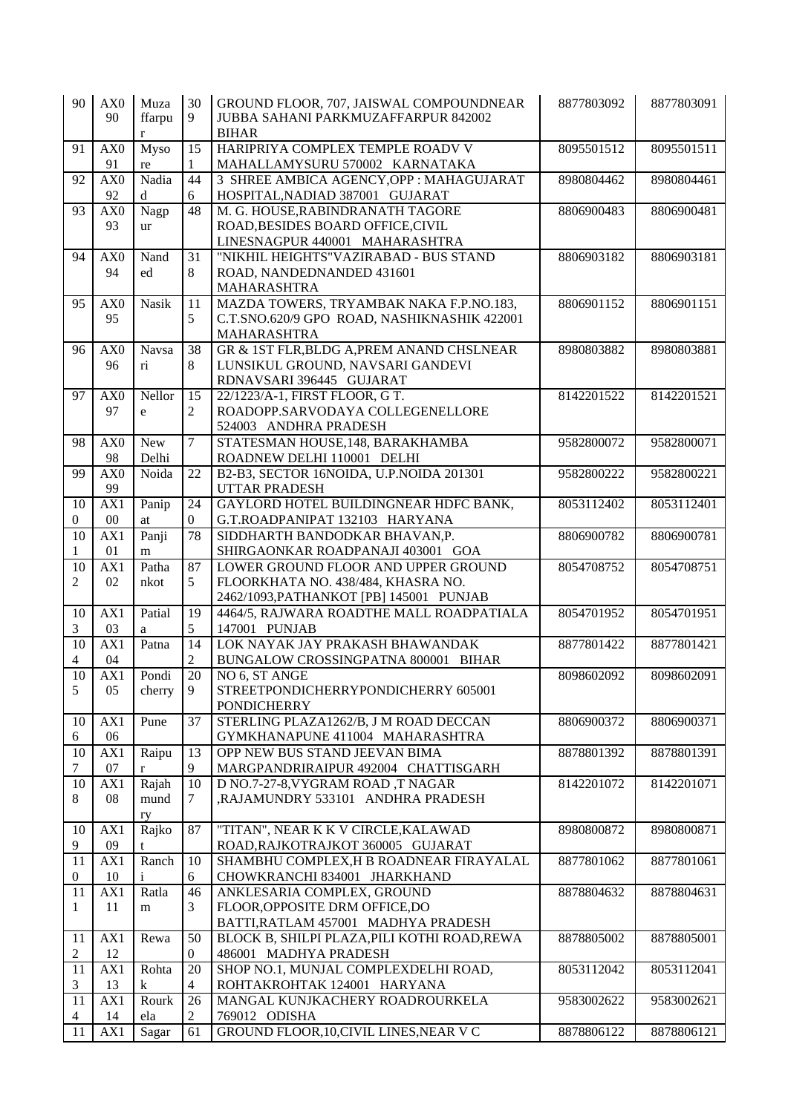| 90               | AX0              | Muza                    | 30              | GROUND FLOOR, 707, JAISWAL COMPOUNDNEAR                          | 8877803092 | 8877803091 |
|------------------|------------------|-------------------------|-----------------|------------------------------------------------------------------|------------|------------|
|                  | 90               | ffarpu                  | 9               | JUBBA SAHANI PARKMUZAFFARPUR 842002                              |            |            |
|                  |                  | r                       |                 | <b>BIHAR</b>                                                     |            |            |
| 91               | AX0              | Myso                    | 15              | HARIPRIYA COMPLEX TEMPLE ROADV V                                 | 8095501512 | 8095501511 |
|                  | 91               | re                      | 1               | MAHALLAMYSURU 570002 KARNATAKA                                   |            |            |
| 92               | $\overline{AX0}$ | Nadia                   | $\overline{44}$ | 3 SHREE AMBICA AGENCY, OPP : MAHAGUJARAT                         | 8980804462 | 8980804461 |
|                  | 92               | d                       | 6               | HOSPITAL, NADIAD 387001 GUJARAT                                  |            |            |
| 93               | AX0              | Nagp                    | 48              | M. G. HOUSE, RABINDRANATH TAGORE                                 | 8806900483 | 8806900481 |
|                  | 93               | ur                      |                 | ROAD, BESIDES BOARD OFFICE, CIVIL                                |            |            |
|                  |                  |                         |                 | LINESNAGPUR 440001 MAHARASHTRA                                   |            |            |
| 94               | AX0<br>94        | Nand                    | 31              | "NIKHIL HEIGHTS"VAZIRABAD - BUS STAND                            | 8806903182 | 8806903181 |
|                  |                  | ed                      | 8               | ROAD, NANDEDNANDED 431601<br>MAHARASHTRA                         |            |            |
| 95               | AX <sub>0</sub>  | Nasik                   | 11              | MAZDA TOWERS, TRYAMBAK NAKA F.P.NO.183,                          | 8806901152 | 8806901151 |
|                  | 95               |                         | 5               | C.T.SNO.620/9 GPO ROAD, NASHIKNASHIK 422001                      |            |            |
|                  |                  |                         |                 | MAHARASHTRA                                                      |            |            |
| 96               | AX <sub>0</sub>  | Navsa                   | 38              | GR & 1ST FLR, BLDG A, PREM ANAND CHSLNEAR                        | 8980803882 | 8980803881 |
|                  | 96               | $\overline{\textbf{n}}$ | 8               | LUNSIKUL GROUND, NAVSARI GANDEVI                                 |            |            |
|                  |                  |                         |                 | RDNAVSARI 396445 GUJARAT                                         |            |            |
| 97               | AX <sub>0</sub>  | Nellor                  | 15              | 22/1223/A-1, FIRST FLOOR, G T.                                   | 8142201522 | 8142201521 |
|                  | 97               | $\mathbf{e}$            | 2               | ROADOPP.SARVODAYA COLLEGENELLORE                                 |            |            |
|                  |                  |                         |                 | 524003 ANDHRA PRADESH                                            |            |            |
| 98               | AX <sub>0</sub>  | New                     | $\tau$          | STATESMAN HOUSE, 148, BARAKHAMBA                                 | 9582800072 | 9582800071 |
|                  | 98               | Delhi                   |                 | ROADNEW DELHI 110001 DELHI                                       |            |            |
| 99               | AX <sub>0</sub>  | Noida                   | $\overline{22}$ | B2-B3, SECTOR 16NOIDA, U.P.NOIDA 201301                          | 9582800222 | 9582800221 |
|                  | 99               |                         |                 | <b>UTTAR PRADESH</b>                                             |            |            |
| 10               | AX1              | Panip                   | 24              | GAYLORD HOTEL BUILDINGNEAR HDFC BANK,                            | 8053112402 | 8053112401 |
| $\overline{0}$   | $00\,$           | at                      | $\overline{0}$  | G.T.ROADPANIPAT 132103 HARYANA                                   |            |            |
| 10               | AX1              | Panji                   | 78              | SIDDHARTH BANDODKAR BHAVAN,P.                                    | 8806900782 | 8806900781 |
|                  | 01               | m                       |                 | SHIRGAONKAR ROADPANAJI 403001 GOA                                |            |            |
| 10               | AX1              | Patha                   | $\overline{87}$ | LOWER GROUND FLOOR AND UPPER GROUND                              | 8054708752 | 8054708751 |
| 2                | 02               | nkot                    | 5               | FLOORKHATA NO. 438/484, KHASRA NO.                               |            |            |
|                  |                  |                         |                 | 2462/1093, PATHANKOT [PB] 145001 PUNJAB                          |            |            |
| 10               | AX1              | Patial                  | 19              | 4464/5, RAJWARA ROADTHE MALL ROADPATIALA                         | 8054701952 | 8054701951 |
| 3                | 03               | a                       | 5               | 147001 PUNJAB                                                    |            |            |
| 10               | AX1              | Patna                   | 14              | LOK NAYAK JAY PRAKASH BHAWANDAK                                  | 8877801422 | 8877801421 |
| 4                | 04               |                         | 2               | BUNGALOW CROSSINGPATNA 800001 BIHAR                              |            |            |
| 10               | AX1              | Pondi                   | 20              | NO 6, ST ANGE                                                    | 8098602092 | 8098602091 |
| $\mathcal{L}$    | 05               | cherry                  | 9               | STREETPONDICHERRYPONDICHERRY 605001                              |            |            |
|                  |                  |                         |                 | <b>PONDICHERRY</b>                                               |            |            |
| 10               | AX1              | Pune                    | 37              | STERLING PLAZA1262/B, J M ROAD DECCAN                            | 8806900372 | 8806900371 |
| 6                | 06               |                         |                 | GYMKHANAPUNE 411004 MAHARASHTRA<br>OPP NEW BUS STAND JEEVAN BIMA |            |            |
| 10<br>7          | AX1<br>07        | Raipu                   | 13<br>9         | MARGPANDRIRAIPUR 492004 CHATTISGARH                              | 8878801392 | 8878801391 |
| 10               | AX1              | r<br>Rajah              | 10              | D NO.7-27-8, VYGRAM ROAD, T NAGAR                                | 8142201072 | 8142201071 |
| 8                | 08               | mund                    | 7               | ,RAJAMUNDRY 533101 ANDHRA PRADESH                                |            |            |
|                  |                  | ry                      |                 |                                                                  |            |            |
| 10               | AX1              | Rajko                   | 87              | "TITAN", NEAR K K V CIRCLE, KALAWAD                              | 8980800872 | 8980800871 |
| 9                | 09               | t                       |                 | ROAD, RAJKOTRAJKOT 360005 GUJARAT                                |            |            |
| 11               | AX1              | Ranch                   | 10              | SHAMBHU COMPLEX, H B ROADNEAR FIRAYALAL                          | 8877801062 | 8877801061 |
| $\boldsymbol{0}$ | 10               | $\mathbf{i}$            | 6               | CHOWKRANCHI 834001 JHARKHAND                                     |            |            |
| 11               | AX1              | Ratla                   | 46              | ANKLESARIA COMPLEX, GROUND                                       | 8878804632 | 8878804631 |
| 1                | 11               | m                       | 3               | FLOOR, OPPOSITE DRM OFFICE, DO                                   |            |            |
|                  |                  |                         |                 | BATTI, RATLAM 457001 MADHYA PRADESH                              |            |            |
| 11               | AX1              | Rewa                    | 50              | BLOCK B, SHILPI PLAZA, PILI KOTHI ROAD, REWA                     | 8878805002 | 8878805001 |
| 2                | 12               |                         | $\overline{0}$  | 486001 MADHYA PRADESH                                            |            |            |
| 11               | AX1              | Rohta                   | 20              | SHOP NO.1, MUNJAL COMPLEXDELHI ROAD,                             | 8053112042 | 8053112041 |
| 3                | 13               | k                       | 4               | ROHTAKROHTAK 124001 HARYANA                                      |            |            |
| 11               | AX1              | Rourk                   | 26              | MANGAL KUNJKACHERY ROADROURKELA                                  | 9583002622 | 9583002621 |
| 4                | 14               | ela                     | $\overline{2}$  | 769012 ODISHA                                                    |            |            |
| 11               | AX1              | Sagar                   | 61              | GROUND FLOOR, 10, CIVIL LINES, NEAR V C                          | 8878806122 | 8878806121 |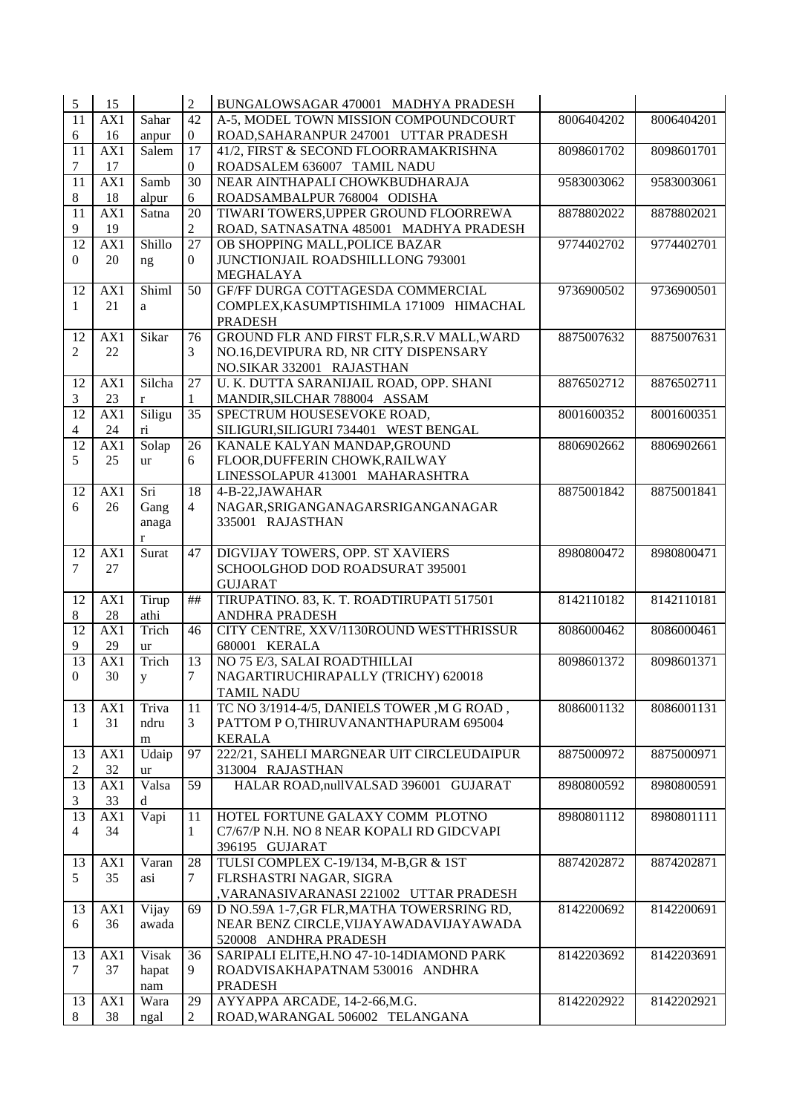| 5               | 15               |               | $\overline{2}$  | BUNGALOWSAGAR 470001 MADHYA PRADESH                              |            |            |
|-----------------|------------------|---------------|-----------------|------------------------------------------------------------------|------------|------------|
| 11              | AX1              | Sahar         | 42              | A-5, MODEL TOWN MISSION COMPOUNDCOURT                            | 8006404202 | 8006404201 |
| 6               | 16               | anpur         | $\mathbf{0}$    | ROAD, SAHARANPUR 247001 UTTAR PRADESH                            |            |            |
| 11              | AX1              | Salem         | $\overline{17}$ | 41/2, FIRST & SECOND FLOORRAMAKRISHNA                            | 8098601702 | 8098601701 |
| 7               | 17               |               | $\mathbf{0}$    | ROADSALEM 636007 TAMIL NADU                                      |            |            |
| 11              | AX1              | Samb          | $\overline{30}$ | NEAR AINTHAPALI CHOWKBUDHARAJA                                   | 9583003062 | 9583003061 |
| 8               | 18               | alpur         | 6               | ROADSAMBALPUR 768004 ODISHA                                      |            |            |
| 11              | AX1              | Satna         | 20              | TIWARI TOWERS, UPPER GROUND FLOORREWA                            | 8878802022 | 8878802021 |
| 9               | 19               |               | $\overline{2}$  | ROAD, SATNASATNA 485001 MADHYA PRADESH                           |            |            |
| 12              | AX1              | Shillo        | $\overline{27}$ | OB SHOPPING MALL, POLICE BAZAR                                   | 9774402702 | 9774402701 |
| $\mathbf{0}$    | 20               | ng            | $\overline{0}$  | JUNCTIONJAIL ROADSHILLLONG 793001                                |            |            |
|                 |                  |               |                 | MEGHALAYA                                                        |            |            |
| 12              | AX1              | Shiml         | 50              | GF/FF DURGA COTTAGESDA COMMERCIAL                                | 9736900502 | 9736900501 |
| 1               | 21               | $\mathbf{a}$  |                 | COMPLEX, KASUMPTISHIMLA 171009 HIMACHAL                          |            |            |
|                 |                  |               |                 | <b>PRADESH</b>                                                   |            |            |
| 12              | $\overline{AX1}$ | Sikar         | 76              | GROUND FLR AND FIRST FLR, S.R. V MALL, WARD                      | 8875007632 | 8875007631 |
| 2               | 22               |               | 3               | NO.16, DEVIPURA RD, NR CITY DISPENSARY                           |            |            |
|                 |                  |               |                 | NO.SIKAR 332001 RAJASTHAN                                        |            |            |
| 12              | AX1              | Silcha        | 27              | U. K. DUTTA SARANIJAIL ROAD, OPP. SHANI                          | 8876502712 | 8876502711 |
| 3               | 23               | $\bf r$       | $\mathbf{1}$    | MANDIR, SILCHAR 788004 ASSAM                                     |            |            |
| 12              | AX1              | Siligu        | 35              | SPECTRUM HOUSESEVOKE ROAD,                                       | 8001600352 | 8001600351 |
| $\overline{4}$  | 24               | $\dot{\rm n}$ |                 | SILIGURI, SILIGURI 734401 WEST BENGAL                            |            |            |
| 12              | AX1              | Solap         | 26              | KANALE KALYAN MANDAP, GROUND                                     | 8806902662 | 8806902661 |
| 5               | 25               | ur            | 6               | FLOOR, DUFFERIN CHOWK, RAILWAY                                   |            |            |
|                 |                  |               |                 | LINESSOLAPUR 413001 MAHARASHTRA                                  |            |            |
| $\overline{12}$ | AX1              | Sri           | $\overline{18}$ | 4-B-22, JAWAHAR                                                  | 8875001842 | 8875001841 |
| 6               | 26               | Gang          | $\overline{4}$  | NAGAR, SRIGANGANAGAR SRIGANGANAGAR                               |            |            |
|                 |                  | anaga         |                 | 335001 RAJASTHAN                                                 |            |            |
|                 |                  | $\mathbf r$   |                 |                                                                  |            |            |
| $\overline{12}$ | $\overline{AX1}$ | Surat         | 47              | DIGVIJAY TOWERS, OPP. ST XAVIERS                                 | 8980800472 | 8980800471 |
| 7               | 27               |               |                 | SCHOOLGHOD DOD ROADSURAT 395001                                  |            |            |
|                 |                  |               |                 | <b>GUJARAT</b>                                                   |            |            |
| 12              | AX1              | Tirup         | ##              | TIRUPATINO. 83, K. T. ROADTIRUPATI 517501                        | 8142110182 | 8142110181 |
| 8               | 28               | athi          |                 | <b>ANDHRA PRADESH</b>                                            |            |            |
| $\overline{12}$ | AX1              | Trich         | 46              | CITY CENTRE, XXV/1130ROUND WESTTHRISSUR                          | 8086000462 | 8086000461 |
| 9               | 29               | ur            |                 | 680001 KERALA                                                    |            |            |
| 13              | AX1              | Trich         | 13              | NO 75 E/3, SALAI ROADTHILLAI                                     | 8098601372 | 8098601371 |
| $\mathbf{0}$    | 30               | y             | 7               | NAGARTIRUCHIRAPALLY (TRICHY) 620018                              |            |            |
|                 |                  |               |                 | TAMIL NADU                                                       |            |            |
| 13              | AX1              | Triva         | 11              | TC NO 3/1914-4/5, DANIELS TOWER, M G ROAD,                       | 8086001132 | 8086001131 |
| 1               | 31               | ndru          | 3               | PATTOM PO, THIRUVANANTHAPURAM 695004                             |            |            |
|                 |                  | m             | 97              | <b>KERALA</b><br>222/21, SAHELI MARGNEAR UIT CIRCLEUDAIPUR       | 8875000972 | 8875000971 |
| 13              | AX1<br>32        | Udaip         |                 | 313004 RAJASTHAN                                                 |            |            |
| 2<br>13         | AX1              | ur<br>Valsa   | 59              | HALAR ROAD, nullVALSAD 396001 GUJARAT                            | 8980800592 | 8980800591 |
|                 |                  |               |                 |                                                                  |            |            |
| 3<br>13         |                  |               |                 |                                                                  |            |            |
|                 | 33               | d             |                 |                                                                  |            |            |
|                 | AX1              | Vapi          | 11              | HOTEL FORTUNE GALAXY COMM PLOTNO                                 | 8980801112 | 8980801111 |
| 4               | 34               |               | $\mathbf{1}$    | C7/67/P N.H. NO 8 NEAR KOPALI RD GIDCVAPI                        |            |            |
|                 |                  |               |                 | 396195 GUJARAT                                                   |            |            |
| 13              | AX1              | Varan         | 28              | TULSI COMPLEX C-19/134, M-B, GR & 1ST                            | 8874202872 | 8874202871 |
| 5               | 35               | asi           | $\tau$          | FLRSHASTRI NAGAR, SIGRA                                          |            |            |
|                 |                  |               |                 | ,VARANASIVARANASI 221002 UTTAR PRADESH                           |            |            |
| 13              | AX1              | Vijay         | 69              | D NO.59A 1-7, GR FLR, MATHA TOWERSRING RD,                       | 8142200692 | 8142200691 |
| 6               | 36               | awada         |                 | NEAR BENZ CIRCLE, VIJAYAWADAVIJAYAWADA                           |            |            |
|                 |                  |               |                 | 520008 ANDHRA PRADESH                                            |            |            |
| 13              | AX1              | Visak         | 36              | SARIPALI ELITE, H.NO 47-10-14DIAMOND PARK                        | 8142203692 | 8142203691 |
| 7               | 37               | hapat         | 9.              | ROADVISAKHAPATNAM 530016 ANDHRA                                  |            |            |
|                 |                  | nam           |                 | <b>PRADESH</b>                                                   |            |            |
| 13<br>8         | AX1<br>38        | Wara<br>ngal  | 29<br>2         | AYYAPPA ARCADE, 14-2-66, M.G.<br>ROAD, WARANGAL 506002 TELANGANA | 8142202922 | 8142202921 |